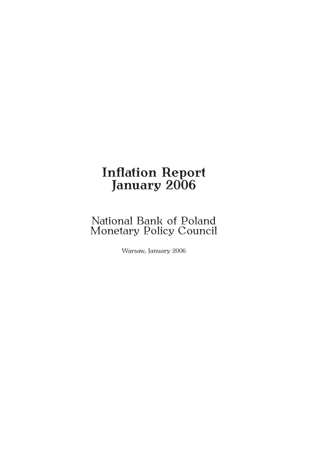## **Inflation Report January 2006**

## National Bank of Poland Monetary Policy Council

Warsaw, January 2006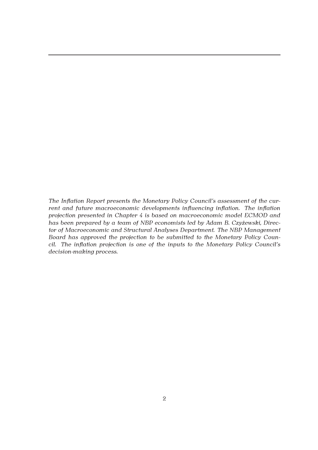*The Inflation Report presents the Monetary Policy Council's assessment of the current and future macroeconomic developments influencing inflation. The inflation projection presented in Chapter 4 is based on macroeconomic model ECMOD and* has been prepared by a team of NBP economists led by Adam B. Czyżewski, Direc*tor of Macroeconomic and Structural Analyses Department. The NBP Management Board has approved the projection to be submitted to the Monetary Policy Council. The inflation projection is one of the inputs to the Monetary Policy Council's decision-making process.*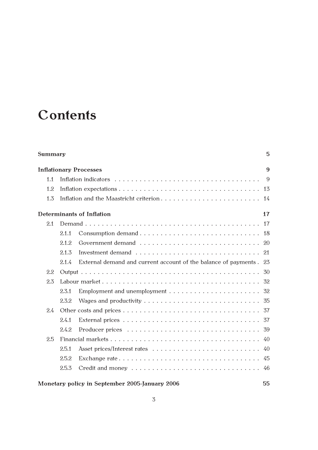# **Contents**

| <b>Summary</b> |       |                                                                                                                     | 5   |  |  |  |  |  |  |  |
|----------------|-------|---------------------------------------------------------------------------------------------------------------------|-----|--|--|--|--|--|--|--|
|                |       | <b>Inflationary Processes</b>                                                                                       | 9   |  |  |  |  |  |  |  |
| 1.1            |       |                                                                                                                     | 9   |  |  |  |  |  |  |  |
| 1.2            |       |                                                                                                                     | 13  |  |  |  |  |  |  |  |
| 1.3            |       | Inflation and the Maastricht criterion<br>14                                                                        |     |  |  |  |  |  |  |  |
|                |       | Determinants of Inflation                                                                                           | 17  |  |  |  |  |  |  |  |
| 2.1            |       |                                                                                                                     | 17  |  |  |  |  |  |  |  |
|                | 2.1.1 |                                                                                                                     | 18  |  |  |  |  |  |  |  |
|                | 2.1.2 |                                                                                                                     |     |  |  |  |  |  |  |  |
|                | 2.1.3 | Investment demand $\dots$ , $\dots$ , $\dots$ , $\dots$ , $\dots$ , $\dots$ , $\dots$ , $\dots$ , $\dots$ , $\dots$ | 21  |  |  |  |  |  |  |  |
|                | 2.1.4 | External demand and current account of the balance of payments.                                                     | 23  |  |  |  |  |  |  |  |
| 2.2            |       |                                                                                                                     | 30  |  |  |  |  |  |  |  |
| 2.3            |       |                                                                                                                     | 32  |  |  |  |  |  |  |  |
|                | 2.3.1 |                                                                                                                     |     |  |  |  |  |  |  |  |
|                | 2.3.2 |                                                                                                                     |     |  |  |  |  |  |  |  |
| 2.4            |       |                                                                                                                     |     |  |  |  |  |  |  |  |
|                | 2.4.1 |                                                                                                                     | 37  |  |  |  |  |  |  |  |
|                | 2.4.2 |                                                                                                                     | -39 |  |  |  |  |  |  |  |
| 2.5            |       |                                                                                                                     | 40  |  |  |  |  |  |  |  |
|                | 2.5.1 |                                                                                                                     | 40  |  |  |  |  |  |  |  |
|                | 2.5.2 | Exchange rate                                                                                                       | 45  |  |  |  |  |  |  |  |
|                | 2.5.3 |                                                                                                                     | 46  |  |  |  |  |  |  |  |

## **Monetary policy in September 2005-January 2006 55**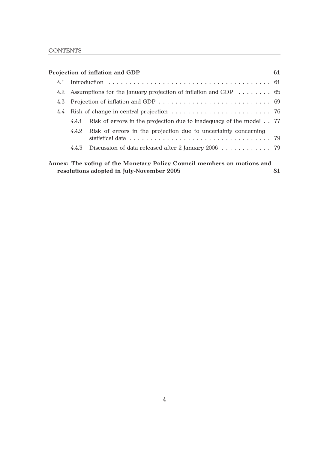|     |       | Projection of inflation and GDP                                                                                                                                                                                                                                                | 61 |
|-----|-------|--------------------------------------------------------------------------------------------------------------------------------------------------------------------------------------------------------------------------------------------------------------------------------|----|
| 4.1 |       |                                                                                                                                                                                                                                                                                |    |
|     |       | 4.2 Assumptions for the January projection of inflation and GDP $\dots \dots$ 65                                                                                                                                                                                               |    |
|     |       |                                                                                                                                                                                                                                                                                |    |
|     |       |                                                                                                                                                                                                                                                                                |    |
|     | 4.4.1 | Risk of errors in the projection due to inadequacy of the model 77                                                                                                                                                                                                             |    |
|     | 4.4.2 | Risk of errors in the projection due to uncertainty concerning                                                                                                                                                                                                                 |    |
|     | 4.4.3 | Discussion of data released after 2 January 2006 $\dots \dots \dots \dots$                                                                                                                                                                                                     |    |
|     |       | $\mathbb{R}^n$ . All $\mathbb{R}^n$ is a set $\mathbb{R}^n$ if $\mathbb{R}^n$ is a set $\mathbb{R}^n$ if $\mathbb{R}^n$ is a set of $\mathbb{R}^n$ if $\mathbb{R}^n$ is a set of $\mathbb{R}^n$ if $\mathbb{R}^n$ is a set of $\mathbb{R}^n$ if $\mathbb{R}^n$ is a set of $\$ |    |

**Annex: The voting of the Monetary Policy Council members on motions and resolutions adopted in July-November 2005 81**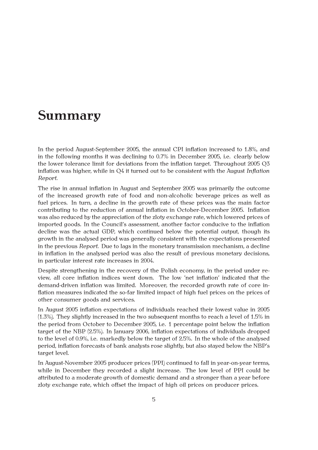## **Summary**

In the period August-September 2005, the annual CPI inflation increased to 1.8%, and in the following months it was declining to 0.7% in December 2005, i.e. clearly below the lower tolerance limit for deviations from the inflation target. Throughout 2005 Q3 inflation was higher, while in Q4 it turned out to be consistent with the August *Inflation Report*.

The rise in annual inflation in August and September 2005 was primarily the outcome of the increased growth rate of food and non-alcoholic beverage prices as well as fuel prices. In turn, a decline in the growth rate of these prices was the main factor contributing to the reduction of annual inflation in October-December 2005. Inflation was also reduced by the appreciation of the zloty exchange rate, which lowered prices of imported goods. In the Council's assessment, another factor conducive to the inflation decline was the actual GDP, which continued below the potential output, though its growth in the analysed period was generally consistent with the expectations presented in the previous *Report*. Due to lags in the monetary transmission mechanism, a decline in inflation in the analysed period was also the result of previous monetary decisions, in particular interest rate increases in 2004.

Despite strengthening in the recovery of the Polish economy, in the period under review, all core inflation indices went down. The low 'net inflation' indicated that the demand-driven inflation was limited. Moreover, the recorded growth rate of core inflation measures indicated the so-far limited impact of high fuel prices on the prices of other consumer goods and services.

In August 2005 inflation expectations of individuals reached their lowest value in 2005 (1.3%). They slightly increased in the two subsequent months to reach a level of 1.5% in the period from October to December 2005, i.e. 1 percentage point below the inflation target of the NBP (2.5%). In January 2006, inflation expectations of individuals dropped to the level of 0.9%, i.e. markedly below the target of 2.5%. In the whole of the analysed period, inflation forecasts of bank analysts rose slightly, but also stayed below the NBP's target level.

In August-November 2005 producer prices (PPI) continued to fall in year-on-year terms, while in December they recorded a slight increase. The low level of PPI could be attributed to a moderate growth of domestic demand and a stronger than a year before zloty exchange rate, which offset the impact of high oil prices on producer prices.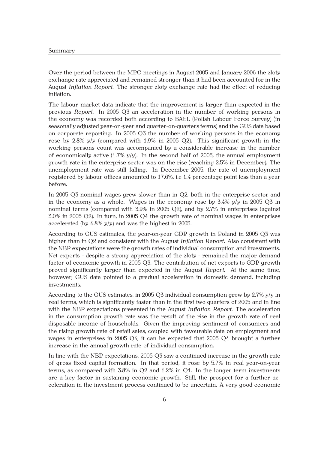Over the period between the MPC meetings in August 2005 and January 2006 the zloty exchange rate appreciated and remained stronger than it had been accounted for in the August *Inflation Report*. The stronger zloty exchange rate had the effect of reducing inflation.

The labour market data indicate that the improvement is larger than expected in the previous *Report*. In 2005 Q3 an acceleration in the number of working persons in the economy was recorded both according to BAEL (Polish Labour Force Survey) (in seasonally adjusted year-on-year and quarter-on-quarters terms) and the GUS data based on corporate reporting. In 2005 Q3 the number of working persons in the economy rose by 2.8% y/y (compared with 1.9% in 2005 Q2). This significant growth in the working persons count was accompanied by a considerable increase in the number of economically active  $(1.7\% \text{ y/y})$ . In the second half of 2005, the annual employment growth rate in the enterprise sector was on the rise (reaching 2.5% in December). The unemployment rate was still falling. In December 2005, the rate of unemployment registered by labour offices amounted to 17.6%, i.e 1.4 percentage point less than a year before.

In 2005 Q3 nominal wages grew slower than in Q2, both in the enterprise sector and in the economy as a whole. Wages in the economy rose by  $3.4\%$  y/y in 2005 Q3 in nominal terms (compared with 3.9% in 2005 Q2), and by 2.7% in enterprises (against 3.0% in 2005 Q2). In turn, in 2005 Q4 the growth rate of nominal wages in enterprises accelerated (by  $4.8\%$  y/y) and was the highest in 2005.

According to GUS estimates, the year-on-year GDP growth in Poland in 2005 Q3 was higher than in Q2 and consistent with the August *Inflation Report*. Also consistent with the NBP expectations were the growth rates of individual consumption and investments. Net exports - despite a strong appreciation of the zloty - remained the major demand factor of economic growth in 2005 Q3. The contribution of net exports to GDP growth proved significantly larger than expected in the August *Report*. At the same time, however, GUS data pointed to a gradual acceleration in domestic demand, including investments.

According to the GUS estimates, in 2005 Q3 individual consumption grew by 2.7% y/y in real terms, which is significantly faster than in the first two quarters of 2005 and in line with the NBP expectations presented in the August *Inflation Report*. The acceleration in the consumption growth rate was the result of the rise in the growth rate of real disposable income of households. Given the improving sentiment of consumers and the rising growth rate of retail sales, coupled with favourable data on employment and wages in enterprises in 2005 Q4, it can be expected that 2005 Q4 brought a further increase in the annual growth rate of individual consumption.

In line with the NBP expectations, 2005 Q3 saw a continued increase in the growth rate of gross fixed capital formation. In that period, it rose by 5.7% in real year-on-year terms, as compared with 3.8% in Q2 and 1.2% in Q1. In the longer term investments are a key factor in sustaining economic growth. Still, the prospect for a further acceleration in the investment process continued to be uncertain. A very good economic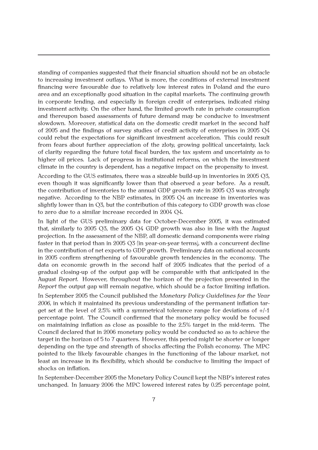standing of companies suggested that their financial situation should not be an obstacle to increasing investment outlays. What is more, the conditions of external investment financing were favourable due to relatively low interest rates in Poland and the euro area and an exceptionally good situation in the capital markets. The continuing growth in corporate lending, and especially in foreign credit of enterprises, indicated rising investment activity. On the other hand, the limited growth rate in private consumption and thereupon based assessments of future demand may be conducive to investment slowdown. Moreover, statistical data on the domestic credit market in the second half of 2005 and the findings of survey studies of credit activity of enterprises in 2005 Q4 could rebut the expectations for significant investment acceleration. This could result from fears about further appreciation of the zloty, growing political uncertainty, lack of clarity regarding the future total fiscal burden, the tax system and uncertainty as to higher oil prices. Lack of progress in institutional reforms, on which the investment climate in the country is dependent, has a negative impact on the propensity to invest.

According to the GUS estimates, there was a sizeable build-up in inventories in 2005 Q3, even though it was significantly lower than that observed a year before. As a result, the contribution of inventories to the annual GDP growth rate in 2005 Q3 was strongly negative. According to the NBP estimates, in 2005 Q4 an increase in inventories was slightly lower than in Q3, but the contribution of this category to GDP growth was close to zero due to a similar increase recorded in 2004 Q4.

In light of the GUS preliminary data for October-December 2005, it was estimated that, similarly to 2005 Q3, the 2005 Q4 GDP growth was also in line with the August projection. In the assessment of the NBP, all domestic demand components were rising faster in that period than in 2005 Q3 (in year-on-year terms), with a concurrent decline in the contribution of net exports to GDP growth. Preliminary data on national accounts in 2005 confirm strengthening of favourable growth tendencies in the economy. The data on economic growth in the second half of 2005 indicates that the period of a gradual closing-up of the output gap will be comparable with that anticipated in the August *Report*. However, throughout the horizon of the projection presented in the *Report* the output gap will remain negative, which should be a factor limiting inflation.

In September 2005 the Council published the *Monetary Policy Guidelines for the Year 2006*, in which it maintained its previous understanding of the permanent inflation target set at the level of  $2.5\%$  with a symmetrical tolerance range for deviations of  $+/-1$ percentage point. The Council confirmed that the monetary policy would be focused on maintaining inflation as close as possible to the 2.5% target in the mid-term. The Council declared that in 2006 monetary policy would be conducted so as to achieve the target in the horizon of 5 to 7 quarters. However, this period might be shorter or longer depending on the type and strength of shocks affecting the Polish economy. The MPC pointed to the likely favourable changes in the functioning of the labour market, not least an increase in its flexibility, which should be conducive to limiting the impact of shocks on inflation.

In September-December 2005 the Monetary Policy Council kept the NBP's interest rates unchanged. In January 2006 the MPC lowered interest rates by 0.25 percentage point,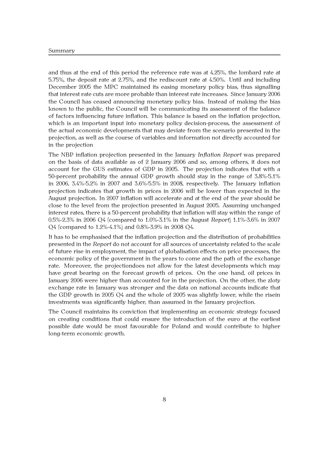#### Summary

and thus at the end of this period the reference rate was at 4.25%, the lombard rate at 5.75%, the deposit rate at 2.75%, and the rediscount rate at 4.50%. Until and including December 2005 the MPC maintained its easing monetary policy bias, thus signalling that interest rate cuts are more probable than interest rate increases. Since January 2006 the Council has ceased announcing monetary policy bias. Instead of making the bias known to the public, the Council will be communicating its assessment of the balance of factors influencing future inflation. This balance is based on the inflation projection, which is an important input into monetary policy decision-process, the assessment of the actual economic developments that may deviate from the scenario presented in the projection, as well as the course of variables and information not directly accounted for in the projection

The NBP inflation projection presented in the January *Inflation Report* was prepared on the basis of data available as of 2 January 2006 and so, among others, it does not account for the GUS estimates of GDP in 2005. The projection indicates that with a 50-percent probability the annual GDP growth should stay in the range of 3.8%-5.1% in 2006, 3.4%-5.2% in 2007 and 3.6%-5.5% in 2008, respectively. The January inflation projection indicates that growth in prices in 2006 will be lower than expected in the August projection. In 2007 inflation will accelerate and at the end of the year should be close to the level from the projection presented in August 2005. Assuming unchanged interest rates, there is a 50-percent probability that inflation will stay within the range of 0.5%-2.3% in 2006 Q4 (compared to 1.0%-3.1% in the August *Report*) 1.1%-3.6% in 2007 Q4 (compared to 1.2%-4.1%) and 0.8%-3.9% in 2008 Q4.

It has to be emphasised that the inflation projection and the distribution of probabilities presented in the *Report* do not account for all sources of uncertainty related to the scale of future rise in employment, the impact of globalisation effects on price processes, the economic policy of the government in the years to come and the path of the exchange rate. Moreover, the projectiondoes not allow for the latest developments which may have great bearing on the forecast growth of prices. On the one hand, oil prices in January 2006 were higher than accounted for in the projection. On the other, the zloty exchange rate in January was stronger and the data on national accounts indicate that the GDP growth in 2005 Q4 and the whole of 2005 was slightly lower, while the risein investments was significantly higher, than assumed in the January projection.

The Council maintains its conviction that implementing an economic strategy focused on creating conditions that could ensure the introduction of the euro at the earliest possible date would be most favourable for Poland and would contribute to higher long-term economic growth.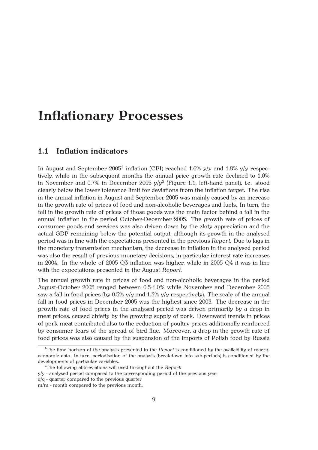## **Inflationary Processes**

## **1.1 Inflation indicators**

In August and September 2005<sup>1</sup> inflation (CPI) reached 1.6%  $y/y$  and 1.8%  $y/y$  respectively, while in the subsequent months the annual price growth rate declined to 1.0% in November and 0.7% in December 2005 y/y $^2$  (Figure 1.1, left-hand panel), i.e. stood clearly below the lower tolerance limit for deviations from the inflation target. The rise in the annual inflation in August and September 2005 was mainly caused by an increase in the growth rate of prices of food and non-alcoholic beverages and fuels. In turn, the fall in the growth rate of prices of those goods was the main factor behind a fall in the annual inflation in the period October-December 2005. The growth rate of prices of consumer goods and services was also driven down by the zloty appreciation and the actual GDP remaining below the potential output, although its growth in the analysed period was in line with the expectations presented in the previous *Report*. Due to lags in the monetary transmission mechanism, the decrease in inflation in the analysed period was also the result of previous monetary decisions, in particular interest rate increases in 2004. In the whole of 2005 Q3 inflation was higher, while in 2005 Q4 it was in line with the expectations presented in the August *Report*.

The annual growth rate in prices of food and non-alcoholic beverages in the period August-October 2005 ranged between 0.5-1.0% while November and December 2005 saw a fall in food prices (by 0.5% y/y and 1.3% y/y respectively). The scale of the annual fall in food prices in December 2005 was the highest since 2003. The decrease in the growth rate of food prices in the analysed period was driven primarily by a drop in meat prices, caused chiefly by the growing supply of pork. Downward trends in prices of pork meat contributed also to the reduction of poultry prices additionally reinforced by consumer fears of the spread of bird flue. Moreover, a drop in the growth rate of food prices was also caused by the suspension of the imports of Polish food by Russia

<sup>1</sup>The time horizon of the analysis presented in the *Report* is conditioned by the availability of macroeconomic data. In turn, periodisation of the analysis (breakdown into sub-periods) is conditioned by the developments of particular variables.

<sup>2</sup>The following abbreviations will used throughout the *Report*:

 $y/y$  - analysed period compared to the corresponding period of the previous year

q/q - quarter compared to the previous quarter

m/m - month compared to the previous month.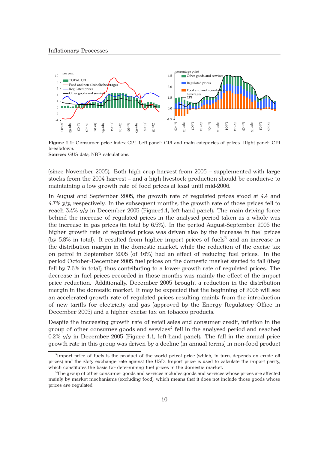

**Figure 1.1:** Consumer price index CPI. Left panel: CPI and main categories of prices. Right panel: CPI breakdown.

**Source:** GUS data, NBP calculations.

(since November 2005). Both high crop harvest from 2005 – supplemented with large stocks from the 2004 harvest – and a high livestock production should be conducive to maintaining a low growth rate of food prices at least until mid-2006.

In August and September 2005, the growth rate of regulated prices stood at 4.4 and 4.7% y/y, respectively. In the subsequent months, the growth rate of those prices fell to reach 3.4% y/y in December 2005 (Figure1.1, left-hand panel). The main driving force behind the increase of regulated prices in the analysed period taken as a whole was the increase in gas prices (in total by 6.5%). In the period August-September 2005 the higher growth rate of regulated prices was driven also by the increase in fuel prices (by 5.8% in total). It resulted from higher import prices of fuels<sup>3</sup> and an increase in the distribution margin in the domestic market, while the reduction of the excise tax on petrol in September 2005 (of 16%) had an effect of reducing fuel prices. In the period October-December 2005 fuel prices on the domestic market started to fall (they fell by 7.6% in total), thus contributing to a lower growth rate of regulated prices. The decrease in fuel prices recorded in those months was mainly the effect of the import price reduction. Additionally, December 2005 brought a reduction in the distribution margin in the domestic market. It may be expected that the beginning of 2006 will see an accelerated growth rate of regulated prices resulting mainly from the introduction of new tariffs for electricity and gas (approved by the Energy Regulatory Office in December 2005) and a higher excise tax on tobacco products.

Despite the increasing growth rate of retail sales and consumer credit, inflation in the group of other consumer goods and services $^4$  fell in the analysed period and reached  $0.2\%$  y/y in December 2005 (Figure 1.1, left-hand panel). The fall in the annual price growth rate in this group was driven by a decline (in annual terms) in non-food product

<sup>&</sup>lt;sup>3</sup>Import price of fuels is the product of the world petrol price (which, in turn, depends on crude oil prices) and the zloty exchange rate against the USD. Import price is used to calculate the import parity, which constitutes the basis for determining fuel prices in the domestic market.

<sup>4</sup>The group of other consumer goods and services includes goods and services whose prices are affected mainly by market mechanisms (excluding food), which means that it does not include those goods whose prices are regulated.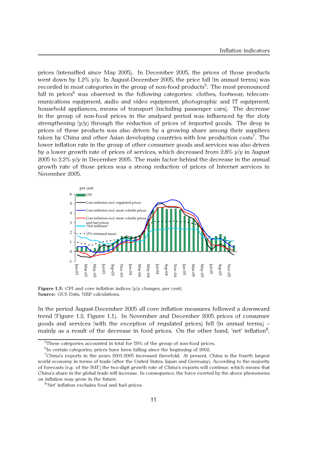prices (intensified since May 2005). In December 2005, the prices of those products went down by 1.2% y/y. In August-December 2005, the price fall (in annual terms) was recorded in most categories in the group of non-food products<sup>5</sup>. The most pronounced fall in prices<sup>6</sup> was observed in the following categories: clothes, footwear, telecommunications equipment, audio and video equipment, photographic and IT equipment, household appliances, means of transport (including passenger cars). The decrease in the group of non-food prices in the analysed period was influenced by the zloty strengthening (y/y) through the reduction of prices of imported goods. The drop in prices of these products was also driven by a growing share among their suppliers taken by China and other Asian developing countries with low production  $\mathrm{costs}^{7}.$  The lower inflation rate in the group of other consumer goods and services was also driven by a lower growth rate of prices of services, which decreased from 2.8% y/y in August 2005 to 2.2% y/y in December 2005. The main factor behind the decrease in the annual growth rate of those prices was a strong reduction of prices of Internet services in November 2005.



Figure 1.2: CPI and core inflation indices (y/y changes, per cent) **Source:** GUS Data, NBP calculations.

In the period August-December 2005 all core inflation measures followed a downward trend (Figure 1.2, Figure 1.1). In November and December 2005 prices of consumer goods and services (with the exception of regulated prices) fell (in annual terms) – mainly as a result of the decrease in food prices. On the other hand, 'net' inflation $^8$ ,

<sup>&</sup>lt;sup>5</sup>These categories accounted in total for 59% of the group of non-food prices.

 $^6$ In certain categories, prices have been falling since the beginning of 2002.

 $^7$ China's exports in the years 2001-2005 increased threefold. At present, China is the fourth largest world economy in terms of trade (after the United States, Japan and Germany). According to the majority of forecasts (e.g. of the IMF) the two-digit growth rate of China's exports will continue, which means that China's share in the global trade will increase. In consequence, the force exerted by the above phenomena on inflation may grow in the future.

<sup>&</sup>lt;sup>8</sup>'Net' inflation excludes food and fuel prices.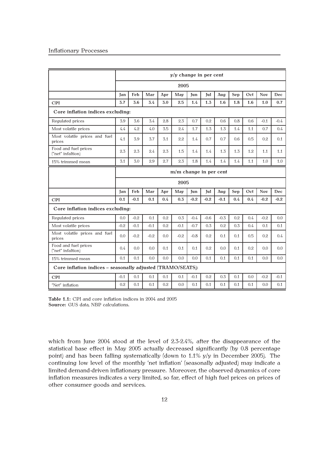#### Inflationary Processes

|                                                             | $y/y$ change in per cent |        |        |                  |         |        |        |        |     |         |        |         |
|-------------------------------------------------------------|--------------------------|--------|--------|------------------|---------|--------|--------|--------|-----|---------|--------|---------|
|                                                             |                          |        |        |                  | 2005    |        |        |        |     |         |        |         |
|                                                             | Jan                      | Feb    | Mar    | Apr              | May     | Jun    | Jul    | Aug    | Sep | Oct     | Nov    | Dec     |
| <b>CPI</b>                                                  | 3.7                      | 3.6    | 3.4    | 3.0              | 2.5     | 1.4    | 1.3    | 1.6    | 1.8 | 1.6     | 1.0    | 0.7     |
| Core inflation indices excluding:                           |                          |        |        |                  |         |        |        |        |     |         |        |         |
| Regulated prices                                            | 3.9                      | 3.6    | 3.4    | 2.8              | 2.3     | 0.7    | 0.2    | 0.6    | 0.8 | 0.6     | $-0.1$ | $-0.4$  |
| Most volatile prices                                        | 4.4                      | 4.2    | 4.0    | 3.5              | $2.4\,$ | 1.7    | 1.3    | 1.3    | 1.4 | 1.1     | 0.7    | $0.4\,$ |
| Most volatile prices and fuel<br>prices                     | 4.1                      | 3.9    | 3.7    | 3.1              | 2.2     | 1.4    | 0.7    | 0.7    | 0.6 | 0.5     | 0.2    | 0.1     |
| Food and fuel prices<br>("net" infaltion)                   | 2.3                      | 2.3    | 2.4    | 2.3              | 1.5     | 1.4    | 1.4    | 1.3    | 1.3 | 1.2     | 1.1    | 1.1     |
| 15% trimmed mean                                            | 3.1                      | 3.0    | 2.9    | 2.7              | 2.3     | 1.8    | 1.4    | 1.4    | 1.4 | 1.1     | 1.0    | 1.0     |
|                                                             | m/m change in per cent   |        |        |                  |         |        |        |        |     |         |        |         |
|                                                             |                          |        |        |                  | 2005    |        |        |        |     |         |        |         |
|                                                             | Jan                      | Feb    | Mar    | Apr              | May     | Jun    | Jul    | Aug    | Sep | Oct     | Nov    | Dec     |
| CPI                                                         | 0.1                      | $-0.1$ | 0.1    | 0.4              | 0.3     | $-0.2$ | $-0.2$ | $-0.1$ | 0.4 | $0.4\,$ | $-0.2$ | $-0.2$  |
| Core inflation indices excluding:                           |                          |        |        |                  |         |        |        |        |     |         |        |         |
| Regulated prices                                            | 0.0                      | $-0.2$ | 0.1    | 0.2              | 0.3     | $-0.4$ | $-0.6$ | $-0.3$ | 0.2 | 0.4     | $-0.2$ | 0.0     |
| Most volatile prices                                        | $-0.2$                   | $-0.1$ | $-0.1$ | 0.2              | $-0.1$  | $-0.7$ | 0.3    | 0.2    | 0.3 | 0.4     | 0.1    | 0.1     |
| Most volatile prices and fuel<br>prices                     | 0.0                      | $-0.2$ | $-0.2$ | 0.0              | $-0.2$  | $-0.8$ | 0.2    | 0.1    | 0.1 | 0.5     | 0.2    | $0.4\,$ |
| Food and fuel prices<br>("net" infaltion)                   | $0.4\text{ }$            | 0.0    | 0.0    | 0.1              | 0.1     | 0.1    | 0.2    | 0.0    | 0.1 | 0.2     | 0.0    | 0.0     |
| 15% trimmed mean                                            | 0.1                      | 0.1    | 0.0    | 0.0              | 0.0     | 0.0    | 0.1    | 0.1    | 0.1 | 0.1     | 0.0    | 0.0     |
| Core inflation indices - seasonally adjusted (TRAMO/SEATS): |                          |        |        |                  |         |        |        |        |     |         |        |         |
| <b>CPI</b>                                                  | $-0.1$                   | 0.1    | 0.1    | 0.1              | 0.1     | $-0.1$ | 0.2    | 0.3    | 0.1 | 0.0     | $-0.2$ | $-0.1$  |
| "Net" inflation                                             | 0.2                      | 0.1    | 0.1    | 0.2 <sub>z</sub> | 0.0     | 0.1    | 0.1    | 0.1    | 0.1 | 0.1     | 0.0    | 0.1     |

**Table 1.1:** CPI and core inflation indices in 2004 and 2005 **Source:** GUS data, NBP calculations.

which from June 2004 stood at the level of 2.3-2.4%, after the disappearance of the statistical base effect in May 2005 actually decreased significantly (by 0.8 percentage point) and has been falling systematically (down to 1.1% y/y in December 2005). The continuing low level of the monthly 'net inflation' (seasonally adjusted) may indicate a limited demand-driven inflationary pressure. Moreover, the observed dynamics of core inflation measures indicates a very limited, so far, effect of high fuel prices on prices of other consumer goods and services.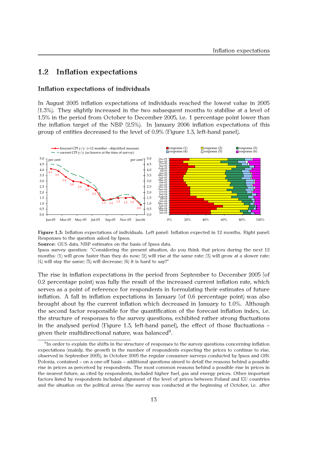## **1.2 Inflation expectations**

### **Inflation expectations of individuals**

In August 2005 inflation expectations of individuals reached the lowest value in 2005 (1.3%). They slightly increased in the two subsequent months to stabilise at a level of 1.5% in the period from October to December 2005, i.e. 1 percentage point lower than the inflation target of the NBP (2.5%). In January 2006 inflation expectations of this group of entities decreased to the level of 0.9% (Figure 1.3, left-hand panel).



**Figure 1.3:** Inflation expectations of individuals. Left panel: Inflation expected in 12 months. Right panel: Responses to the question asked by Ipsos.

**Source:** GUS data, NBP estimates on the basis of Ipsos data.

Ipsos survey question: "Considering the present situation, do you think that prices during the next 12 months: (1) will grow faster than they do now; (2) will rise at the same rate; (3) will grow at a slower rate;  $(4)$  will stay the same; (5) will decrease; (6) it is hard to say?"

The rise in inflation expectations in the period from September to December 2005 (of 0.2 percentage point) was fully the result of the increased current inflation rate, which serves as a point of reference for respondents in formulating their estimates of future inflation. A fall in inflation expectations in January (of 0.6 percentage point) was also brought about by the current inflation which decreased in January to 1.0%. Although the second factor responsible for the quantification of the forecast inflation index, i.e. the structure of responses to the survey questions, exhibited rather strong fluctuations in the analysed period (Figure 1.3, left-hand panel), the effect of those fluctuations – given their multidirectional nature, was balanced $\rm{^9}.$ 

 $^{9}{\rm In}$  order to explain the shifts in the structure of responses to the survey questions concerning inflation expectations (mainly, the growth in the number of respondents expecting the prices to continue to rise, observed in September 2005), in October 2005 the regular consumer surveys conducted by Ipsos and GfK Polonia, contained – on a one-off basis – additional questions aimed to detail the reasons behind a possible rise in prices as perceived by respondents. The most common reasons behind a possible rise in prices in the nearest future, as cited by respondents, included higher fuel, gas and energy prices. Other important factors listed by respondents included alignment of the level of prices between Poland and EU countries and the situation on the political arena (the survey was conducted at the beginning of October, i.e. after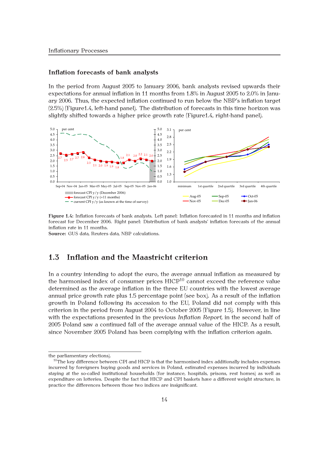### **Inflation forecasts of bank analysts**

In the period from August 2005 to January 2006, bank analysts revised upwards their expectations for annual inflation in 11 months from 1.8% in August 2005 to 2.0% in January 2006. Thus, the expected inflation continued to run below the NBP's inflation target (2.5%) (Figure1.4, left-hand panel). The distribution of forecasts in this time horizon was slightly shifted towards a higher price growth rate (Figure1.4, right-hand panel).



**Figure 1.4:** Inflation forecasts of bank analysts. Left panel: Inflation forecasted in 11 months and inflation forecast for December 2006. Right panel: Distribution of bank analysts' inflation forecasts of the annual inflation rate in 11 months.

**Source:** GUS data, Reuters data, NBP calculations.

## **1.3 Inflation and the Maastricht criterion**

In a country intending to adopt the euro, the average annual inflation as measured by the harmonised index of consumer prices  $HICP<sup>10</sup>$  cannot exceed the reference value determined as the average inflation in the three EU countries with the lowest average annual price growth rate plus 1.5 percentage point (see box). As a result of the inflation growth in Poland following its accession to the EU, Poland did not comply with this criterion in the period from August 2004 to October 2005 (Figure 1.5). However, in line with the expectations presented in the previous *Inflation Report*, in the second half of 2005 Poland saw a continued fall of the average annual value of the HICP. As a result, since November 2005 Poland has been complying with the inflation criterion again.

the parliamentary elections).

 $10$ The key difference between CPI and HICP is that the harmonised index additionally includes expenses incurred by foreigners buying goods and services in Poland, estimated expenses incurred by individuals staying at the so-called institutional households (for instance, hospitals, prisons, rest homes) as well as expenditure on lotteries. Despite the fact that HICP and CPI baskets have a different weight structure, in practice the differences between those two indices are insignificant.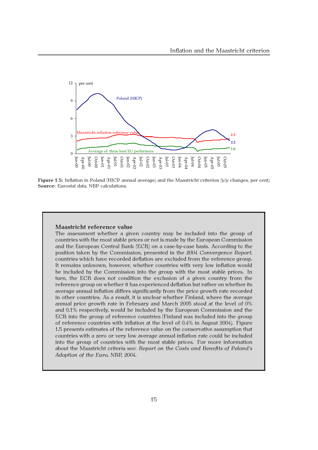

**Figure 1.5:** Inflation in Poland (HICP annual average) and the Maastricht criterion (y/y changes, per cent) **Source:** Eurostat data, NBP calculations.

#### **Maastricht reference value**

The assessment whether a given country may be included into the group of countries with the most stable prices or not is made by the European Commission and the European Central Bank (ECB) on a case-by-case basis. According to the position taken by the Commission, presented in the *2004 Convergence Report*, countries which have recorded deflation are excluded from the reference group. It remains unknown, however, whether countries with very low inflation would be included by the Commission into the group with the most stable prices. In turn, the ECB does not condition the exclusion of a given country from the reference group on whether it has experienced deflation but rather on whether its average annual inflation differs significantly from the price growth rate recorded in other countries. As a result, it is unclear whether Finland, where the average annual price growth rate in February and March 2005 stood at the level of 0% and 0.1% respectively, would be included by the European Commission and the ECB into the group of reference countries (Finland was included into the group of reference countries with inflation at the level of 0.4% in August 2004). Figure 1.5 presents estimates of the reference value on the conservative assumption that countries with a zero or very low average annual inflation rate could be included into the group of countries with the most stable prices. For more information about the Maastricht criteria see: *Report on the Costs and Benefits of Poland's Adoption of the Euro, NBP, 2004*.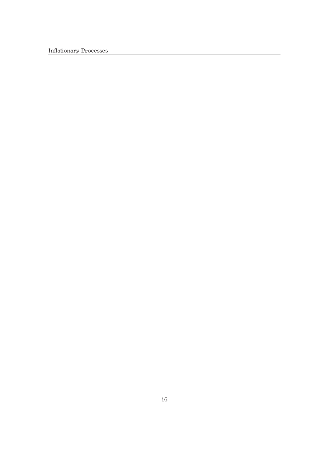Inflationary Processes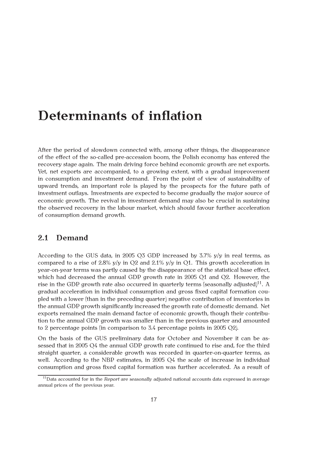## **Determinants of inflation**

After the period of slowdown connected with, among other things, the disappearance of the effect of the so-called pre-accession boom, the Polish economy has entered the recovery stage again. The main driving force behind economic growth are net exports. Yet, net exports are accompanied, to a growing extent, with a gradual improvement in consumption and investment demand. From the point of view of sustainability of upward trends, an important role is played by the prospects for the future path of investment outlays. Investments are expected to become gradually the major source of economic growth. The revival in investment demand may also be crucial in sustaining the observed recovery in the labour market, which should favour further acceleration of consumption demand growth.

## **2.1 Demand**

According to the GUS data, in 2005 Q3 GDP increased by 3.7% y/y in real terms, as compared to a rise of 2.8% y/y in Q2 and 2.1% y/y in Q1. This growth acceleration in year-on-year terms was partly caused by the disappearance of the statistical base effect, which had decreased the annual GDP growth rate in 2005 Q1 and Q2. However, the rise in the GDP growth rate also occurred in quarterly terms (seasonally adjusted)<sup>11</sup>. A gradual acceleration in individual consumption and gross fixed capital formation coupled with a lower (than in the preceding quarter) negative contribution of inventories in the annual GDP growth significantly increased the growth rate of domestic demand. Net exports remained the main demand factor of economic growth, though their contribution to the annual GDP growth was smaller than in the previous quarter and amounted to 2 percentage points (in comparison to 3.4 percentage points in 2005 Q2).

On the basis of the GUS preliminary data for October and November it can be assessed that in 2005 Q4 the annual GDP growth rate continued to rise and, for the third straight quarter, a considerable growth was recorded in quarter-on-quarter terms, as well. According to the NBP estimates, in 2005 Q4 the scale of increase in individual consumption and gross fixed capital formation was further accelerated. As a result of

<sup>11</sup>Data accounted for in the *Report* are seasonally adjusted national accounts data expressed in average annual prices of the previous year.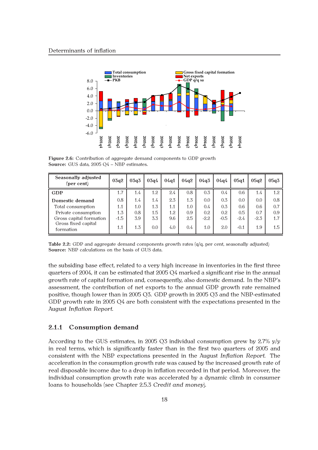

**Figure 2.6:** Contribution of aggregate demand components to GDP growth **Source:** GUS data, 2005 Q4 – NBP estimates.

| Seasonally adjusted<br>(per cent)              | 03q2   | 03q3 | 03q <sub>4</sub> | 04a1 | 04q2 | 04a3          | 04q4   | 05q1          | 05q2             | 05a3 |
|------------------------------------------------|--------|------|------------------|------|------|---------------|--------|---------------|------------------|------|
| GDP                                            | 1.7    | 1.4  | 1.2              | 2.4  | 0.8  | 0.3           | 0.4    | 0.6           | $1.4\phantom{0}$ | 1.2  |
| Domestic demand                                | 0.8    | 1.4  | $1.4\phantom{0}$ | 2.3  | 1.3  | 0.0           | 0.3    | 0.0           | 0.0              | 0.8  |
| Total consumption                              | 1.1    | 1.0  | 1.3              | 1.1  | 1.0  | 0.4           | 0.3    | 0.6           | 0.6              | 0.7  |
| Private consumption                            | 1.3    | 0.8  | 1.5              | 1.2  | 0.9  | $0.2^{\circ}$ | 0.2    | $0.5^{\circ}$ | 0.7              | 0.9  |
| Gross capital formation<br>Gross fixed capital | $-1.5$ | 3.9  | 3.3              | 9.6  | 2.5  | $-2.2$        | $-0.5$ | $-2.4$        | $-2.3$           | 1.7  |
| formation                                      | 1.1    | 1.3  | $0.0^{\circ}$    | 4.0  | 0.4  | 1.0           | 2.0    | $-0.1$        | 1.9              | 1.5  |

**Table 2.2:** GDP and aggregate demand components growth rates (q/q, per cent, seasonally adjusted) **Source:** NBP calculations on the basis of GUS data.

the subsiding base effect, related to a very high increase in inventories in the first three quarters of 2004, it can be estimated that 2005 Q4 marked a significant rise in the annual growth rate of capital formation and, consequently, also domestic demand. In the NBP's assessment, the contribution of net exports to the annual GDP growth rate remained positive, though lower than in 2005 Q3. GDP growth in 2005 Q3 and the NBP-estimated GDP growth rate in 2005 Q4 are both consistent with the expectations presented in the August *Inflation Report*.

## **2.1.1 Consumption demand**

According to the GUS estimates, in 2005 Q3 individual consumption grew by 2.7% y/y in real terms, which is significantly faster than in the first two quarters of 2005 and consistent with the NBP expectations presented in the August *Inflation Report*. The acceleration in the consumption growth rate was caused by the increased growth rate of real disposable income due to a drop in inflation recorded in that period. Moreover, the individual consumption growth rate was accelerated by a dynamic climb in consumer loans to households (see Chapter 2.5.3 *Credit and money*).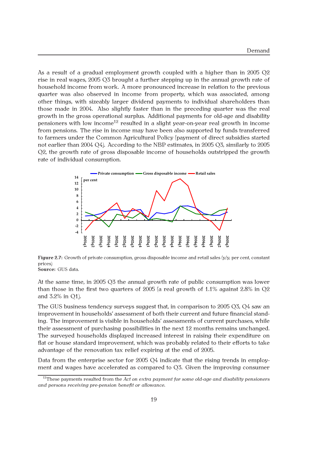As a result of a gradual employment growth coupled with a higher than in 2005 Q2 rise in real wages, 2005 Q3 brought a further stepping up in the annual growth rate of household income from work. A more pronounced increase in relation to the previous quarter was also observed in income from property, which was associated, among other things, with sizeably larger dividend payments to individual shareholders than those made in 2004. Also slightly faster than in the preceding quarter was the real growth in the gross operational surplus. Additional payments for old-age and disability pensioners with low income<sup>12</sup> resulted in a slight year-on-year real growth in income from pensions. The rise in income may have been also supported by funds transferred to farmers under the Common Agricultural Policy (payment of direct subsidies started not earlier than 2004 Q4). According to the NBP estimates, in 2005 Q3, similarly to 2005 Q2, the growth rate of gross disposable income of households outstripped the growth rate of individual consumption.



**Figure 2.7:** Growth of private consumption, gross disposable income and retail sales (y/y, per cent, constant prices)

**Source:** GUS data.

At the same time, in 2005 Q3 the annual growth rate of public consumption was lower than those in the first two quarters of 2005 (a real growth of 1.1% against 2.8% in Q2 and 3.2% in Q1).

The GUS business tendency surveys suggest that, in comparison to 2005 Q3, Q4 saw an improvement in households' assessment of both their current and future financial standing. The improvement is visible in households' assessments of current purchases, while their assessment of purchasing possibilities in the next 12 months remains unchanged. The surveyed households displayed increased interest in raising their expenditure on flat or house standard improvement, which was probably related to their efforts to take advantage of the renovation tax relief expiring at the end of 2005.

Data from the enterprise sector for 2005 Q4 indicate that the rising trends in employment and wages have accelerated as compared to Q3. Given the improving consumer

<sup>12</sup>These payments resulted from the *Act on extra payment for some old-age and disability pensioners and persons receiving pre-pension benefit or allowance*.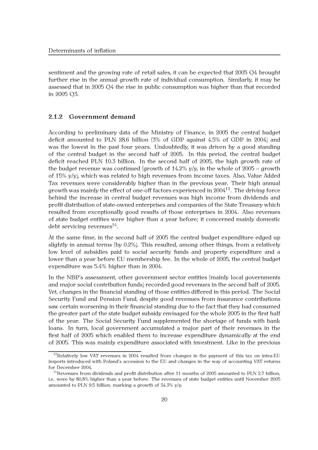sentiment and the growing rate of retail sales, it can be expected that 2005 Q4 brought further rise in the annual growth rate of individual consumption. Similarly, it may be assessed that in 2005 Q4 the rise in public consumption was higher than that recorded in 2005 Q3.

### **2.1.2 Government demand**

According to preliminary data of the Ministry of Finance, in 2005 the central budget deficit amounted to PLN 28.6 billion (3% of GDP against 4.5% of GDP in 2004) and was the lowest in the past four years. Undoubtedly, it was driven by a good standing of the central budget in the second half of 2005. In this period, the central budget deficit reached PLN 10.3 billion. In the second half of 2005, the high growth rate of the budget revenue was continued (growth of  $14.2\%$  y/y, in the whole of  $2005$  – growth of 15% y/y), which was related to high revenues from income taxes. Also, Value Added Tax revenues were considerably higher than in the previous year. Their high annual growth was mainly the effect of one-off factors experienced in 2004<sup>13</sup>. The driving force behind the increase in central budget revenues was high income from dividends and profit distribution of state-owned enterprises and companies of the State Treasury which resulted from exceptionally good results of those enterprises in 2004. Also revenues of state budget entities were higher than a year before; it concerned mainly domestic debt servicing revenues<sup>14</sup>.

At the same time, in the second half of 2005 the central budget expenditure edged up slightly in annual terms (by 0.2%). This resulted, among other things, from a relatively low level of subsidies paid to social security funds and property expenditure and a lower than a year before EU membership fee. In the whole of 2005, the central budget expenditure was 5.4% higher than in 2004.

In the NBP's assessment, other government sector entities (mainly local governments and major social contribution funds) recorded good revenues in the second half of 2005. Yet, changes in the financial standing of those entities differed in this period. The Social Security Fund and Pension Fund, despite good revenues from insurance contributions saw certain worsening in their financial standing due to the fact that they had consumed the greater part of the state budget subsidy envisaged for the whole 2005 in the first half of the year. The Social Security Fund supplemented the shortage of funds with bank loans. In turn, local government accumulated a major part of their revenues in the first half of 2005 which enabled them to increase expenditure dynamically at the end of 2005. This was mainly expenditure associated with investment. Like in the previous

<sup>&</sup>lt;sup>13</sup>Relatively low VAT revenues in 2004 resulted from changes in the payment of this tax on intra-EU imports introduced with Poland's accession to the EU and changes in the way of accounting VAT returns for December 2004.

 $14}$ Revenues from dividends and profit distribution after 11 months of 2005 amounted to PLN 2.7 billion, i.e. were by 80.8% higher than a year before. The revenues of state budget entities until November 2005 amounted to PLN 9.5 billion, marking a growth of 34.3% y/y.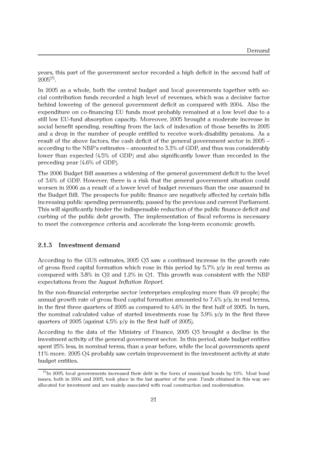years, this part of the government sector recorded a high deficit in the second half of 2005<sup>15</sup> .

In 2005 as a whole, both the central budget and local governments together with social contribution funds recorded a high level of revenues, which was a decisive factor behind lowering of the general government deficit as compared with 2004. Also the expenditure on co-financing EU funds most probably remained at a low level due to a still low EU-fund absorption capacity. Moreover, 2005 brought a moderate increase in social benefit spending, resulting from the lack of indexation of those benefits in 2005 and a drop in the number of people entitled to receive work-disability pensions. As a result of the above factors, the cash deficit of the general government sector in 2005 – according to the NBP's estimates – amounted to 3.3% of GDP, and thus was considerably lower than expected (4.5% of GDP) and also significantly lower than recorded in the preceding year (4.6% of GDP).

The 2006 Budget Bill assumes a widening of the general government deficit to the level of 3.6% of GDP. However, there is a risk that the general government situation could worsen in 2006 as a result of a lower level of budget revenues than the one assumed in the Budget Bill. The prospects for public finance are negatively affected by certain bills increasing public spending permanently, passed by the previous and current Parliament. This will significantly hinder the indispensable reduction of the public finance deficit and curbing of the public debt growth. The implementation of fiscal reforms is necessary to meet the convergence criteria and accelerate the long-term economic growth.

## **2.1.3 Investment demand**

According to the GUS estimates, 2005 Q3 saw a continued increase in the growth rate of gross fixed capital formation which rose in this period by  $5.7\%$  y/y in real terms as compared with 3.8% in Q2 and 1.2% in Q1. This growth was consistent with the NBP expectations from the August *Inflation Report*.

In the non-financial enterprise sector (enterprises employing more than 49 people) the annual growth rate of gross fixed capital formation amounted to 7.4% y/y, in real terms, in the first three quarters of 2005 as compared to 4.6% in the first half of 2005. In turn, the nominal calculated value of started investments rose by  $3.9\%$  y/y in the first three quarters of 2005 (against 4.5% y/y in the first half of 2005).

According to the data of the Ministry of Finance, 2005 Q3 brought a decline in the investment activity of the general government sector. In this period, state budget entities spent 25% less, in nominal terms, than a year before, while the local governments spent 11% more. 2005 Q4 probably saw certain improvement in the investment activity at state budget entities.

<sup>&</sup>lt;sup>15</sup>In 2005, local governments increased their debt in the form of municipal bonds by 10%. Most bond issues, both in 2004 and 2005, took place in the last quarter of the year. Funds obtained in this way are allocated for investment and are mainly associated with road construction and modernisation.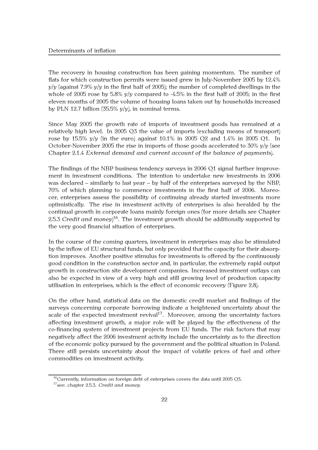The recovery in housing construction has been gaining momentum. The number of flats for which construction permits were issued grew in July-November 2005 by 12.4%  $y/y$  (against 7.9%  $y/y$  in the first half of 2005); the number of completed dwellings in the whole of 2005 rose by 5.8%  $y/y$  compared to  $-4.5\%$  in the first half of 2005; in the first eleven months of 2005 the volume of housing loans taken out by households increased by PLN 12.7 billion  $(35.5\% \text{ y/y})$ , in nominal terms.

Since May 2005 the growth rate of imports of investment goods has remained at a relatively high level. In 2005 Q3 the value of imports (excluding means of transport) rose by 15.5% y/y (in the euro) against  $10.1\%$  in 2005 Q2 and  $1.4\%$  in 2005 Q1. In October-November 2005 the rise in imports of those goods accelerated to 30% y/y (see Chapter 2.1.4 *External demand and current account of the balance of payments*).

The findings of the NBP business tendency surveys in 2006 Q1 signal further improvement in investment conditions. The intention to undertake new investments in 2006 was declared – similarly to last year – by half of the enterprises surveyed by the NBP, 70% of which planning to commence investments in the first half of 2006. Moreocer, enterprises assess the possibility of continuing already started investments more optimistically. The rise in investment activity of enterprises is also heralded by the continual growth in corporate loans mainly foreign ones (for more details see Chapter 2.5.3 *Credit and money*) <sup>16</sup>. The investment growth should be additionally supported by the very good financial situation of enterprises.

In the course of the coming quarters, investment in enterprises may also be stimulated by the inflow of EU structural funds, but only provided that the capacity for their absorption improves. Another positive stimulus for investments is offered by the continuously good condition in the construction sector and, in particular, the extremely rapid output growth in construction site development companies. Increased investment outlays can also be expected in view of a very high and still growing level of production capacity utilisation in enterprises, which is the effect of economic recovery (Figure 2.8).

On the other hand, statistical data on the domestic credit market and findings of the surveys concerning corporate borrowing indicate a heightened uncertainty about the scale of the expected investment revival<sup>17</sup>. Moreover, among the uncertainty factors affecting investment growth, a major role will be played by the effectiveness of the co-financing system of investment projects from EU funds. The risk factors that may negatively affect the 2006 investment activity include the uncertainty as to the direction of the economic policy pursued by the government and the political situation in Poland. There still persists uncertainty about the impact of volatile prices of fuel and other commodities on investment activity.

 $16$ Currently, information on foreign debt of enterprises covers the data until 2005 Q3.

<sup>17</sup>see: chapter 2.5.3. *Credit and money.*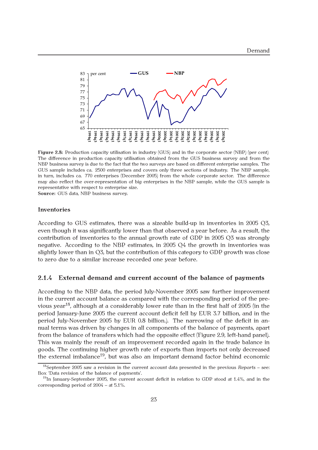

**Figure 2.8:** Production capacity utilisation in industry (GUS) and in the corporate sector (NBP) (per cent) The difference in production capacity utilisation obtained from the GUS business survey and from the NBP business survey is due to the fact that the two surveys are based on different enterprise samples. The GUS sample includes ca. 2500 enterprises and covers only three sections of industry. The NBP sample, in turn, includes ca. 770 enterprises (December 2005) from the whole corporate sector. The difference may also reflect the over-representation of big enterprises in the NBP sample, while the GUS sample is representative with respect to enterprise size.

**Source:** GUS data, NBP business survey.

#### **Inventories**

According to GUS estimates, there was a sizeable build-up in inventories in 2005 Q3, even though it was significantly lower than that observed a year before. As a result, the contribution of inventories to the annual growth rate of GDP in 2005 Q3 was strongly negative. According to the NBP estimates, in 2005 Q4 the growth in inventories was slightly lower than in Q3, but the contribution of this category to GDP growth was close to zero due to a similar increase recorded one year before.

### **2.1.4 External demand and current account of the balance of payments**

According to the NBP data, the period July-November 2005 saw further improvement in the current account balance as compared with the corresponding period of the previous year<sup>18</sup>, although at a considerably lower rate than in the first half of  $2005$  (in the period January-June 2005 the current account deficit fell by EUR 3.7 billion, and in the period July-November 2005 by EUR 0.8 billion.). The narrowing of the deficit in annual terms was driven by changes in all components of the balance of payments, apart from the balance of transfers which had the opposite effect (Figure 2.9, left-hand panel). This was mainly the result of an improvement recorded again in the trade balance in goods. The continuing higher growth rate of exports than imports not only decreased the external imbalance<sup>19</sup>, but was also an important demand factor behind economic

<sup>18</sup>September 2005 saw a revision in the current account data presented in the previous *Reports* – see: Box 'Data revision of the balance of payments'.

 $19$ In January-September 2005, the current account deficit in relation to GDP stood at 1.4%, and in the corresponding period of 2004 – at 5.1%.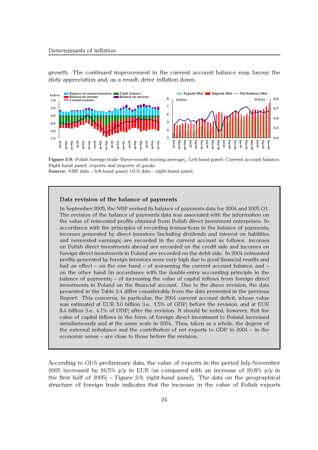growth. The continued improvement in the current account balance may favour the zloty appreciation and, as a result, drive inflation down.



**Figure 2.9:** Polish foreign trade (three-month moving average). Left-hand panel: Current account balance. Right-hand panel: exports and imports of goods. **Source:** NBP data – left-hand panel, GUS data – right-hand panel.

#### **Data revision of the balance of payments**

In September 2005, the NBP revised its balance of payments data for 2004 and 2005 Q1. The revision of the balance of payments data was associated with the information on the value of reinvested profits obtained from Polish direct investment enterprises. In accordance with the principles of recording transactions in the balance of payments, incomes generated by direct investors (including dividends and interest on liabilities and reinvested earnings) are recorded in the current account as follows: incomes on Polish direct investments abroad are recorded on the credit side and incomes on foreign direct investments in Poland are recorded on the debit side. In 2004 reinvested profits generated by foreign investors were very high due to good financial results and had an effect – on the one hand – of worsening the current account balance, and – on the other hand (in accordance with the double-entry accounting principle in the balance of payments) – of increasing the value of capital inflows from foreign direct investments in Poland on the financial account. Due to the above revision, the data presented in the Table 2.4 differ considerably from the data presented in the previous *Report*. This concerns, in particular, the 2004 current account deficit, whose value was estimated at EUR 3.0 billion (i.e. 1.5% of GDP) before the revision, and at EUR 8.4 billion (i.e. 4.1% of GDP) after the revision. It should be noted, however, that the value of capital inflows in the form of foreign direct investment to Poland increased simultaneously and at the same scale in 2004. Thus, taken as a whole, the degree of the external imbalance and the contribution of net exports to GDP in 2004 – in the economic sense – are close to those before the revision.

According to GUS preliminary data, the value of exports in the period July-November 2005 increased by 16.5%  $y/y$  in EUR (as compared with an increase of 20.8%  $y/y$  in the first half of 2005) – Figure 2.9, right-hand panel). The data on the geographical structure of foreign trade indicates that the increase in the value of Polish exports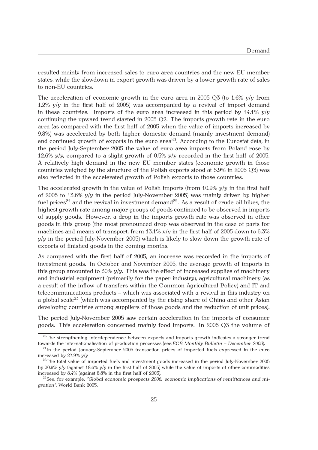resulted mainly from increased sales to euro area countries and the new EU member states, while the slowdown in export growth was driven by a lower growth rate of sales to non-EU countries.

The acceleration of economic growth in the euro area in 2005 Q3 (to 1.6% y/y from 1.2% y/y in the first half of 2005) was accompanied by a revival of import demand in these countries. Imports of the euro area increased in this period by  $14.1\%$  y/y continuing the upward trend started in 2005 Q2. The imports growth rate in the euro area (as compared with the first half of 2005 when the value of imports increased by 9.8%) was accelerated by both higher domestic demand (mainly investment demand) and continued growth of exports in the euro area<sup>20</sup>. According to the Eurostat data, in the period July-September 2005 the value of euro area imports from Poland rose by 12.6%  $y/y$ , compared to a slight growth of 0.5%  $y/y$  recorded in the first half of 2005. A relatively high demand in the new EU member states (economic growth in those countries weighed by the structure of the Polish exports stood at 5.9% in 2005 Q3) was also reflected in the accelerated growth of Polish exports to those countries.

The accelerated growth in the value of Polish imports (from  $10.9\%$  y/y in the first half of 2005 to 13.6% y/y in the period July-November 2005) was mainly driven by higher fuel prices<sup>21</sup> and the revival in investment demand<sup>22</sup>. As a result of crude oil hikes, the highest growth rate among major groups of goods continued to be observed in imports of supply goods. However, a drop in the imports growth rate was observed in other goods in this group (the most pronounced drop was observed in the case of parts for machines and means of transport, from 13.1% y/y in the first half of 2005 down to 6.3% y/y in the period July-November 2005) which is likely to slow down the growth rate of exports of finished goods in the coming months.

As compared with the first half of 2005, an increase was recorded in the imports of investment goods. In October and November 2005, the average growth of imports in this group amounted to 30%  $y/y$ . This was the effect of increased supplies of machinery and industrial equipment (primarily for the paper industry), agricultural machinery (as a result of the inflow of transfers within the Common Agricultural Policy) and IT and telecommunications products – which was associated with a revival in this industry on a global scale<sup>23</sup> (which was accompanied by the rising share of China and other Asian developing countries among suppliers of those goods and the reduction of unit prices).

The period July-November 2005 saw certain acceleration in the imports of consumer goods. This acceleration concerned mainly food imports. In 2005 Q3 the volume of

 $20$ The strengthening interdependence between exports and imports growth indicates a stronger trend towards the internationalisation of production processes (see:*ECB Monthly Bulletin – December 2005*).

<sup>&</sup>lt;sup>21</sup>In the period January-September 2005 transaction prices of imported fuels expressed in the euro increased by 27.9% y/y

 $^{22}$ The total value of imported fuels and investment goods increased in the period July-November 2005 by 30.9% y/y (against 18.6% y/y in the first half of 2005) while the value of imports of other commodities increased by 8.4% (against 8.8% in the first half of 2005).

<sup>23</sup>See, for example, *"Global economic prospects 2006: economic implications of remittances and migration"*, World Bank 2005.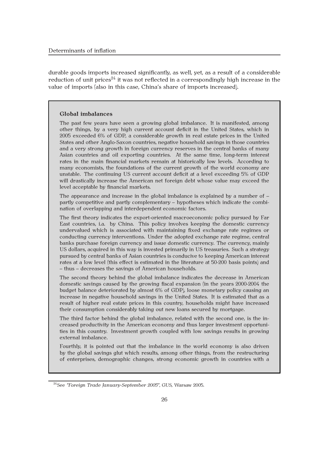durable goods imports increased significantly, as well, yet, as a result of a considerable reduction of unit prices<sup>24</sup> it was not reflected in a correspondingly high increase in the value of imports (also in this case, China's share of imports increased).

## **Global imbalances**

The past few years have seen a growing global imbalance. It is manifested, among other things, by a very high current account deficit in the United States, which in 2005 exceeded 6% of GDP, a considerable growth in real estate prices in the United States and other Anglo-Saxon countries, negative household savings in those countries and a very strong growth in foreign currency reserves in the central banks of many Asian countries and oil exporting countries. At the same time, long-term interest rates in the main financial markets remain at historically low levels. According to many economists, the foundations of the current growth of the world economy are unstable. The continuing US current account deficit at a level exceeding 5% of GDP will drastically increase the American net foreign debt whose value may exceed the level acceptable by financial markets.

The appearance and increase in the global imbalance is explained by a number of – partly competitive and partly complementary – hypotheses which indicate the combination of overlapping and interdependent economic factors.

The first theory indicates the export-oriented macroeconomic policy pursued by Far East countries, i.a. by China. This policy involves keeping the domestic currency undervalued which is associated with maintaining fixed exchange rate regimes or conducting currency interventions. Under the adopted exchange rate regime, central banks purchase foreign currency and issue domestic currency. The currency, mainly US dollars, acquired in this way is invested primarily in US treasuries. Such a strategy pursued by central banks of Asian countries is conducive to keeping American interest rates at a low level (this effect is estimated in the literature at 50-200 basis points) and – thus – decreases the savings of American households.

The second theory behind the global imbalance indicates the decrease in American domestic savings caused by the growing fiscal expansion (in the years 2000-2004 the budget balance deteriorated by almost 6% of GDP), loose monetary policy causing an increase in negative household savings in the United States. It is estimated that as a result of higher real estate prices in this country, households might have increased their consumption considerably taking out new loans secured by mortgage.

The third factor behind the global imbalance, related with the second one, is the increased productivity in the American economy and thus larger investment opportunities in this country. Investment growth coupled with low savings results in growing external imbalance.

Fourthly, it is pointed out that the imbalance in the world economy is also driven by the global savings glut which results, among other things, from the restructuring of enterprises, demographic changes, strong economic growth in countries with a

<sup>24</sup>See *"Foreign Trade January-September 2005"*, GUS, Warsaw 2005.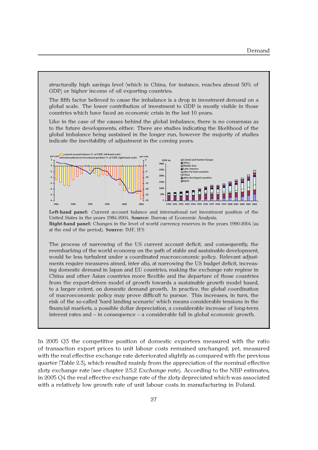structurally high savings level (which in China, for instance, reaches almost 50% of GDP) or higher income of oil exporting countries.

The fifth factor believed to cause the imbalance is a drop in investment demand on a global scale. The lower contribution of investment to GDP is mostly visible in those countries which have faced an economic crisis in the last 10 years.

Like in the case of the causes behind the global imbalance, there is no consensus as to the future developments, either. There are studies indicating the likelihood of the global imbalance being sustained in the longer run, however the majority of studies indicate the inevitability of adjustment in the coming years.



**Left-hand panel:** Current account balance and international net investment position of the United States in the years 1984-2004. **Source:** Bureau of Economic Analysis. **Right-hand panel:** Changes in the level of world currency reserves in the years 1990-2004 (as at the end of the period). **Source:** IMF, IFS

The process of narrowing of the US current account deficit, and consequently, the reembarking of the world economy on the path of stable and sustainable development, would be less turbulent under a coordinated macroeconomic policy. Relevant adjustments require measures aimed, inter alia, at narrowing the US budget deficit, increasing domestic demand in Japan and EU countries, making the exchange rate regime in China and other Asian countries more flexible and the departure of those countries from the export-driven model of growth towards a sustainable growth model based, to a larger extent, on domestic demand growth. In practice, the global coordination of macroeconomic policy may prove difficult to pursue. This increases, in turn, the risk of the so-called 'hard landing scenario' which means considerable tensions in the financial markets, a possible dollar depreciation, a considerable increase of long-term interest rates and – in consequence – a considerable fall in global economic growth.

In 2005 Q3 the competitive position of domestic exporters measured with the ratio of transaction export prices to unit labour costs remained unchanged; yet, measured with the real effective exchange rate deteriorated slightly as compared with the previous quarter (Table 2.3), which resulted mainly from the appreciation of the nominal effective zloty exchange rate (see chapter 2.5.2 *Exchange rate*). According to the NBP estimates, in 2005 Q4 the real effective exchange rate of the zloty depreciated which was associated with a relatively low growth rate of unit labour costs in manufacturing in Poland.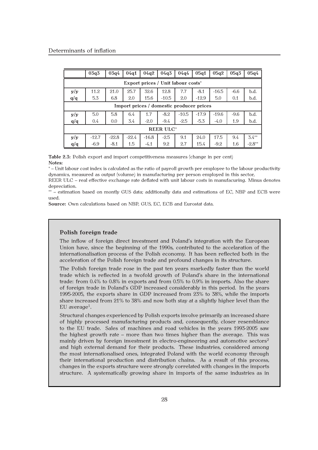|                                                | 03q3                                     | 03q <sub>4</sub> | 04q1    | 04q2    | 04q3    | 04q <sub>4</sub> | 05q1    | 05q2    | 05q3   | 05q4     |  |  |  |
|------------------------------------------------|------------------------------------------|------------------|---------|---------|---------|------------------|---------|---------|--------|----------|--|--|--|
| Export prices / Unit labour costs <sup>*</sup> |                                          |                  |         |         |         |                  |         |         |        |          |  |  |  |
| y/y                                            | 11.2                                     | 21.0             | 25.7    | 32.6    | 12.8    | 7.7              | $-8.1$  | $-16.5$ | $-6.6$ | b.d.     |  |  |  |
| q/q                                            | 5.3                                      | 6.8              | 2.0     | 15.6    | $-10.5$ | 2.0              | $-12.9$ | 5.0     | 0.1    | b.d.     |  |  |  |
|                                                | Import prices / domestic producer prices |                  |         |         |         |                  |         |         |        |          |  |  |  |
| y/y                                            | 5.0                                      | 5.8              | 6.4     | 1.7     | $-8.2$  | $-10.5$          | $-17.9$ | $-19.6$ | $-9.6$ | b.d.     |  |  |  |
| q/q                                            | $0.4\text{ }$                            | 0.0              | 3.4     | $-2.0$  | $-9.4$  | $-2.5$           | $-5.3$  | $-4.0$  | 1.9    | b.d.     |  |  |  |
|                                                | REER ULC*                                |                  |         |         |         |                  |         |         |        |          |  |  |  |
| y/y                                            | $-12.7$                                  | $-22.8$          | $-22.4$ | $-16.8$ | $-2.5$  | 9.1              | 24.0    | 17.5    | 9.4    | $3.4***$ |  |  |  |
| q/q                                            | $-6.9$                                   | $-8.1$           | 1.5     | $-4.1$  | 9.2     | 2.7              | 15.4    | $-9.2$  | 1.6    | $-2.8**$ |  |  |  |

**Table 2.3:** Polish export and import competitiveness measures (change in per cent) **Notes:**

\* – Unit labour cost index is calculated as the ratio of payroll growth per employee to the labour productivity dynamics, measured as output (volume) in manufacturing per person employed in this sector,

REER ULC – real effective exchange rate deflated with unit labour costs in manufacuring. Minus denotes depreciation.

\*\* – estimation based on montly GUS data; additionally data and estimations of EC, NBP and ECB were used.

**Source:** Own calculations based on NBP, GUS, EC, ECB and Eurostat data.

### **Polish foreign trade**

The inflow of foreign direct investment and Poland's integration with the European Union have, since the beginning of the 1990s, contributed to the accelaration of the internationalisation process of the Polish economy. It has been reflected both in the acceleration of the Polish foreign trade and profound changes in its structure.

The Polish foreign trade rose in the past ten years markedly faster than the world trade which is reflected in a twofold growth of Poland's share in the international trade: from 0.4% to 0.8% in exports and from 0.5% to 0.9% in imports. Also the share of foreign trade in Poland's GDP increased considerably in this period. In the years 1995-2005, the exports share in GDP increased from 23% to 38%, while the imports share increased from 21% to 38% and now both stay at a slightly higher level than the  $EU$  average<sup>1</sup>.

Structural changes experienced by Polish exports involve primarily an increased share of highly processed manufacturing products and, consequently, closer resemblance to the EU trade. Sales of machines and road vehicles in the years 1993-2005 saw the highest growth rate – more than two times higher than the average. This was mainly driven by foreign investment in electro-engineering and automotive sectors<sup>2</sup> and high external demand for their products. These industries, considered among the most internationalised ones, integrated Poland with the world economy through their international production and distribution chains. As a result of this process, changes in the exports structure were strongly correlated with changes in the imports structure. A systematically growing share in imports of the same industries as in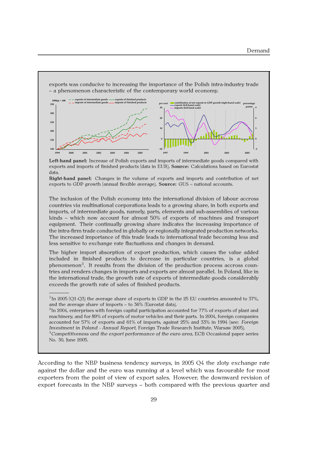exports was conducive to increasing the importance of the Polish intra-industry trade – a phenomenon characteristic of the contemporary world economy.



**Left-hand panel:** Increase of Polish exports and imports of intermediate goods compared with exports and imports of finished products (data in EUR). **Source:** Calculations based on Eurostat data.

**Right-hand panel:** Changes in the volume of exports and imports and contribution of net exports to GDP growth (annual flexible average). **Source:** GUS – national accounts.

The inclusion of the Polish economy into the international division of labour accross countries via multinational corporations leads to a growing share, in both exports and imports, of intermediate goods, namely, parts, elements and sub-assemblies of various kinds – which now account for almost 50% of exports of machines and transport equipment. Their continually growing share indicates the increasing importance of the intra-firm trade conducted in globally or regionally integrated production networks. The increased importance of this trade leads to international trade becoming less and less sensitive to exchange rate fluctuations and changes in demand.

The higher import absorption of export production, which causes the value added included in finished products to decrease in particular countries, is a global phenomenon<sup>3</sup>. It results from the division of the production process accross countries and renders changes in imports and exports are almost parallel. In Poland, like in the international trade, the growth rate of exports of intermediate goods considerably exceeds the growth rate of sales of finished products.

———

According to the NBP business tendency surveys, in 2005 Q4 the zloty exchange rate against the dollar and the euro was running at a level which was favourable for most exporters from the point of view of export sales. However, the downward revision of export forecasts in the NBP surveys – both compared with the previous quarter and

 $1$ In 2005 (Q1-Q3) the average share of exports in GDP in the 25 EU countries amounted to 37%, and the average share of imports – to 36% (Eurostat data).

 $^{2}$ In 2004, enterprises with foreign capital participation accounted for 77% of exports of plant and machinery, and for 89% of exports of motor vehicles and their parts. In 2004, foreign companies accounted for 57% of exports and 61% of imports, against 25% and 33% in 1994 (see: *Foreign Investment in Poland - Annual Report*, Foreign Trade Research Institute, Warsaw 2005).

<sup>3</sup>*Competitiveness and the export performance of the euro area*, ECB Occasional paper series No. 30, June 2005.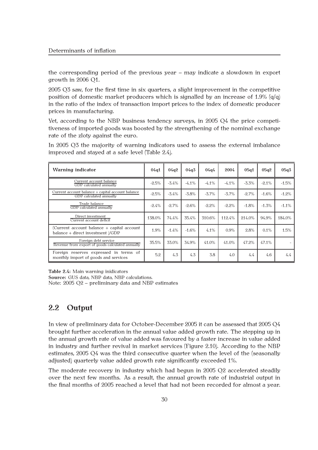the corresponding period of the previous year – may indicate a slowdown in export growth in 2006 Q1.

2005 Q3 saw, for the first time in six quarters, a slight improvement in the competitive position of domestic market producers which is signalled by an increase of 1.9%  $(q/q)$ in the ratio of the index of transaction import prices to the index of domestic producer prices in manufacturing.

Yet, according to the NBP business tendency surveys, in 2005 Q4 the price competitiveness of imported goods was boosted by the strengthening of the nominal exchange rate of the zloty against the euro.

In 2005 Q3 the majority of warning indicators used to assess the external imbalance improved and stayed at a safe level (Table 2.4).

| Warning indicator                                                                | 04q1    | 04q2     | 04q3     | $04q_{4}$ | 2004     | 05q1     | 05q2    | 05q3    |
|----------------------------------------------------------------------------------|---------|----------|----------|-----------|----------|----------|---------|---------|
| Current account balance<br>GDP calculated annually                               | $-2.5%$ | $-3.4%$  | $-4.1\%$ | $-4.1\%$  | $-4.1\%$ | $-3.3\%$ | $-2.1%$ | $-1.5%$ |
| Current account balance + capital account balance<br>GDP calculated annually     | $-2.5%$ | $-3.4\%$ | $-3.8%$  | $-3.7%$   | $-3.7\%$ | $-2.7\%$ | $-1.6%$ | $-1.2%$ |
| Trade balance<br>GDP calculated annually                                         | $-2.4%$ | $-2.7\%$ | $-2.6%$  | $-2.2%$   | $-2.2%$  | $-1.8%$  | $-1.3%$ | $-1.1%$ |
| Direct investment<br>Current account deficit                                     | 138.0%  | 74.4%    | 35.4%    | 310.6%    | 112.4%   | 214.0%   | 94.9%   | 184.0%  |
| (Current account balance + capital account)<br>balance + direct investment //GDP | 1.9%    | $-1.4%$  | $-1.6%$  | 4.1%      | $0.9\%$  | 2.8%     | 0.1%    | 1.5%    |
| Foreign debt service<br>Revenue from export of goods calculated annually         | 35.5%   | 33.0%    | 34.9%    | 41.0%     | 41.0%    | 47.2%    | 47.1%   |         |
| Foreign reserves expressed in terms of<br>monthly import of goods and services   | 5.2     | 4.3      | 4.3      | 3.8       | 4.0      | 4.4      | 4.6     | 4.4     |

**Table 2.4:** Main warning inidicators

**Source:** GUS data, NBP data, NBP calculations.

Note: 2005 Q2 – preliminary data and NBP estimates

## **2.2 Output**

In view of preliminary data for October-December 2005 it can be assessed that 2005 Q4 brought further acceleration in the annual value added growth rate. The stepping up in the annual growth rate of value added was favoured by a faster increase in value added in industry and further revival in market services (Figure 2.10). According to the NBP estimates, 2005 Q4 was the third consecutive quarter when the level of the (seasonally adjusted) quarterly value added growth rate significantly exceeded 1%.

The moderate recovery in industry which had begun in 2005 Q2 accelerated steadily over the next few months. As a result, the annual growth rate of industrial output in the final months of 2005 reached a level that had not been recorded for almost a year.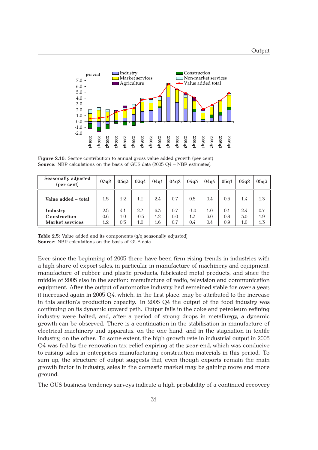

**Figure 2.10:** Sector contribution to annual gross value added growth (per cent) **Source:** NBP calculations on the basis of GUS data (2005 Q4 – NBP estimates).

| Seasonally adjusted<br>(per cent)                  | 03q2              | 03q3              | 03q <sub>4</sub>     | 04q1              | 04q2              | 04q3                     | 04q4                        | 05q1              | 05a2              | 05a3              |
|----------------------------------------------------|-------------------|-------------------|----------------------|-------------------|-------------------|--------------------------|-----------------------------|-------------------|-------------------|-------------------|
| Value added – total                                | 1.5               | 1.2               | 1.1                  | 2.4               | 0.7               | 0.5                      | 0.4                         | 0.5               | 1.4               | 1.3               |
| Industry<br>Construction<br><b>Market services</b> | 2.5<br>0.6<br>1.2 | 4.1<br>1.0<br>0.5 | 2.7<br>$-0.5$<br>1.0 | 6.3<br>1.2<br>1.6 | 0.7<br>0.0<br>0.7 | $-1.0$<br>1.3<br>$0.4\,$ | 1.0<br>3.0<br>$0.4\text{ }$ | 0.1<br>0.8<br>0.9 | 2.4<br>3.0<br>1.0 | 0.7<br>1.9<br>1.3 |

**Table 2.5:** Value added and its components (q/q seasonally adjusted) **Source:** NBP calculations on the basis of GUS data.

Ever since the beginning of 2005 there have been firm rising trends in industries with a high share of export sales, in particular in manufacture of machinery and equipment, manufacture of rubber and plastic products, fabricated metal products, and since the middle of 2005 also in the section: manufacture of radio, television and communication equipment. After the output of automotive industry had remained stable for over a year, it increased again in 2005 Q4, which, in the first place, may be attributed to the increase in this section's production capacity. In 2005 Q4 the output of the food industry was continuing on its dynamic upward path. Output falls in the coke and petroleum refining industry were halted, and, after a period of strong drops in metallurgy, a dynamic growth can be observed. There is a continuation in the stabilisation in manufacture of electrical machinery and apparatus, on the one hand, and in the stagnation in textile industry, on the other. To some extent, the high growth rate in industrial output in 2005 Q4 was fed by the renovation tax relief expiring at the year-end, which was conducive to raising sales in enterprises manufacturing construction materials in this period. To sum up, the structure of output suggests that, even though exports remain the main growth factor in industry, sales in the domestic market may be gaining more and more ground.

The GUS business tendency surveys indicate a high probability of a continued recovery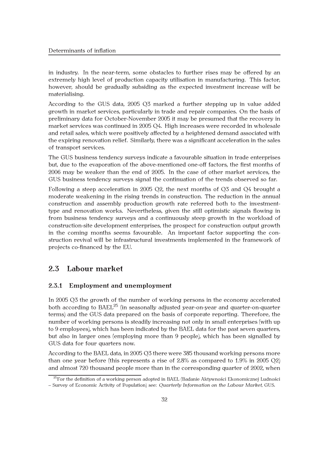in industry. In the near-term, some obstacles to further rises may be offered by an extremely high level of production capacity utilisation in manufacturing. This factor, however, should be gradually subsiding as the expected investment increase will be materialising.

According to the GUS data, 2005 Q3 marked a further stepping up in value added growth in market services, particularly in trade and repair companies. On the basis of preliminary data for October-November 2005 it may be presumed that the recovery in market services was continued in 2005 Q4. High increases were recorded in wholesale and retail sales, which were positively affected by a heightened demand associated with the expiring renovation relief. Similarly, there was a significant acceleration in the sales of transport services.

The GUS business tendency surveys indicate a favourable situation in trade enterprises but, due to the evaporation of the above-mentioned one-off factors, the first months of 2006 may be weaker than the end of 2005. In the case of other market services, the GUS business tendency surveys signal the continuation of the trends observed so far.

Following a steep acceleration in 2005 Q2, the next months of Q3 and Q4 brought a moderate weakening in the rising trends in construction. The reduction in the annual construction and assembly production growth rate referred both to the investmenttype and renovation works. Nevertheless, given the still optimistic signals flowing in from business tendency surveys and a continuously steep growth in the workload of construction-site development enterprises, the prospect for construction output growth in the coming months seems favourable. An important factor supporting the construction revival will be infrastructural investments implemented in the framework of projects co-financed by the EU.

## **2.3 Labour market**

## **2.3.1 Employment and unemployment**

In 2005 Q3 the growth of the number of working persons in the economy accelerated both according to BAEL<sup>25</sup> (in seasonally adjusted year-on-year and quarter-on-quarter terms) and the GUS data prepared on the basis of corporate reporting. Therefore, the number of working persons is steadily increasing not only in small enterprises (with up to 9 employees), which has been indicated by the BAEL data for the past seven quarters, but also in larger ones (employing more than 9 people), which has been signalled by GUS data for four quarters now.

According to the BAEL data, in 2005 Q3 there were 385 thousand working persons more than one year before (this represents a rise of 2.8% as compared to 1.9% in 2005 Q2) and almost 720 thousand people more than in the corresponding quarter of 2002, when

<sup>&</sup>lt;sup>25</sup>For the definition of a working person adopted in BAEL (Badanie Aktywności Ekonomicznej Ludności – Survey of Economic Activity of Population) see: *Quarterly Information on the Labour Market*, GUS.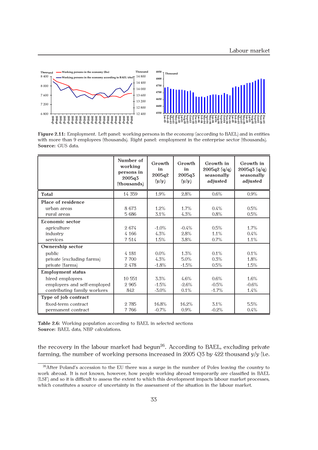

**Figure 2.11:** Employment. Left panel: working persons in the economy (according to BAEL) and in entities with more than 9 employees (thousands). Right panel: employment in the enterprise sector (thousands). **Source:** GUS data.

|                                                                                                           | Number of<br>working<br>persons in<br>2005q3<br>(thousands) | Growth<br>in<br>2005q2<br>(y/y) | Growth<br>in<br>2005q3<br>(y/y) | Growth in<br>$2005q2$ (q/q)<br>seasonally<br>adjusted | Growth in<br>$2005q3$ (q/q)<br>seasonally<br>adjusted |
|-----------------------------------------------------------------------------------------------------------|-------------------------------------------------------------|---------------------------------|---------------------------------|-------------------------------------------------------|-------------------------------------------------------|
| <b>Total</b>                                                                                              | 14 359                                                      | 1.9%                            | 2.8%                            | 0.6%                                                  | 0.9%                                                  |
| Place of residence<br>urban areas<br>rural areas                                                          | 8673<br>5686                                                | 1.2%<br>3.1%                    | 1.7%<br>4.3%                    | 0.4%<br>0.8%                                          | 0.5%<br>0.5%                                          |
| Economic sector<br>agriculture<br>industry<br>services                                                    | 2674<br>4 1 6 6<br>7 514                                    | $-1.0\%$<br>4.3%<br>1.5%        | $-0.4%$<br>2.8%<br>3.8%         | 0.5%<br>1.1%<br>0.7%                                  | 1.7%<br>0.4%<br>1.1%                                  |
| Ownership sector<br>public<br>private (excluding farms)<br>private (farms)                                | 4 1 8 1<br>7 700<br>2478                                    | $0.0\%$<br>4.3%<br>$-1.8%$      | 1.3%<br>5.0%<br>$-1.5%$         | 0.1%<br>0.3%<br>0.5%                                  | 0.1%<br>1.8%<br>1.5%                                  |
| <b>Employment status</b><br>hired employees<br>employers and self-employed<br>contributing family workers | 10 551<br>2 965<br>842                                      | 3.3%<br>$-1.5%$<br>$-3.0\%$     | 4.6%<br>$-2.6%$<br>0.1%         | 0.6%<br>$-0.5%$<br>$-1.7%$                            | 1.6%<br>$-0.6%$<br>1.4%                               |
| Type of job contract<br>fixed-term contract<br>permanent contract                                         | 2 785<br>7766                                               | 16.8%<br>$-0.7\%$               | 16.2%<br>0.9%                   | 3.1%<br>$-0.2%$                                       | 5.5%<br>0.4%                                          |

**Table 2.6:** Working population according to BAEL in selected sections **Source:** BAEL data, NBP calculations.

the recovery in the labour market had begun<sup>26</sup>. According to BAEL, excluding private farming, the number of working persons increased in 2005 Q3 by 422 thousand y/y (i.e.

 $26A$ fter Poland's accession to the EU there was a surge in the number of Poles leaving the country to work abroad. It is not known, however, how people working abroad temporarily are classified in BAEL (LSF) and so it is difficult to assess the extent to which this development impacts labour market processes, which constitutes a source of uncertainty in the assessment of the situation in the labour market.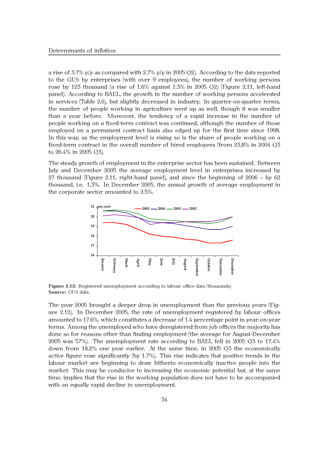a rise of  $3.7\%$  y/y as compared with  $2.7\%$  y/y in 2005 Q2). According to the data reported to the GUS by enterprises (with over 9 employees), the number of working persons rose by 123 thousand (a rise of 1.6% against 1.3% in 2005 Q2) (Figure 2.11, left-hand panel). According to BAEL, the growth in the number of working persons accelerated in services (Table 2.6), but slightly decreased in industry. In quarter-on-quarter terms, the number of people working in agriculture went up as well, though it was smaller than a year before. Moreover, the tendency of a rapid increase in the number of people working on a fixed-term contract was continued, although the number of those employed on a permanent contract basis also edged up for the first time since 1998. In this way, as the employment level is rising so is the share of people working on a fixed-term contract in the overall number of hired employees (from 23.8% in 2004 Q3 to 26.4% in 2005 Q3).

The steady growth of employment in the enterprise sector has been sustained. Between July and December 2005 the average employment level in enterprises increased by 27 thousand (Figure 2.11, right-hand panel), and since the beginning of 2006 – by 62 thousand, i.e. 1.3%. In December 2005, the annual growth of average employment in the corporate sector amounted to 2.5%.



**Figure 2.12:** Registered unemployment according to labour office data (thousands) **Source:** GUS data.

The year 2005 brought a deeper drop in unemployment than the previous years (Figure 2.12). In December 2005, the rate of unemployment registered by labour offices amounted to 17.6%, which constitutes a decrease of 1.4 percentage point in year-on-year terms. Among the unemployed who have deregistered from job offices the majority has done so for reasons other than finding employment (the average for August-December 2005 was 57%). The unemployment rate according to BAEL fell in 2005 Q3 to 17.4% down from 18.2% one year earlier. At the same time, in 2005 Q3 the economically active figure rose significantly (by 1.7%). This rise indicates that positive trends in the labour market are beginning to draw hitherto economically inactive people into the market. This may be conducive to increasing the economic potential but, at the same time, implies that the rise in the working population does not have to be accompanied with an equally rapid decline in unemployment.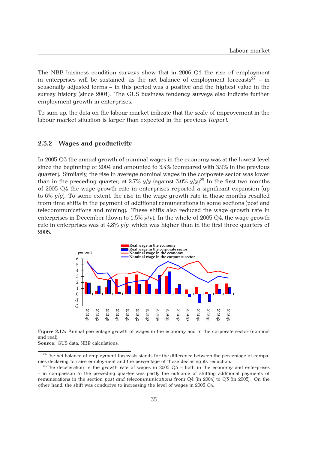The NBP business condition surveys show that in 2006 Q1 the rise of employment in enterprises will be sustained, as the net balance of employment forecasts<sup>27</sup> – in seasonally adjusted terms – in this period was a positive and the highest value in the survey history (since 2001). The GUS business tendency surveys also indicate further employment growth in enterprises.

To sum up, the data on the labour market indicate that the scale of improvement in the labour market situation is larger than expected in the previous *Report*.

### **2.3.2 Wages and productivity**

In 2005 Q3 the annual growth of nominal wages in the economy was at the lowest level since the beginning of 2004 and amounted to 3.4% (compared with 3.9% in the previous quarter). Similarly, the rise in average nominal wages in the corporate sector was lower than in the preceding quarter, at 2.7%  $y/y$  (against 3.0%  $y/y$ )<sup>28</sup> In the first two months of 2005 Q4 the wage growth rate in enterprises reported a significant expansion (up to 6% y/y). To some extent, the rise in the wage growth rate in those months resulted from time shifts in the payment of additional remunerations in some sections (post and telecommunications and mining). These shifts also reduced the wage growth rate in enterprises in December (down to 1.5%  $y/y$ ). In the whole of 2005 Q4, the wage growth rate in enterprises was at 4.8% y/y, which was higher than in the first three quarters of 2005.



**Figure 2.13:** Annual percentage growth of wages in the economy and in the corporate sector (nominal and real)

**Source:** GUS data, NBP calculations.

 $27$ The net balance of employment forecasts stands for the difference between the percentage of companies declaring to raise employment and the percentage of those declaring its reduction.

<sup>&</sup>lt;sup>28</sup>The deceleration in the growth rate of wages in 2005  $Q3$  – both in the economy and enterprises – in comparison to the preceding quarter was partly the outcome of shifting additional payments of remunerations in the section *post and telecommunications* from Q4 (in 2004) to Q3 (in 2005). On the other hand, the shift was conducive to increasing the level of wages in 2005 Q4.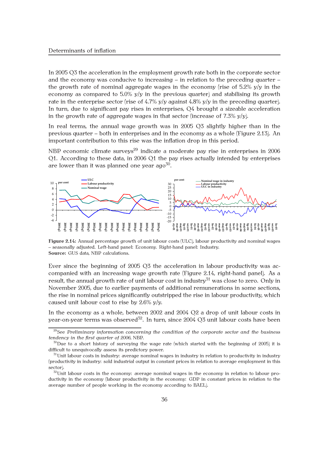In 2005 Q3 the acceleration in the employment growth rate both in the corporate sector and the economy was conducive to increasing – in relation to the preceding quarter – the growth rate of nominal aggregate wages in the economy (rise of  $5.2\%$  y/y in the economy as compared to 5.0% y/y in the previous quarter) and stabilising its growth rate in the enterprise sector (rise of 4.7% y/y against 4.8% y/y in the preceding quarter). In turn, due to significant pay rises in enterprises, Q4 brought a sizeable acceleration in the growth rate of aggregate wages in that sector (increase of  $7.3\%$  y/y).

In real terms, the annual wage growth was in 2005 Q3 slightly higher than in the previous quarter – both in enterprises and in the economy as a whole (Figure 2.13). An important contribution to this rise was the inflation drop in this period.

NBP economic climate surveys<sup>29</sup> indicate a moderate pay rise in enterprises in 2006 Q1. According to these data, in 2006 Q1 the pay rises actually intended by enterprises are lower than it was planned one year ago $^{30}$ .



**Figure 2.14:** Annual percentage growth of unit labour costs (ULC), labour productivity and nominal wages – seasonally adjusted. Left-hand panel: Economy. Right-hand panel: Industry. **Source:** GUS data, NBP calculations.

Ever since the beginning of 2005 Q3 the acceleration in labour productivity was accompanied with an increasing wage growth rate (Figure 2.14, right-hand panel). As a result, the annual growth rate of unit labour cost in industry<sup>31</sup> was close to zero. Only in November 2005, due to earlier payments of additional remunerations in some sections, the rise in nominal prices significantly outstripped the rise in labour productivity, which caused unit labour cost to rise by 2.6% y/y.

In the economy as a whole, between 2002 and 2004 Q2 a drop of unit labour costs in year-on-year terms was observed<sup>32</sup>. In turn, since  $2004$  O3 unit labour costs have been

<sup>29</sup>See *Preliminary information concerning the condition of the corporate sector and the business tendency in the first quarter of 2006*, NBP.

 $30$ Due to a short history of surveying the wage rate (which started with the beginning of 2005) it is difficult to unequivocally assess its predictory power.

 $31$ Unit labour costs in industry: average nominal wages in industry in relation to productivity in industry (productivity in industry: sold industrial output in constant prices in relation to average employment in this sector).

 $32$ Unit labour costs in the economy: average nominal wages in the economy in relation to labour productivity in the economy (labour productivity in the economy: GDP in constant prices in relation to the average number of people working in the economy according to BAEL).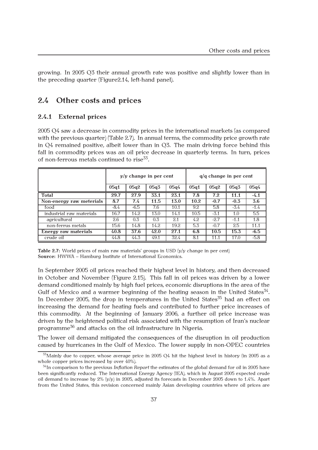growing. In 2005 Q3 their annual growth rate was positive and slightly lower than in the preceding quarter (Figure2.14, left-hand panel).

# **2.4 Other costs and prices**

### **2.4.1 External prices**

2005 Q4 saw a decrease in commodity prices in the international markets (as compared with the previous quarter) (Table 2.7). In annual terms, the commodity price growth rate in Q4 remained positive, albeit lower than in Q3. The main driving force behind this fall in commodity prices was an oil price decrease in quarterly terms. In turn, prices of non-ferrous metals continued to rise<sup>33</sup>.

|                          | $y/y$ change in per cent |        |      |                  | $q/q$ change in per cent |        |        |                  |  |
|--------------------------|--------------------------|--------|------|------------------|--------------------------|--------|--------|------------------|--|
|                          | 05q1                     | 05q2   | 05q3 | 05q <sub>4</sub> | 05q1                     | 05q2   | 05q3   | 05q <sub>4</sub> |  |
| Total                    | 29.7                     | 27.9   | 33.1 | 23.1             | 7.8                      | 7.2    | 11.1   | $-4.1$           |  |
| Non-energy raw meterials | 8.7                      | 7.4    | 11.5 | 13.0             | 10.2                     | $-0.7$ | $-0.3$ | 3.6              |  |
| food                     | $-8.4$                   | $-6.5$ | 7.6  | 10.1             | 9.2                      | 5.8    | $-3.4$ | $-1.4$           |  |
| industrial raw materials | 16.7                     | 14.2   | 13.0 | 14.1             | 10.5                     | $-3.1$ | 1.0    | 5.5              |  |
| agricultural             | 2.6                      | 0.3    | 0.3  | 2.1              | 4.2                      | $-2.7$ | $-1.1$ | 1.8              |  |
| non-ferrus metals        | 15.6                     | 14.8   | 14.2 | 19.2             | 5.3                      | $-0.7$ | 2.5    | 11.1             |  |
| Energy raw materials     | 40.8                     | 37.6   | 42.0 | 27.1             | 6.8                      | 10.5   | 15.3   | $-6.5$           |  |
| crude oil                | 44.8                     | 44.3   | 49.1 | 32.4             | 8.1                      | 11.1   | 17.0   | $-5.8$           |  |

**Table 2.7:** World prices of main raw materials' groups in USD (y/y change in per cent) **Source:** HWWA – Hamburg Institute of International Economics.

In September 2005 oil prices reached their highest level in history, and then decreased in October and November (Figure 2.15). This fall in oil prices was driven by a lower demand conditioned mainly by high fuel prices, economic disruptions in the area of the Gulf of Mexico and a warmer beginning of the heating season in the United States $^{34}$ . In December 2005, the drop in temperatures in the United States<sup>35</sup> had an effect on increasing the demand for heating fuels and contributed to further price increases of this commodity. At the beginning of January 2006, a further oil price increase was driven by the heightened political risk associated with the resumption of Iran's nuclear programme<sup>36</sup> and attacks on the oil infrastructure in Nigeria.

The lower oil demand mitigated the consequences of the disruption in oil production caused by hurricanes in the Gulf of Mexico. The lower supply in non-OPEC countries

 $33$ Mainly due to copper, whose average price in 2005 O4 hit the highest level in history (in 2005 as a whole copper prices increased by over  $40\%$ ).

<sup>&</sup>lt;sup>34</sup>In comparison to the previous *Inflation Report* the estimates of the global demand for oil in 2005 have been significantly reduced. The International Energy Agency (IEA), which in August 2005 expected crude oil demand to increase by  $2\%$  (y/y) in 2005, adjusted its forecasts in December 2005 down to 1.4%. Apart from the United States, this revision concerned mainly Asian developing countries where oil prices are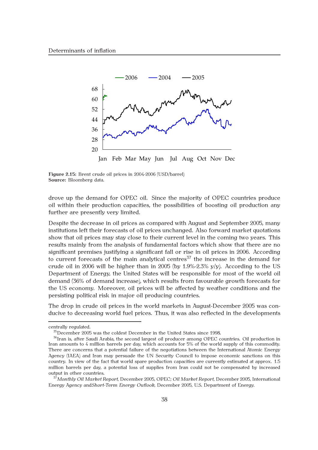

**Figure 2.15:** Brent crude oil prices in 2004-2006 (USD/barrel) **Source:** Bloomberg data.

drove up the demand for OPEC oil. Since the majority of OPEC countries produce oil within their production capacities, the possibilities of boosting oil production any further are presently very limited.

Despite the decrease in oil prices as compared with August and September 2005, many institutions left their forecasts of oil prices unchanged. Also forward market quotations show that oil prices may stay close to their current level in the coming two years. This results mainly from the analysis of fundamental factors which show that there are no significant premises justifying a significant fall or rise in oil prices in 2006. According to current forecasts of the main analytical centres<sup>37</sup> the increase in the demand for crude oil in 2006 will be higher than in 2005 (by  $1.9\%$ -2.3%  $y/y$ ). According to the US Department of Energy, the United States will be responsible for most of the world oil demand (36% of demand increase), which results from favourable growth forecasts for the US economy. Moreover, oil prices will be affected by weather conditions and the persisting political risk in major oil producing countries.

The drop in crude oil prices in the world markets in August-December 2005 was conducive to decreasing world fuel prices. Thus, it was also reflected in the developments

centrally regulated.

<sup>&</sup>lt;sup>35</sup>December 2005 was the coldest December in the United States since 1998.

<sup>&</sup>lt;sup>36</sup>Iran is, after Saudi Arabia, the second largest oil producer among OPEC countries. Oil production in Iran amounts to 4 million barrels per day, which accounts for 5% of the world supply of this commodity. There are concerns that a potential failure of the negotiations between the International Atomic Energy Agency (IAEA) and Iran may persuade the UN Security Council to impose economic sanctions on this country. In view of the fact that world spare production capacities are currently estimated at approx. 1.5 million barrels per day, a potential loss of supplies from Iran could not be compensated by increased output in other countries.

<sup>37</sup>*Monthly Oil Market Report*, December 2005, OPEC; *Oil Market Report*, December 2005, International Energy Agency and*Short-Term Energy Outlook*, December 2005, U.S. Department of Energy.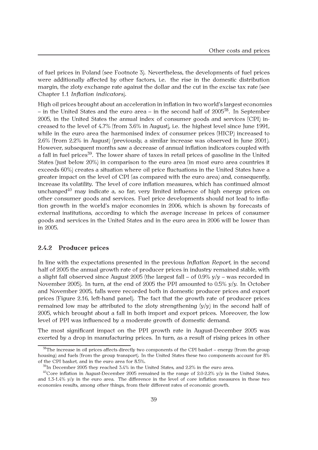of fuel prices in Poland (see Footnote 3). Nevertheless, the developments of fuel prices were additionally affected by other factors, i.e. the rise in the domestic distribution margin, the zloty exchange rate against the dollar and the cut in the excise tax rate (see Chapter 1.1 *Inflation indicators*).

High oil prices brought about an acceleration in inflation in two world's largest economies – in the United States and the euro area – in the second half of 200538. In September 2005, in the United States the annual index of consumer goods and services (CPI) increased to the level of 4.7% (from 3.6% in August), i.e. the highest level since June 1991, while in the euro area the harmonised index of consumer prices (HICP) increased to 2.6% (from 2.2% in August) (previously, a similar increase was observed in June 2001). However, subsequent months saw a decrease of annual inflation indicators coupled with a fall in fuel prices<sup>39</sup>. The lower share of taxes in retail prices of gasoline in the United States (just below 20%) in comparison to the euro area (in most euro area countries it exceeds 60%) creates a situation where oil price fluctuations in the United States have a greater impact on the level of CPI (as compared with the euro area) and, consequently, increase its volatility. The level of core inflation measures, which has continued almost unchanged<sup> $40$ </sup> may indicate a, so far, very limited influence of high energy prices on other consumer goods and services. Fuel price developments should not lead to inflation growth in the world's major economies in 2006, which is shown by forecasts of external institutions, according to which the average increase in prices of consumer goods and services in the United States and in the euro area in 2006 will be lower than in 2005.

## **2.4.2 Producer prices**

In line with the expectations presented in the previous *Inflation Report*, in the second half of 2005 the annual growth rate of producer prices in industry remained stable, with a slight fall observed since August 2005 (the largest fall – of 0.9% y/y – was recorded in November 2005). In turn, at the end of 2005 the PPI amounted to 0.5% y/y. In October and November 2005, falls were recorded both in domestic producer prices and export prices (Figure 2.16, left-hand panel). The fact that the growth rate of producer prices remained low may be attributed to the zloty strengthening  $(y/y)$  in the second half of 2005, which brought about a fall in both import and export prices. Moreover, the low level of PPI was influenced by a moderate growth of domestic demand.

The most significant impact on the PPI growth rate in August-December 2005 was exerted by a drop in manufacturing prices. In turn, as a result of rising prices in other

<sup>&</sup>lt;sup>38</sup>The increase in oil prices affects directly two components of the CPI basket – energy (from the group housing) and fuels (from the group transport). In the United States these two components account for 8% of the CPI basket, and in the euro area for 8.5%.

<sup>39</sup>In December 2005 they reached 3.4% in the United States, and 2.2% in the euro area.

 $^{40}$ Core inflation in August-December 2005 remained in the range of 2.0-2.2% y/y in the United States, and 1.3-1.4% y/y in the euro area. The difference in the level of core inflation measures in these two economies results, among other things, from their different rates of economic growth.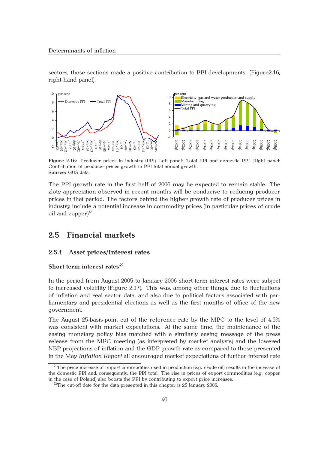sectors, those sections made a positive contribution to PPI developments. (Figure2.16, right-hand panel).



**Figure 2.16:** Producer prices in industry (PPI). Left panel: Total PPI and domestic PPI. Right panel: Contribution of producer prices growth in PPI total annual growth. **Source:** GUS data.

The PPI growth rate in the first half of 2006 may be expected to remain stable. The zloty appreciation observed in recent months will be conducive to reducing producer prices in that period. The factors behind the higher growth rate of producer prices in industry include a potential increase in commodity prices (in particular prices of crude oil and copper) $41$ .

# **2.5 Financial markets**

## **2.5.1 Asset prices/Interest rates**

## **Short-term interest rates**<sup>42</sup>

In the period from August 2005 to January 2006 short-term interest rates were subject to increased volatility (Figure 2.17). This was, among other things, due to fluctuations of inflation and real sector data, and also due to political factors associated with parliamentary and presidential elections as well as the first months of office of the new government.

The August 25-basis-point cut of the reference rate by the MPC to the level of 4.5% was consistent with market expectations. At the same time, the maintenance of the easing monetary policy bias matched with a similarly easing message of the press release from the MPC meeting (as interpreted by market analysts) and the lowered NBP projections of inflation and the GDP growth rate as compared to those presented in the May *Inflation Report* all encouraged market expectations of further interest rate

<sup>&</sup>lt;sup>41</sup>The price increase of import commodities used in production (e.g. crude oil) results in the increase of the domestic PPI and, consequently, the PPI total. The rise in prices of export commodities (e.g. copper in the case of Poland) also boosts the PPI by contributing to export price increases.

 $42$ The cut-off date for the data presented in this chapter is 23 January 2006.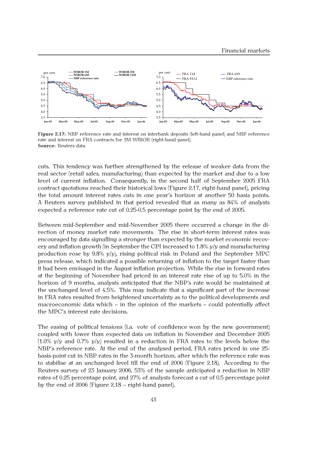

**Figure 2.17:** NBP reference rate and interest on interbank deposits (left-hand panel) and NBP reference rate and interest on FRA contracts for 3M WIBOR (right-hand panel). **Source:** Reuters data.

cuts. This tendency was further strengthened by the release of weaker data from the real sector (retail sales, manufacturing) than expected by the market and due to a low level of current inflation. Consequently, in the second half of September 2005 FRA contract quotations reached their historical lows (Figure 2.17, right-hand panel), pricing the total amount interest rates cuts in one year's horizon at another 50 basis points. A Reuters survey published in that period revealed that as many as 84% of analysts expected a reference rate cut of 0.25-0.5 percentage point by the end of 2005.

Between mid-September and mid-November 2005 there occurred a change in the direction of money market rate movements. The rise in short-term interest rates was encouraged by data signalling a stronger than expected by the market economic recovery and inflation growth (in September the CPI increased to 1.8% y/y and manufacturing production rose by 9.8% y/y), rising political risk in Poland and the September MPC press release, which indicated a possible returning of inflation to the target faster than it had been envisaged in the August inflation projection. While the rise in forward rates at the beginning of November had priced in an interest rate rise of up to 5.0% in the horizon of 9 months, analysts anticipated that the NBP's rate would be maintained at the unchanged level of 4.5%. This may indicate that a significant part of the increase in FRA rates resulted from heightened uncertainty as to the political developments and macroeconomic data which – in the opinion of the markets – could potentially affect the MPC's interest rate decisions.

The easing of political tensions (i.a. vote of confidence won by the new government) coupled with lower than expected data on inflation in November and December 2005 (1.0% y/y and 0.7% y/y) resulted in a reduction in FRA rates to the levels below the NBP's reference rate. At the end of the analysed period, FRA rates priced in one 25 basis-point cut in NBP rates in the 3-month horizon, after which the reference rate was to stabilise at an unchanged level till the end of 2006 (Figure 2.18). According to the Reuters survey of 23 January 2006, 53% of the sample anticipated a reduction in NBP rates of 0.25 percentage point, and 27% of analysts forecast a cut of 0.5 percentage point by the end of 2006 (Figure 2.18 – right-hand panel).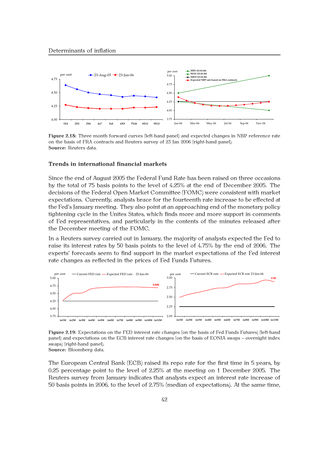

**Figure 2.18:** Three month forward curves (left-hand panel) and expected changes in NBP reference rate on the basis of FRA contracts and Reuters survey of 23 Jan 2006 (right-hand panel). **Source:** Reuters data.

#### **Trends in international financial markets**

Since the end of August 2005 the Federal Fund Rate has been raised on three occasions by the total of 75 basis points to the level of 4.25% at the end of December 2005. The decisions of the Federal Open Market Committee (FOMC) were consistent with market expectations. Currently, analysts brace for the fourteenth rate increase to be effected at the Fed's January meeting. They also point at an approaching end of the monetary policy tightening cycle in the Unites States, which finds more and more support in comments of Fed representatives, and particularly in the contents of the minutes released after the December meeting of the FOMC.

In a Reuters survey carried out in January, the majority of analysts expected the Fed to raise its interest rates by 50 basis points to the level of 4.75% by the end of 2006. The experts' forecasts seem to find support in the market expectations of the Fed interest rate changes as reflected in the prices of Fed Funds Futures.



**Figure 2.19:** Expectations on the FED interest rate changes (on the basis of Fed Funds Futures) (left-hand panel) and expectations on the ECB interest rate changes (on the basis of EONIA swaps – overnight index swaps) (right-hand panel). **Source:** Bloomberg data.

The European Central Bank (ECB) raised its repo rate for the first time in 5 years, by 0.25 percentage point to the level of 2.25% at the meeting on 1 December 2005. The Reuters survey from January indicates that analysts expect an interest rate increase of 50 basis points in 2006, to the level of 2.75% (median of expectations). At the same time,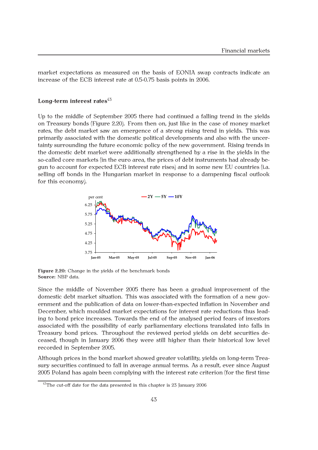market expectations as measured on the basis of EONIA swap contracts indicate an increase of the ECB interest rate at 0.5-0.75 basis points in 2006.

#### Long-term interest rates<sup>43</sup>

Up to the middle of September 2005 there had continued a falling trend in the yields on Treasury bonds (Figure 2.20). From then on, just like in the case of money market rates, the debt market saw an emergence of a strong rising trend in yields. This was primarily associated with the domestic political developments and also with the uncertainty surrounding the future economic policy of the new government. Rising trends in the domestic debt market were additionally strengthened by a rise in the yields in the so-called core markets (in the euro area, the prices of debt instruments had already begun to account for expected ECB interest rate rises) and in some new EU countries (i.a. selling off bonds in the Hungarian market in response to a dampening fiscal outlook for this economy).



**Figure 2.20:** Change in the yields of the benchmark bonds **Source:** NBP data.

Since the middle of November 2005 there has been a gradual improvement of the domestic debt market situation. This was associated with the formation of a new government and the publication of data on lower-than-expected inflation in November and December, which moulded market expectations for interest rate reductions thus leading to bond price increases. Towards the end of the analysed period fears of investors associated with the possibility of early parliamentary elections translated into falls in Treasury bond prices. Throughout the reviewed period yields on debt securities deceased, though in January 2006 they were still higher than their historical low level recorded in September 2005.

Although prices in the bond market showed greater volatility, yields on long-term Treasury securities continued to fall in average annual terms. As a result, ever since August 2005 Poland has again been complying with the interest rate criterion (for the first time

 $43$ The cut-off date for the data presented in this chapter is 23 January 2006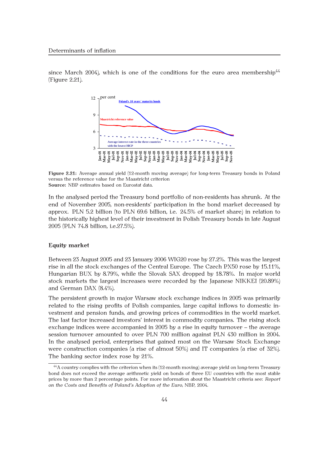since March 2004), which is one of the conditions for the euro area membership<sup>44</sup> (Figure 2.21).



**Figure 2.21:** Average annual yield (12-month moving average) for long-term Treasury bonds in Poland versus the reference value for the Maastricht criterion **Source:** NBP estimates based on Eurostat data.

In the analysed period the Treasury bond portfolio of non-residents has shrunk. At the end of November 2005, non-residents' participation in the bond market decreased by approx. PLN 5.2 billion (to PLN 69.6 billion, i.e. 24.5% of market share) in relation to the historically highest level of their investment in Polish Treasury bonds in late August 2005 (PLN 74.8 billion, i.e.27.5%).

## **Equity market**

Between 23 August 2005 and 23 January 2006 WIG20 rose by 27.2%. This was the largest rise in all the stock exchanges of the Central Europe. The Czech PX50 rose by 15.11%, Hungarian BUX by 8.79%, while the Slovak SAX dropped by 18.78%. In major world stock markets the largest increases were recorded by the Japanese NIKKEI (20.89%) and German DAX (8.4%).

The persistent growth in major Warsaw stock exchange indices in 2005 was primarily related to the rising profits of Polish companies, large capital inflows to domestic investment and pension funds, and growing prices of commodities in the world market. The last factor increased investors' interest in commodity companies. The rising stock exchange indices were accompanied in 2005 by a rise in equity turnover – the average session turnover amounted to over PLN 700 million against PLN 430 million in 2004. In the analysed period, enterprises that gained most on the Warsaw Stock Exchange were construction companies (a rise of almost 50%) and IT companies (a rise of 32%). The banking sector index rose by 21%.

 $^{44}$ A country complies with the criterion when its (12-month moving) average yield on long-term Treasury bond does not exceed the average arithmetic yield on bonds of three EU countries with the most stable prices by more than 2 percentage points. For more information about the Maastricht criteria see: *Report on the Costs and Benefits of Poland's Adoption of the Euro*, NBP, 2004.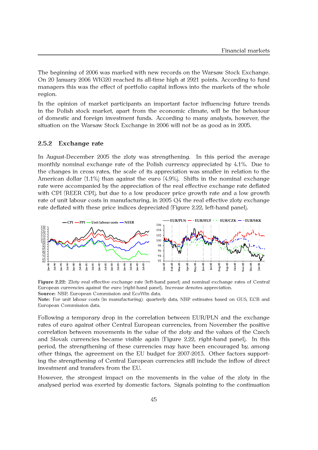The beginning of 2006 was marked with new records on the Warsaw Stock Exchange. On 20 January 2006 WIG20 reached its all-time high at 2921 points. According to fund managers this was the effect of portfolio capital inflows into the markets of the whole region.

In the opinion of market participants an important factor influencing future trends in the Polish stock market, apart from the economic climate, will be the behaviour of domestic and foreign investment funds. According to many analysts, however, the situation on the Warsaw Stock Exchange in 2006 will not be as good as in 2005.

#### **2.5.2 Exchange rate**

In August-December 2005 the zloty was strengthening. In this period the average monthly nominal exchange rate of the Polish currency appreciated by 4.1%. Due to the changes in cross rates, the scale of its appreciation was smaller in relation to the American dollar (1.1%) than against the euro (4.9%). Shifts in the nominal exchange rate were accompanied by the appreciation of the real effective exchange rate deflated with CPI (REER CPI), but due to a low producer price growth rate and a low growth rate of unit labour costs in manufacturing, in 2005 Q4 the real effective zloty exchange rate deflated with these price indices depreciated (Figure 2.22, left-hand panel).



**Figure 2.22:** Zloty real effective exchange rate (left-hand panel) and nominal exchange rates of Central European currencies against the euro (right-hand panel). Increase denotes appreciation. **Source:** NBP, European Commission and EcoWin data.

**Note:** For unit labour costs (in manufacturing): quarterly data, NBP estimates based on GUS, ECB and European Commission data.

Following a temporary drop in the correlation between EUR/PLN and the exchange rates of euro against other Central European currencies, from November the positive correlation between movements in the value of the zloty and the values of the Czech and Slovak currencies became visible again (Figure 2.22, right-hand panel). In this period, the strengthening of these currencies may have been encouraged by, among other things, the agreement on the EU budget for 2007-2013. Other factors supporting the strengthening of Central European currencies still include the inflow of direct investment and transfers from the EU.

However, the strongest impact on the movements in the value of the zloty in the analysed period was exerted by domestic factors. Signals pointing to the continuation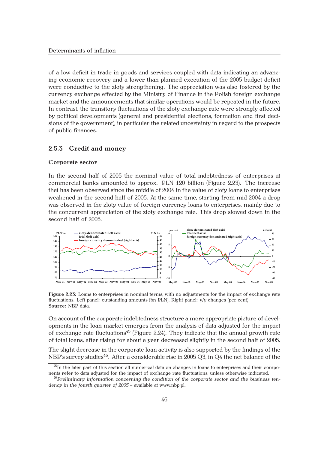of a low deficit in trade in goods and services coupled with data indicating an advancing economic recovery and a lower than planned execution of the 2005 budget deficit were conductive to the zloty strengthening. The appreciation was also fostered by the currency exchange effected by the Ministry of Finance in the Polish foreign exchange market and the announcements that similar operations would be repeated in the future. In contrast, the transitory fluctuations of the zloty exchange rate were strongly affected by political developments (general and presidential elections, formation and first decisions of the government), in particular the related uncertainty in regard to the prospects of public finances.

#### **2.5.3 Credit and money**

#### **Corporate sector**

In the second half of 2005 the nominal value of total indebtedness of enterprises at commercial banks amounted to approx. PLN 120 billion (Figure 2.23). The increase that has been observed since the middle of 2004 in the value of zloty loans to enterprises weakened in the second half of 2005. At the same time, starting from mid-2004 a drop was observed in the zloty value of foreign currency loans to enterprises, mainly due to the concurrent appreciation of the zloty exchange rate. This drop slowed down in the second half of 2005.



**Figure 2.23:** Loans to enterprises in nominal terms, with no adjustments for the impact of exchange rate fluctuations. Left panel: outstanding amounts (bn PLN). Right panel: y/y changes (per cent) **Source:** NBP data.

On account of the corporate indebtedness structure a more appropriate picture of developments in the loan market emerges from the analysis of data adjusted for the impact of exchange rate fluctuations<sup>45</sup> (Figure 2.24). They indicate that the annual growth rate of total loans, after rising for about a year decreased slightly in the second half of 2005.

The slight decrease in the corporate loan activity is also supported by the findings of the NBP's survey studies<sup>46</sup>. After a considerable rise in 2005 Q3, in Q4 the net balance of the

<sup>&</sup>lt;sup>45</sup>In the later part of this section all numerical data on changes in loans to enterprises and their components refer to data adjusted for the impact of exchange rate fluctuations, unless otherwise indicated.

<sup>46</sup>*Preliminary information concerning the condition of the corporate sector and the business tendency in the fourth quarter of 2005* – available at www.nbp.pl.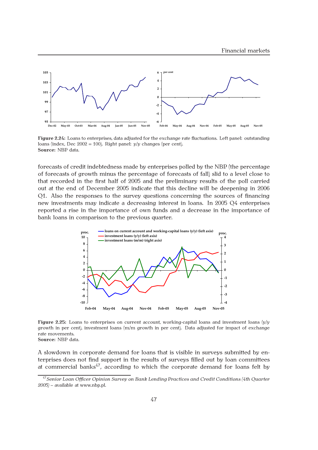

**Figure 2.24:** Loans to enterprises, data adjusted for the exchange rate fluctuations. Left panel: outstanding loans (index, Dec 2002 = 100). Right panel: y/y changes (per cent). **Source:** NBP data.

forecasts of credit indebtedness made by enterprises polled by the NBP (the percentage of forecasts of growth minus the percentage of forecasts of fall) slid to a level close to that recorded in the first half of 2005 and the preliminary results of the poll carried out at the end of December 2005 indicate that this decline will be deepening in 2006 Q1. Also the responses to the survey questions concerning the sources of financing new investments may indicate a decreasing interest in loans. In 2005 Q4 enterprises reported a rise in the importance of own funds and a decrease in the importance of bank loans in comparison to the previous quarter.



**Figure 2.25:** Loans to enterprises on current account, working-capital loans and investment loans (y/y growth in per cent), investment loans (m/m growth in per cent). Data adjusted for impact of exchange rate movements.

**Source:** NBP data.

A slowdown in corporate demand for loans that is visible in surveys submitted by enterprises does not find support in the results of surveys filled out by loan committees at commercial banks<sup> $47$ </sup>, according to which the corporate demand for loans felt by

<sup>47</sup>*Senior Loan Officer Opinion Survey on Bank Lending Practices and Credit Conditions (4th Quarter 2005)* – available at www.nbp.pl.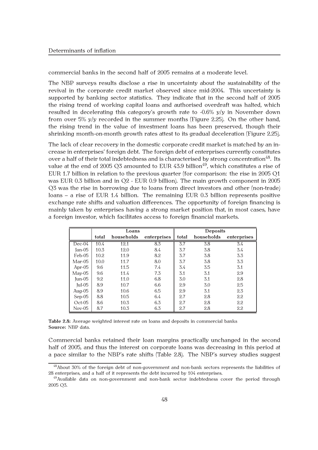commercial banks in the second half of 2005 remains at a moderate level.

The NBP surveys results disclose a rise in uncertainty about the sustainability of the revival in the corporate credit market observed since mid-2004. This uncertainty is supported by banking sector statistics. They indicate that in the second half of 2005 the rising trend of working capital loans and authorised overdraft was halted, which resulted in decelerating this category's growth rate to  $-0.6\%$  y/y in November down from over 5% y/y recorded in the summer months (Figure 2.25). On the other hand, the rising trend in the value of investment loans has been preserved, though their shrinking month-on-month growth rates attest to its gradual deceleration (Figure 2.25).

The lack of clear recovery in the domestic corporate credit market is matched by an increase in enterprises' foreign debt. The foreign debt of enterprises currently constitutes over a half of their total indebtedness and is characterised by strong concentration<sup>48</sup>. Its value at the end of 2005 Q3 amounted to EUR  $43.9$  billion<sup> $49$ </sup>, which constitutes a rise of EUR 1.7 billion in relation to the previous quarter (for comparison: the rise in 2005 Q1 was EUR 0.3 billion and in Q2 - EUR 0.9 billion). The main growth component in 2005 Q3 was the rise in borrowing due to loans from direct investors and other (non-trade) loans – a rise of EUR 1.4 billion. The remaining EUR 0.3 billion represents positive exchange rate shifts and valuation differences. The opportunity of foreign financing is mainly taken by enterprises having a strong market position that, in most cases, have a foreign investor, which facilitates access to foreign financial markets.

|           | Loans |            |             | Deposits |            |             |  |
|-----------|-------|------------|-------------|----------|------------|-------------|--|
|           | total | households | enterprises | total    | households | enterprises |  |
| $Dec-04$  | 10.4  | 12.1       | 8.3         | 3.7      | 3.8        | 3.4         |  |
| $Jan-05$  | 10.3  | 12.0       | 8.4         | 3.7      | 3.8        | 3.4         |  |
| $Feb-05$  | 10.2  | 11.9       | 8.2         | 3.7      | 3.8        | 3.3         |  |
| $Mar-05$  | 10.0  | 11.7       | 8.0         | 3.7      | 3.8        | 3.3         |  |
| Apr- $05$ | 9.6   | 11.5       | 7.4         | 3.4      | 3.5        | 3.1         |  |
| $May-05$  | 9.6   | 11.4       | 7.3         | 3.1      | 3.1        | 2.9         |  |
| $Jun-05$  | 9.2   | 11.0       | 6.8         | 3.0      | 3.1        | 2.8         |  |
| $Iul-05$  | 8.9   | 10.7       | 6.6         | 2.9      | 3.0        | 2.5         |  |
| Aug- $05$ | 8.9   | 10.6       | 6.5         | 2.9      | 3.1        | 2.3         |  |
| $Sep-05$  | 8.8   | 10.5       | 6.4         | 2.7      | 2.8        | 2.2         |  |
| $Oct-05$  | 8.6   | 10.3       | 6.3         | 2.7      | 2.8        | 2.2         |  |
| $Nov-05$  | 8.7   | 10.3       | 6.3         | 2.7      | 2.8        | 2.2         |  |

**Table 2.8:** Average weighted interest rate on loans and deposits in commercial banks **Source:** NBP data.

Commercial banks retained their loan margins practically unchanged in the second half of 2005, and thus the interest on corporate loans was decreasing in this period at a pace similar to the NBP's rate shifts (Table 2.8). The NBP's survey studies suggest

<sup>48</sup>About 30% of the foreign debt of non-government and non-bank sectors represents the liabilities of 28 enterprises, and a half of it represents the debt incurred by 104 enterprises.

<sup>&</sup>lt;sup>49</sup> Available data on non-government and non-bank sector indebtedness cover the period through 2005 Q3.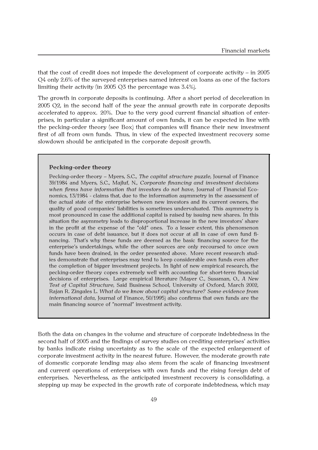that the cost of credit does not impede the development of corporate activity – in 2005 Q4 only 2.6% of the surveyed enterprises named interest on loans as one of the factors limiting their activity (in 2005 Q3 the percentage was 3.4%).

The growth in corporate deposits is continuing. After a short period of deceleration in 2005 Q2, in the second half of the year the annual growth rate in corporate deposits accelerated to approx. 20%. Due to the very good current financial situation of enterprises, in particular a significant amount of own funds, it can be expected in line with the pecking-order theory (see Box) that companies will finance their new investment first of all from own funds. Thus, in view of the expected investment recovery some slowdown should be anticipated in the corporate deposit growth.

#### **Pecking-order theory**

Pecking-order theory – Myers, S.C., *The capital structure puzzle*, Journal of Finance 39/1984 and Myers, S.C., Majluf, N., *Corporate financing and investment decisions when firms have information that investors do not have*, Journal of Financial Economics, 13/1984 - claims that, due to the information asymmetry in the assessment of the actual state of the enterprise between new investors and its current owners, the quality of good companies' liabilities is sometimes undervaluated. This asymmetry is most pronounced in case the additional capital is raised by issuing new shares. In this situation the asymmetry leads to disproportional increase in the new investors' share in the profit at the expense of the "old" ones. To a lesser extent, this phenomenon occurs in case of debt issuance, but it does not occur at all in case of own fund financing. That's why these funds are deemed as the basic financing source for the enterprise's undertakings, while the other sources are only recoursed to once own funds have been drained, in the order presented above. More recent research studies demonstrate that enterprises may tend to keep considerable own funds even after the completion of bigger investment projects. In light of new empirical research, the pecking-order theory copes extremely well with accounting for short-term financial decisions of enterprises. Large empirical literature (Mayer C., Sussman, O., *A New Test of Capital Structure*, Said Business School, University of Oxford, March 2002, Rajan R. Zingales L. *What do we know about capital structure? Some evidence from international data*, Journal of Finance, 50/1995) also confirms that own funds are the main financing source of "normal" investment activity.

Both the data on changes in the volume and structure of corporate indebtedness in the second half of 2005 and the findings of survey studies on crediting enterprises' activities by banks indicate rising uncertainty as to the scale of the expected enlargement of corporate investment activity in the nearest future. However, the moderate growth rate of domestic corporate lending may also stem from the scale of financing investment and current operations of enterprises with own funds and the rising foreign debt of enterprises. Nevertheless, as the anticipated investment recovery is consolidating, a stepping up may be expected in the growth rate of corporate indebtedness, which may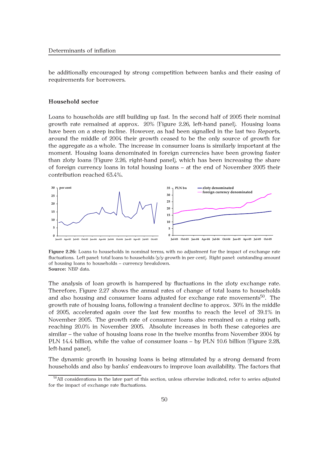be additionally encouraged by strong competition between banks and their easing of requirements for borrowers.

#### **Household sector**

Loans to households are still building up fast. In the second half of 2005 their nominal growth rate remained at approx. 20% (Figure 2.26, left-hand panel). Housing loans have been on a steep incline. However, as had been signalled in the last two *Reports*, around the middle of 2004 their growth ceased to be the only source of growth for the aggregate as a whole. The increase in consumer loans is similarly important at the moment. Housing loans denominated in foreign currencies have been growing faster than zloty loans (Figure 2.26, right-hand panel), which has been increasing the share of foreign currency loans in total housing loans – at the end of November 2005 their contribution reached 63.4%.



**Figure 2.26:** Loans to households in nominal terms, with no adjustment for the impact of exchange rate fluctuations. Left panel: total loans to households (y/y growth in per cent). Right panel: outstanding amount of housing loans to households – currency breakdown. **Source:** NBP data.

The analysis of loan growth is hampered by fluctuations in the zloty exchange rate. Therefore, Figure 2.27 shows the annual rates of change of total loans to households and also housing and consumer loans adjusted for exchange rate movements<sup>50</sup>. The growth rate of housing loans, following a transient decline to approx. 30% in the middle of 2005, accelerated again over the last few months to reach the level of 39.1% in November 2005. The growth rate of consumer loans also remained on a rising path, reaching 20.0% in November 2005. Absolute increases in both these categories are similar – the value of housing loans rose in the twelve months from November 2004 by PLN 14.4 billion, while the value of consumer loans – by PLN 10.6 billion (Figure 2.28, left-hand panel).

The dynamic growth in housing loans is being stimulated by a strong demand from households and also by banks' endeavours to improve loan availability. The factors that

<sup>&</sup>lt;sup>50</sup>All considerations in the later part of this section, unless otherwise indicated, refer to series adjusted for the impact of exchange rate fluctuations.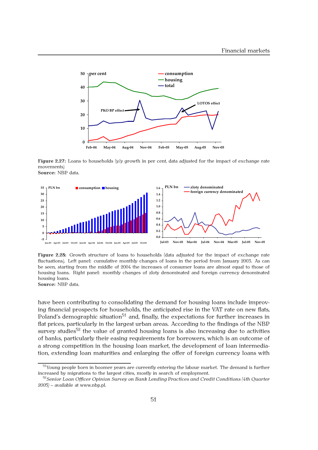

**Figure 2.27:** Loans to households (y/y growth in per cent, data adjusted for the impact of exchange rate movements) **Source:** NBP data.



**Figure 2.28:** Growth structure of loans to households (data adjusted for the impact of exchange rate fluctuations). Left panel: cumulative monthly changes of loans in the period from January 2003. As can be seen, starting from the middle of 2004 the increases of consumer loans are almost equal to those of housing loans. Right panel: monthly changes of zloty denominated and foreign currency denominated housing loans.

**Source:** NBP data.

have been contributing to consolidating the demand for housing loans include improving financial prospects for households, the anticipated rise in the VAT rate on new flats, Poland's demographic situation<sup>51</sup> and, finally, the expectations for further increases in flat prices, particularly in the largest urban areas. According to the findings of the NBP survey studies<sup>52</sup> the value of granted housing loans is also increasing due to activities of banks, particularly their easing requirements for borrowers, which is an outcome of a strong competition in the housing loan market, the development of loan intermediation, extending loan maturities and enlarging the offer of foreign currency loans with

<sup>&</sup>lt;sup>51</sup>Young people born in boomer years are currently entering the labour market. The demand is further increased by migrations to the largest cities, mostly in search of employment.

<sup>52</sup>*Senior Loan Officer Opinion Survey on Bank Lending Practices and Credit Conditions (4th Quarter 2005)* – available at www.nbp.pl.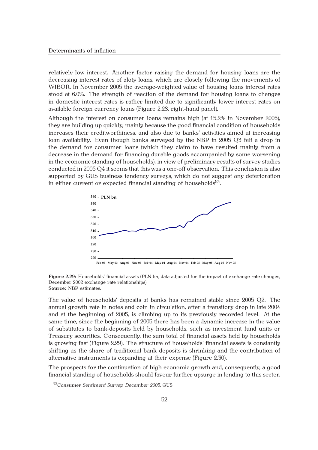relatively low interest. Another factor raising the demand for housing loans are the decreasing interest rates of zloty loans, which are closely following the movements of WIBOR. In November 2005 the average-weighted value of housing loans interest rates stood at 6.0%. The strength of reaction of the demand for housing loans to changes in domestic interest rates is rather limited due to significantly lower interest rates on available foreign currency loans (Figure 2.28, right-hand panel).

Although the interest on consumer loans remains high (at 15.2% in November 2005), they are building up quickly, mainly because the good financial condition of households increases their creditworthiness, and also due to banks' activities aimed at increasing loan availability. Even though banks surveyed by the NBP in 2005 Q3 felt a drop in the demand for consumer loans (which they claim to have resulted mainly from a decrease in the demand for financing durable goods accompanied by some worsening in the economic standing of households), in view of preliminary results of survey studies conducted in 2005 Q4 it seems that this was a one-off observation. This conclusion is also supported by GUS business tendency surveys, which do not suggest any deterioration in either current or expected financial standing of households $^{53}.$ 



**Feb-03 May-03 Aug-03 Nov-03 Feb-04 May-04 Aug-04 Nov-04 Feb-05 May-05 Aug-05 Nov-05**

**Figure 2.29:** Households' financial assets (PLN bn, data adjusted for the impact of exchange rate changes, December 2002 exchange rate relationships). **Source:** NBP estimates.

The value of households' deposits at banks has remained stable since 2005 Q2. The annual growth rate in notes and coin in circulation, after a transitory drop in late 2004 and at the beginning of 2005, is climbing up to its previously recorded level. At the same time, since the beginning of 2005 there has been a dynamic increase in the value of substitutes to bank-deposits held by households, such as investment fund units or Treasury securities. Consequently, the sum total of financial assets held by households is growing fast (Figure 2.29). The structure of households' financial assets is constantly shifting as the share of traditional bank deposits is shrinking and the contribution of alternative instruments is expanding at their expense (Figure 2.30).

The prospects for the continuation of high economic growth and, consequently, a good financial standing of households should favour further upsurge in lending to this sector.

<sup>53</sup>*Consumer Sentiment Survey, December 2005*, GUS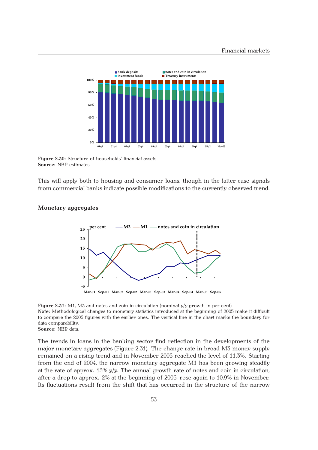

**Figure 2.30:** Structure of households' financial assets **Source:** NBP estimates.

This will apply both to housing and consumer loans, though in the latter case signals from commercial banks indicate possible modifications to the currently observed trend.

#### **Monetary aggregates**



**Figure 2.31:** M1, M3 and notes and coin in circulation (nominal y/y growth in per cent) **Note:** Methodological changes to monetary statistics introduced at the beginning of 2005 make it difficult to compare the 2005 figures with the earlier ones. The vertical line in the chart marks the boundary for data comparability. **Source:** NBP data.

The trends in loans in the banking sector find reflection in the developments of the major monetary aggregates (Figure 2.31). The change rate in broad M3 money supply remained on a rising trend and in November 2005 reached the level of 11.3%. Starting from the end of 2004, the narrow monetary aggregate M1 has been growing steadily at the rate of approx.  $13\%$  y/y. The annual growth rate of notes and coin in circulation, after a drop to approx. 2% at the beginning of 2005, rose again to 10.9% in November. Its fluctuations result from the shift that has occurred in the structure of the narrow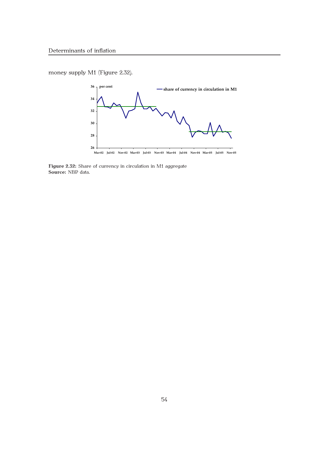money supply M1 (Figure 2.32).



**Figure 2.32:** Share of currency in circulation in M1 aggregate **Source:** NBP data.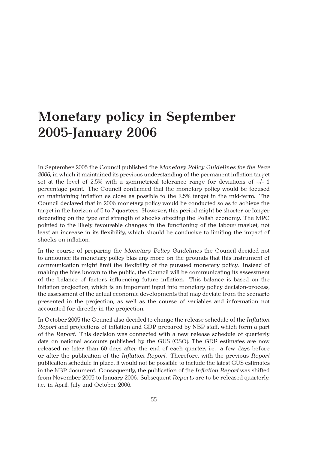# **Monetary policy in September 2005-January 2006**

In September 2005 the Council published the *Monetary Policy Guidelines for the Year 2006*, in which it maintained its previous understanding of the permanent inflation target set at the level of 2.5% with a symmetrical tolerance range for deviations of +/- 1 percentage point. The Council confirmed that the monetary policy would be focused on maintaining inflation as close as possible to the 2.5% target in the mid-term. The Council declared that in 2006 monetary policy would be conducted so as to achieve the target in the horizon of 5 to 7 quarters. However, this period might be shorter or longer depending on the type and strength of shocks affecting the Polish economy. The MPC pointed to the likely favourable changes in the functioning of the labour market, not least an increase in its flexibility, which should be conducive to limiting the impact of shocks on inflation.

In the course of preparing the *Monetary Policy Guidelines* the Council decided not to announce its monetary policy bias any more on the grounds that this instrument of communication might limit the flexibility of the pursued monetary policy. Instead of making the bias known to the public, the Council will be communicating its assessment of the balance of factors influencing future inflation. This balance is based on the inflation projection, which is an important input into monetary policy decision-process, the assessment of the actual economic developments that may deviate from the scenario presented in the projection, as well as the course of variables and information not accounted for directly in the projection.

In October 2005 the Council also decided to change the release schedule of the *Inflation Report* and projections of inflation and GDP prepared by NBP staff, which form a part of the *Report*. This decision was connected with a new release schedule of quarterly data on national accounts published by the GUS (CSO). The GDP estimates are now released no later than 60 days after the end of each quarter, i.e. a few days before or after the publication of the *Inflation Report*. Therefore, with the previous *Report* publication schedule in place, it would not be possible to include the latest GUS estimates in the NBP document. Consequently, the publication of the *Inflation Report* was shifted from November 2005 to January 2006. Subsequent *Reports* are to be released quarterly, i.e. in April, July and October 2006.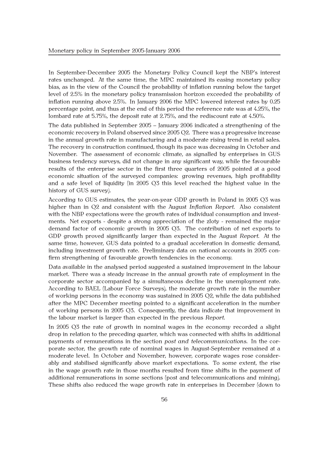In September-December 2005 the Monetary Policy Council kept the NBP's interest rates unchanged. At the same time, the MPC maintained its easing monetary policy bias, as in the view of the Council the probability of inflation running below the target level of 2.5% in the monetary policy transmission horizon exceeded the probability of inflation running above 2.5%. In January 2006 the MPC lowered interest rates by 0.25 percentage point, and thus at the end of this period the reference rate was at 4.25%, the lombard rate at 5.75%, the deposit rate at 2.75%, and the rediscount rate at 4.50%.

The data published in September 2005 – January 2006 indicated a strengthening of the economic recovery in Poland observed since 2005 Q2. There was a progressive increase in the annual growth rate in manufacturing and a moderate rising trend in retail sales. The recovery in construction continued, though its pace was decreasing in October and November. The assessment of economic climate, as signalled by enterprises in GUS business tendency surveys, did not change in any significant way, while the favourable results of the enterprise sector in the first three quarters of 2005 pointed at a good economic situation of the surveyed companies: growing revenues, high profitability and a safe level of liquidity (in 2005 Q3 this level reached the highest value in the history of GUS survey).

According to GUS estimates, the year-on-year GDP growth in Poland in 2005 Q3 was higher than in Q2 and consistent with the August *Inflation Report*. Also consistent with the NBP expectations were the growth rates of individual consumption and investments. Net exports - despite a strong appreciation of the zloty - remained the major demand factor of economic growth in 2005 Q3. The contribution of net exports to GDP growth proved significantly larger than expected in the August *Report*. At the same time, however, GUS data pointed to a gradual acceleration in domestic demand, including investment growth rate. Preliminary data on national accounts in 2005 confirm strengthening of favourable growth tendencies in the economy.

Data available in the analysed period suggested a sustained improvement in the labour market. There was a steady increase in the annual growth rate of employment in the corporate sector accompanied by a simultaneous decline in the unemployment rate. According to BAEL (Labour Force Surveys), the moderate growth rate in the number of working persons in the economy was sustained in 2005 Q2, while the data published after the MPC December meeting pointed to a significant acceleration in the number of working persons in 2005 Q3. Consequently, the data indicate that improvement in the labour market is larger than expected in the previous *Report*.

In 2005 Q3 the rate of growth in nominal wages in the economy recorded a slight drop in relation to the preceding quarter, which was connected with shifts in additional payments of remunerations in the section *post and telecommunications*. In the corporate sector, the growth rate of nominal wages in August-September remained at a moderate level. In October and November, however, corporate wages rose considerably and stabilised significantly above market expectations. To some extent, the rise in the wage growth rate in those months resulted from time shifts in the payment of additional remunerations in some sections (post and telecommunications and mining). These shifts also reduced the wage growth rate in enterprises in December (down to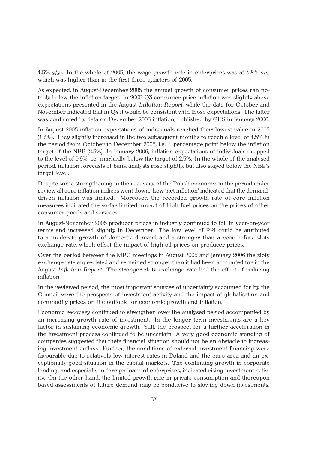1.5% y/y). In the whole of 2005, the wage growth rate in enterprises was at 4.8% y/y, which was higher than in the first three quarters of 2005.

As expected, in August-December 2005 the annual growth of consumer prices ran notably below the inflation target. In 2005 Q3 consumer price inflation was slightly above expectations presented in the August *Inflation Report*, while the data for October and November indicated that in Q4 it would be consistent with those expectations. The latter was confirmed by data on December 2005 inflation, published by GUS in January 2006.

In August 2005 inflation expectations of individuals reached their lowest value in 2005 (1.3%). They slightly increased in the two subsequent months to reach a level of 1.5% in the period from October to December 2005, i.e. 1 percentage point below the inflation target of the NBP (2.5%). In January 2006, inflation expectations of individuals dropped to the level of 0.9%, i.e. markedly below the target of 2.5%. In the whole of the analysed period, inflation forecasts of bank analysts rose slightly, but also stayed below the NBP's target level.

Despite some strengthening in the recovery of the Polish economy, in the period under review all core inflation indices went down. Low 'net inflation' indicated that the demanddriven inflation was limited. Moreover, the recorded growth rate of core inflation measures indicated the so-far limited impact of high fuel prices on the prices of other consumer goods and services.

In August-November 2005 producer prices in industry continued to fall in year-on-year terms and increased slightly in December. The low level of PPI could be attributed to a moderate growth of domestic demand and a stronger than a year before zloty exchange rate, which offset the impact of high oil prices on producer prices.

Over the period between the MPC meetings in August 2005 and January 2006 the zloty exchange rate appreciated and remained stronger than it had been accounted for in the August *Inflation Report*. The stronger zloty exchange rate had the effect of reducing inflation.

In the reviewed period, the most important sources of uncertainty accounted for by the Council were the prospects of investment activity and the impact of globalisation and commodity prices on the outlook for economic growth and inflation.

Economic recovery continued to strengthen over the analysed period accompanied by an increasing growth rate of investment. In the longer term investments are a key factor in sustaining economic growth. Still, the prospect for a further acceleration in the investment process continued to be uncertain. A very good economic standing of companies suggested that their financial situation should not be an obstacle to increasing investment outlays. Further, the conditions of external investment financing were favourable due to relatively low interest rates in Poland and the euro area and an exceptionally good situation in the capital markets. The continuing growth in corporate lending, and especially in foreign loans of enterprises, indicated rising investment activity. On the other hand, the limited growth rate in private consumption and thereupon based assessments of future demand may be conducive to slowing down investments.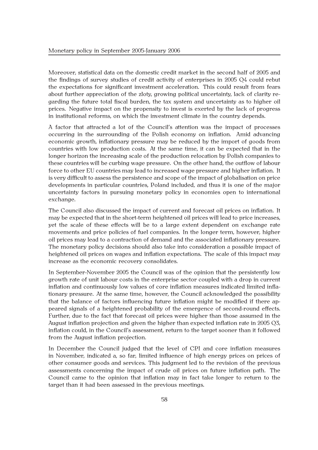Moreover, statistical data on the domestic credit market in the second half of 2005 and the findings of survey studies of credit activity of enterprises in 2005 Q4 could rebut the expectations for significant investment acceleration. This could result from fears about further appreciation of the zloty, growing political uncertainty, lack of clarity regarding the future total fiscal burden, the tax system and uncertainty as to higher oil prices. Negative impact on the propensity to invest is exerted by the lack of progress in institutional reforms, on which the investment climate in the country depends.

A factor that attracted a lot of the Council's attention was the impact of processes occurring in the surrounding of the Polish economy on inflation. Amid advancing economic growth, inflationary pressure may be reduced by the import of goods from countries with low production costs. At the same time, it can be expected that in the longer horizon the increasing scale of the production relocation by Polish companies to these countries will be curbing wage pressure. On the other hand, the outflow of labour force to other EU countries may lead to increased wage pressure and higher inflation. It is very difficult to assess the persistence and scope of the impact of globalisation on price developments in particular countries, Poland included, and thus it is one of the major uncertainty factors in pursuing monetary policy in economies open to international exchange.

The Council also discussed the impact of current and forecast oil prices on inflation. It may be expected that in the short-term heightened oil prices will lead to price increases, yet the scale of these effects will be to a large extent dependent on exchange rate movements and price policies of fuel companies. In the longer term, however, higher oil prices may lead to a contraction of demand and the associated inflationary pressure. The monetary policy decisions should also take into consideration a possible impact of heightened oil prices on wages and inflation expectations. The scale of this impact may increase as the economic recovery consolidates.

In September-November 2005 the Council was of the opinion that the persistently low growth rate of unit labour costs in the enterprise sector coupled with a drop in current inflation and continuously low values of core inflation measures indicated limited inflationary pressure. At the same time, however, the Council acknowledged the possibility that the balance of factors influencing future inflation might be modified if there appeared signals of a heightened probability of the emergence of second-round effects. Further, due to the fact that forecast oil prices were higher than those assumed in the August inflation projection and given the higher than expected inflation rate in 2005 Q3, inflation could, in the Council's assessment, return to the target sooner than it followed from the August inflation projection.

In December the Council judged that the level of CPI and core inflation measures in November, indicated a, so far, limited influence of high energy prices on prices of other consumer goods and services. This judgment led to the revision of the previous assessments concerning the impact of crude oil prices on future inflation path. The Council came to the opinion that inflation may in fact take longer to return to the target than it had been assessed in the previous meetings.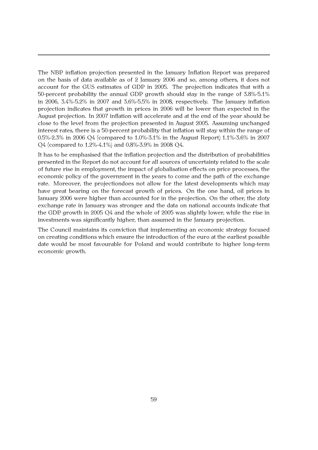The NBP inflation projection presented in the January Inflation Report was prepared on the basis of data available as of 2 January 2006 and so, among others, it does not account for the GUS estimates of GDP in 2005. The projection indicates that with a 50-percent probability the annual GDP growth should stay in the range of 3.8%-5.1% in 2006, 3.4%-5.2% in 2007 and 3.6%-5.5% in 2008, respectively. The January inflation projection indicates that growth in prices in 2006 will be lower than expected in the August projection. In 2007 inflation will accelerate and at the end of the year should be close to the level from the projection presented in August 2005. Assuming unchanged interest rates, there is a 50-percent probability that inflation will stay within the range of 0.5%-2.3% in 2006 Q4 (compared to 1.0%-3.1% in the August Report) 1.1%-3.6% in 2007 Q4 (compared to 1.2%-4.1%) and 0.8%-3.9% in 2008 Q4.

It has to be emphasised that the inflation projection and the distribution of probabilities presented in the Report do not account for all sources of uncertainty related to the scale of future rise in employment, the impact of globalisation effects on price processes, the economic policy of the government in the years to come and the path of the exchange rate. Moreover, the projectiondoes not allow for the latest developments which may have great bearing on the forecast growth of prices. On the one hand, oil prices in January 2006 were higher than accounted for in the projection. On the other, the zloty exchange rate in January was stronger and the data on national accounts indicate that the GDP growth in 2005 Q4 and the whole of 2005 was slightly lower, while the rise in investments was significantly higher, than assumed in the January projection.

The Council maintains its conviction that implementing an economic strategy focused on creating conditions which ensure the introduction of the euro at the earliest possible date would be most favourable for Poland and would contribute to higher long-term economic growth.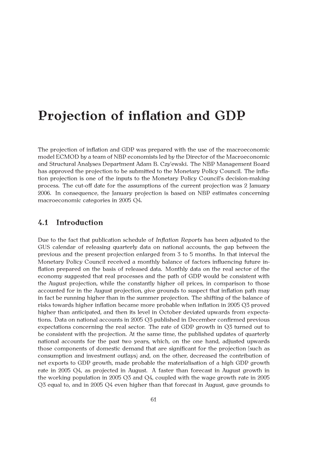# **Projection of inflation and GDP**

The projection of inflation and GDP was prepared with the use of the macroeconomic model ECMOD by a team of NBP economists led by the Director of the Macroeconomic and Structural Analyses Department Adam B. Czy'ewski. The NBP Management Board has approved the projection to be submitted to the Monetary Policy Council. The inflation projection is one of the inputs to the Monetary Policy Council's decision-making process. The cut-off date for the assumptions of the current projection was 2 January 2006. In consequence, the January projection is based on NBP estimates concerning macroeconomic categories in 2005 Q4.

# **4.1 Introduction**

Due to the fact that publication schedule of *Inflation Reports* has been adjusted to the GUS calendar of releasing quarterly data on national accounts, the gap between the previous and the present projection enlarged from 3 to 5 months. In that interval the Monetary Policy Council received a monthly balance of factors influencing future inflation prepared on the basis of released data. Monthly data on the real sector of the economy suggested that real processes and the path of GDP would be consistent with the August projection, while the constantly higher oil prices, in comparison to those accounted for in the August projection, give grounds to suspect that inflation path may in fact be running higher than in the summer projection. The shifting of the balance of risks towards higher inflation became more probable when inflation in 2005 Q3 proved higher than anticipated, and then its level in October deviated upwards from expectations. Data on national accounts in 2005 Q3 published in December confirmed previous expectations concerning the real sector. The rate of GDP growth in Q3 turned out to be consistent with the projection. At the same time, the published updates of quarterly national accounts for the past two years, which, on the one hand, adjusted upwards those components of domestic demand that are significant for the projection (such as consumption and investment outlays) and, on the other, decreased the contribution of net exports to GDP growth, made probable the materialisation of a high GDP growth rate in 2005 Q4, as projected in August. A faster than forecast in August growth in the working population in 2005 Q3 and Q4, coupled with the wage growth rate in 2005 Q3 equal to, and in 2005 Q4 even higher than that forecast in August, gave grounds to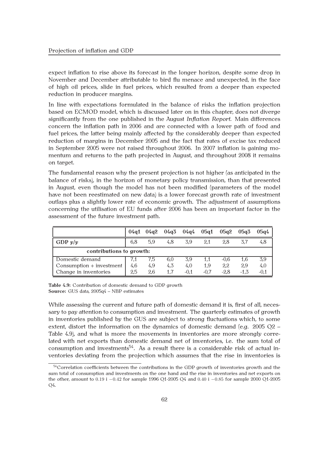expect inflation to rise above its forecast in the longer horizon, despite some drop in November and December attributable to bird flu menace and unexpected, in the face of high oil prices, slide in fuel prices, which resulted from a deeper than expected reduction in producer margins.

In line with expectations formulated in the balance of risks the inflation projection based on ECMOD model, which is discussed later on in this chapter, does not diverge significantly from the one published in the August *Inflation Report*. Main differences concern the inflation path in 2006 and are connected with a lower path of food and fuel prices, the latter being mainly affected by the considerably deeper than expected reduction of margins in December 2005 and the fact that rates of excise tax reduced in September 2005 were not raised throughout 2006. In 2007 inflation is gaining momentum and returns to the path projected in August, and throughout 2008 it remains on target.

The fundamental reason why the present projection is not higher (as anticipated in the balance of risks), in the horizon of monetary policy transmission, than that presented in August, even though the model has not been modified (parameters of the model have not been reestimated on new data) is a lower forecast growth rate of investment outlays plus a slightly lower rate of economic growth. The adjustment of assumptions concerning the utilisation of EU funds after 2006 has been an important factor in the assessment of the future investment path.

|                            | 04a1 | 04q2 | 04q3 | 04q <sub>4</sub> | 05q1   | 05q2   | 05a3   | 05q <sub>4</sub> |  |
|----------------------------|------|------|------|------------------|--------|--------|--------|------------------|--|
| GDP $y/y$                  | 6.8  | 5.9  | 4.8  | 3,9              | 2.1    | 2.8    | 3.7    | 4,8              |  |
| contributions to growth:   |      |      |      |                  |        |        |        |                  |  |
| Domestic demand            | 7,1  | 7,5  | 6.0  | 3,9              | 1.1    | $-0.6$ | 1.6    | 3,9              |  |
| $Consumption + investment$ | 4,6  | 4,9  | 4,3  | 4.0              | 1.9    | 2.2    | 2,9    | 4,0              |  |
| Change in inventories      | 2.5  | 2.6  | 1.7  | $-0.1$           | $-0.7$ | -2.8   | $-1.3$ | $-0.1$           |  |

**Table 4.9:** Contribution of domestic demand to GDP growth **Source:** GUS data, 2005q4 – NBP estimates

While assessing the current and future path of domestic demand it is, first of all, necessary to pay attention to consumption and investment. The quarterly estimates of growth in inventories published by the GUS are subject to strong fluctuations which, to some extent, distort the information on the dynamics of domestic demand (e.g. 2005 Q2 – Table 4.9), and what is more the movements in inventories are more strongly correlated with net exports than domestic demand net of inventories, i.e. the sum total of consumption and investments<sup>54</sup>. As a result there is a considerable risk of actual inventories deviating from the projection which assumes that the rise in inventories is

<sup>&</sup>lt;sup>54</sup>Correlation coefficients between the contributions in the GDP growth of inventories growth and the sum total of consumption and investments on the one hand and the rise in inventories and net exports on the other, amount to 0.19 i −0.42 for sample 1996 Q1-2005 Q4 and 0.40 i −0.85 for sample 2000 Q1-2005 Q4.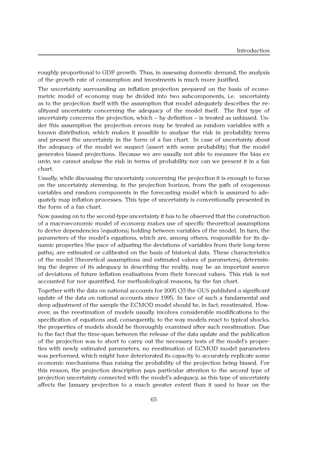roughly proportional to GDP growth. Thus, in assessing domestic demand, the analysis of the growth rate of consumption and investments is much more justified.

The uncertainty surrounding an inflation projection prepared on the basis of econometric model of economy may be divided into two subcomponents, i.e. uncertainty as to the projection itself with the assumption that model adequately describes the realityand uncertainty concerning the adequacy of the model itself. The first type of uncertainty concerns the projection, which  $-$  by definition  $-$  is treated as unbiased. Under this assumption the projection errors may be treated as random variables with a known distribution, which makes it possible to analyse the risk in probability terms and present the uncertainty in the form of a fan chart. In case of uncertainty about the adequacy of the model we suspect (assert with some probability) that the model generates biased projections. Because we are usually not able to measure the bias *ex ante*, we cannot analyse the risk in terms of probability nor can we present it in a fan chart.

Usually, while discussing the uncertainty concerning the projection it is enough to focus on the uncertainty stemming, in the projection horizon, from the path of exogenous variables and random components in the forecasting model which is assumed to adequately map inflation processes. This type of uncertainty is conventionally presented in the form of a fan chart.

Now passing on to the second-type uncertainty it has to be observed that the construction of a macroeconomic model of economy makes use of specific theoretical assumptions to derive dependencies (equations) holding between variables of the model. In turn, the parameters of the model's equations, which are, among others, responsible for its dynamic properties (the pace of adjusting the deviations of variables from their long-term paths), are estimated or calibrated on the basis of historical data. These characteristics of the model (theoretical assumptions and estimated values of parameters), determining the degree of its adequacy in describing the reality, may be an important source of deviations of future inflation realisations from their forecast values. This risk is not accounted for nor quantified, for methodological reasons, by the fan chart.

Together with the data on national accounts for 2005 Q3 the GUS published a significant update of the data on national accounts since 1995. In face of such a fundamental and deep adjustment of the sample the ECMOD model should be, in fact, reestimated. However, as the reestimation of models usually involves considerable modifications to the specification of equations and, consequently, to the way models react to typical shocks, the properties of models should be thoroughly examined after such reestimation. Due to the fact that the time-span between the release of the data update and the publication of the projection was to short to carry out the necessary tests of the model's properties with newly estimated parameters, no reestimation of ECMOD model parameters was performed, which might have deteriorated its capacity to accurately replicate some economic mechanisms thus raising the probability of the projection being biased. For this reason, the projection description pays particular attention to the second type of projection uncertainty connected with the model's adequacy, as this type of uncertainty affects the January projection to a much greater extent than it used to bear on the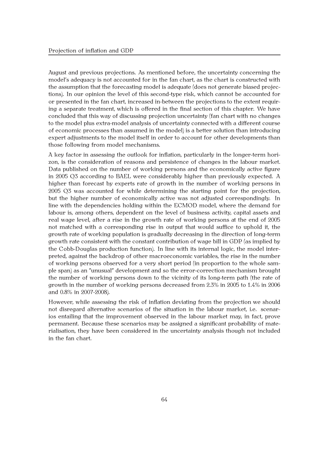August and previous projections. As mentioned before, the uncertainty concerning the model's adequacy is not accounted for in the fan chart, as the chart is constructed with the assumption that the forecasting model is adequate (does not generate biased projections). In our opinion the level of this second-type risk, which cannot be accounted for or presented in the fan chart, increased in-between the projections to the extent requiring a separate treatment, which is offered in the final section of this chapter. We have concluded that this way of discussing projection uncertainty (fan chart with no changes to the model plus extra-model analysis of uncertainty connected with a different course of economic processes than assumed in the model) is a better solution than introducing expert adjustments to the model itself in order to account for other developments than those following from model mechanisms.

A key factor in assessing the outlook for inflation, particularly in the longer-term horizon, is the consideration of reasons and persistence of changes in the labour market. Data published on the number of working persons and the economically active figure in 2005 Q3 according to BAEL were considerably higher than previously expected. A higher than forecast by experts rate of growth in the number of working persons in 2005 Q3 was accounted for while determining the starting point for the projection, but the higher number of economically active was not adjusted correspondingly. In line with the dependencies holding within the ECMOD model, where the demand for labour is, among others, dependent on the level of business activity, capital assets and real wage level, after a rise in the growth rate of working persons at the end of 2005 not matched with a corresponding rise in output that would suffice to uphold it, the growth rate of working population is gradually decreasing in the direction of long-term growth rate consistent with the constant contribution of wage bill in GDP (as implied by the Cobb-Douglas production function). In line with its internal logic, the model interpreted, against the backdrop of other macroeconomic variables, the rise in the number of working persons observed for a very short period (in proportion to the whole sample span) as an "unusual" development and so the error-correction mechanism brought the number of working persons down to the vicinity of its long-term path (the rate of growth in the number of working persons decreased from 2.3% in 2005 to 1.4% in 2006 and 0.8% in 2007-2008).

However, while assessing the risk of inflation deviating from the projection we should not disregard alternative scenarios of the situation in the labour market, i.e. scenarios entailing that the improvement observed in the labour market may, in fact, prove permanent. Because these scenarios may be assigned a significant probability of materialisation, they have been considered in the uncertainty analysis though not included in the fan chart.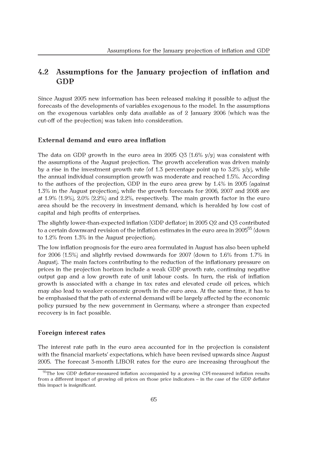# **4.2 Assumptions for the January projection of inflation and GDP**

Since August 2005 new information has been released making it possible to adjust the forecasts of the developments of variables exogenous to the model. In the assumptions on the exogenous variables only data available as of 2 January 2006 (which was the cut-off of the projection) was taken into consideration.

#### **External demand and euro area inflation**

The data on GDP growth in the euro area in 2005 O3  $(1.6\% y/y)$  was consistent with the assumptions of the August projection. The growth acceleration was driven mainly by a rise in the investment growth rate (of 1.3 percentage point up to 3.2%  $y/y$ ), while the annual individual consumption growth was moderate and reached 1.5%. According to the authors of the projection, GDP in the euro area grew by 1.4% in 2005 (against 1.3% in the August projection), while the growth forecasts for 2006, 2007 and 2008 are at 1.9% (1.9%), 2.0% (2.2%) and 2.2%, respectively. The main growth factor in the euro area should be the recovery in investment demand, which is heralded by low cost of capital and high profits of enterprises.

The slightly lower-than-expected inflation (GDP deflator) in 2005 Q2 and Q3 contributed to a certain downward revision of the inflation estimates in the euro area in 2005<sup>55</sup> (down to 1.2% from 1.3% in the August projection).

The low inflation prognosis for the euro area formulated in August has also been upheld for 2006 (1.5%) and slightly revised downwards for 2007 (down to 1.6% from 1.7% in August). The main factors contributing to the reduction of the inflationary pressure on prices in the projection horizon include a weak GDP growth rate, continuing negative output gap and a low growth rate of unit labour costs. In turn, the risk of inflation growth is associated with a change in tax rates and elevated crude oil prices, which may also lead to weaker economic growth in the euro area. At the same time, it has to be emphasised that the path of external demand will be largely affected by the economic policy pursued by the new government in Germany, where a stronger than expected recovery is in fact possible.

#### **Foreign interest rates**

The interest rate path in the euro area accounted for in the projection is consistent with the financial markets' expectations, which have been revised upwards since August 2005. The forecast 3-month LIBOR rates for the euro are increasing throughout the

<sup>&</sup>lt;sup>55</sup>The low GDP deflator-measured inflation accompanied by a growing CPI-measured inflation results from a different impact of growing oil prices on those price indicators – in the case of the GDP deflator this impact is insignificant.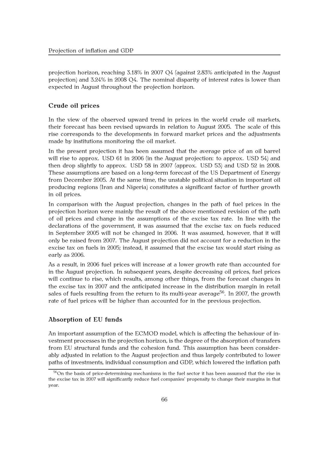projection horizon, reaching 3.18% in 2007 Q4 (against 2.83% anticipated in the August projection) and 3.24% in 2008 Q4. The nominal disparity of interest rates is lower than expected in August throughout the projection horizon.

### **Crude oil prices**

In the view of the observed upward trend in prices in the world crude oil markets, their forecast has been revised upwards in relation to August 2005. The scale of this rise corresponds to the developments in forward market prices and the adjustments made by institutions monitoring the oil market.

In the present projection it has been assumed that the average price of an oil barrel will rise to approx. USD 61 in 2006 (in the August projection: to approx. USD 54) and then drop slightly to approx. USD 58 in 2007 (approx. USD 53) and USD 52 in 2008. These assumptions are based on a long-term forecast of the US Department of Energy from December 2005. At the same time, the unstable political situation in important oil producing regions (Iran and Nigeria) constitutes a significant factor of further growth in oil prices.

In comparison with the August projection, changes in the path of fuel prices in the projection horizon were mainly the result of the above mentioned revision of the path of oil prices and change in the assumptions of the excise tax rate. In line with the declarations of the government, it was assumed that the excise tax on fuels reduced in September 2005 will not be changed in 2006. It was assumed, however, that it will only be raised from 2007. The August projection did not account for a reduction in the excise tax on fuels in 2005; instead, it assumed that the excise tax would start rising as early as 2006.

As a result, in 2006 fuel prices will increase at a lower growth rate than accounted for in the August projection. In subsequent years, despite decreasing oil prices, fuel prices will continue to rise, which results, among other things, from the forecast changes in the excise tax in 2007 and the anticipated increase in the distribution margin in retail sales of fuels resulting from the return to its multi-year average<sup>56</sup>. In 2007, the growth rate of fuel prices will be higher than accounted for in the previous projection.

## **Absorption of EU funds**

An important assumption of the ECMOD model, which is affecting the behaviour of investment processes in the projection horizon, is the degree of the absorption of transfers from EU structural funds and the cohesion fund. This assumption has been considerably adjusted in relation to the August projection and thus largely contributed to lower paths of investments, individual consumption and GDP, which lowered the inflation path

<sup>&</sup>lt;sup>56</sup>On the basis of price-determining mechanisms in the fuel sector it has been assumed that the rise in the excise tax in 2007 will significantly reduce fuel companies' propensity to change their margins in that year.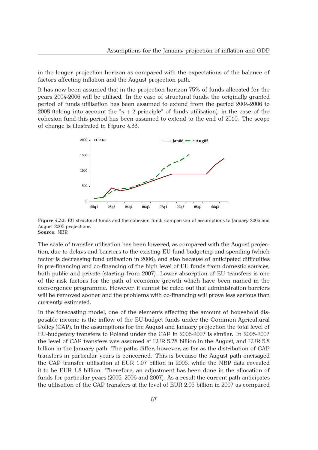in the longer projection horizon as compared with the expectations of the balance of factors affecting inflation and the August projection path.

It has now been assumed that in the projection horizon 75% of funds allocated for the years 2004-2006 will be utilised. In the case of structural funds, the originally granted period of funds utilisation has been assumed to extend from the period 2004-2006 to 2008 (taking into account the " $n + 2$  principle" of funds utilisation); in the case of the cohesion fund this period has been assumed to extend to the end of 2010. The scope of change is illustrated in Figure 4.33.



**Figure 4.33:** EU structural funds and the cohesion fund: comparison of assumptions to January 2006 and August 2005 projections. **Source:** NBP.

The scale of transfer utilisation has been lowered, as compared with the August projection, due to delays and barriers to the existing EU fund budgeting and spending (which factor is decreasing fund utilisation in 2006), and also because of anticipated difficulties in pre-financing and co-financing of the high level of EU funds from domestic sources, both public and private (starting from 2007). Lower absorption of EU transfers is one of the risk factors for the path of economic growth which have been named in the convergence programme. However, it cannot be ruled out that administration barriers will be removed sooner and the problems with co-financing will prove less serious than currently estimated.

In the forecasting model, one of the elements affecting the amount of household disposable income is the inflow of the EU-budget funds under the Common Agricultural Policy (CAP). In the assumptions for the August and January projection the total level of EU-budgetary transfers to Poland under the CAP in 2005-2007 is similar. In 2005-2007 the level of CAP transfers was assumed at EUR 5.78 billion in the August, and EUR 5.8 billion in the January path. The paths differ, however, as far as the distribution of CAP transfers in particular years is concerned. This is because the August path envisaged the CAP transfer utilisation at EUR 1.07 billion in 2005, while the NBP data revealed it to be EUR 1.8 billion. Therefore, an adjustment has been done in the allocation of funds for particular years (2005, 2006 and 2007). As a result the current path anticipates the utilisation of the CAP transfers at the level of EUR 2.05 billion in 2007 as compared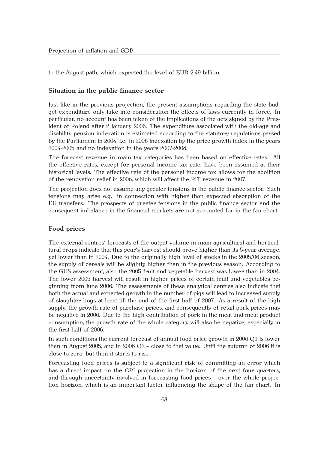to the August path, which expected the level of EUR 2.49 billion.

#### **Situation in the public finance sector**

Just like in the previous projection, the present assumptions regarding the state budget expenditure only take into consideration the effects of laws currently in force. In particular, no account has been taken of the implications of the acts signed by the President of Poland after 2 January 2006. The expenditure associated with the old-age and disability pension indexation is estimated according to the statutory regulations passed by the Parliament in 2004, i.e. in 2006 indexation by the price growth index in the years 2004-2005 and no indexation in the years 2007-2008.

The forecast revenue in main tax categories has been based on effective rates. All the effective rates, except for personal income tax rate, have been assumed at their historical levels. The effective rate of the personal income tax allows for the abolition of the renovation relief in 2006, which will affect the PIT revenue in 2007.

The projection does not assume any greater tensions in the public finance sector. Such tensions may arise e.g. in connection with higher than expected absorption of the EU transfers. The prospects of greater tensions in the public finance sector and the consequent imbalance in the financial markets are not accounted for in the fan chart.

#### **Food prices**

The external centres' forecasts of the output volume in main agricultural and horticultural crops indicate that this year's harvest should prove higher than its 5-year average, yet lower than in 2004. Due to the originally high level of stocks in the 2005/06 season, the supply of cereals will be slightly higher than in the previous season. According to the GUS assessment, also the 2005 fruit and vegetable harvest was lower than in 2004. The lower 2005 harvest will result in higher prices of certain fruit and vegetables beginning from June 2006. The assessments of these analytical centres also indicate that both the actual and expected growth in the number of pigs will lead to increased supply of slaughter hogs at least till the end of the first half of 2007. As a result of the high supply, the growth rate of purchase prices, and consequently of retail pork prices may be negative in 2006. Due to the high contribution of pork in the meat and meat product consumption, the growth rate of the whole category will also be negative, especially in the first half of 2006.

In such conditions the current forecast of annual food price growth in 2006 Q1 is lower than in August 2005, and in 2006 Q2 – close to that value. Until the autumn of 2006 it is close to zero, but then it starts to rise.

Forecasting food prices is subject to a significant risk of committing an error which has a direct impact on the CPI projection in the horizon of the next four quarters, and through uncertainty involved in forecasting food prices – over the whole projection horizon, which is an important factor influencing the shape of the fan chart. In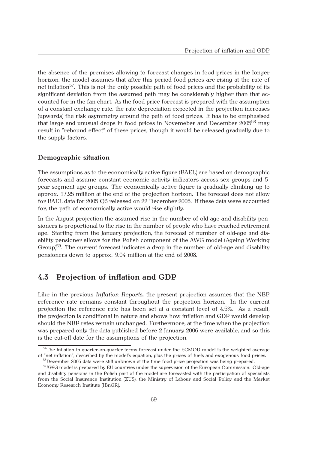the absence of the premises allowing to forecast changes in food prices in the longer horizon, the model assumes that after this period food prices are rising at the rate of net inflation<sup>57</sup>. This is not the only possible path of food prices and the probability of its significant deviation from the assumed path may be considerably higher than that accounted for in the fan chart. As the food price forecast is prepared with the assumption of a constant exchange rate, the rate depreciation expected in the projection increases (upwards) the risk asymmetry around the path of food prices. It has to be emphasised that large and unusual drops in food prices in Novemeber and December 2005<sup>58</sup> may result in "rebound effect" of these prices, though it would be released gradually due to the supply factors.

### **Demographic situation**

The assumptions as to the economically active figure (BAEL) are based on demographic forecasts and assume constant economic activity indicators across sex groups and 5 year segment age groups. The economically active figure is gradually climbing up to approx. 17.25 million at the end of the projection horizon. The forecast does not allow for BAEL data for 2005 Q3 released on 22 December 2005. If these data were accounted for, the path of economically active would rise slightly.

In the August projection the assumed rise in the number of old-age and disability pensioners is proportional to the rise in the number of people who have reached retirement age. Starting from the January projection, the forecast of number of old-age and disability pensioner allows for the Polish component of the AWG model (Ageing Working Group)<sup>59</sup>. The current forecast indicates a drop in the number of old-age and disability pensioners down to approx. 9.04 million at the end of 2008.

# **4.3 Projection of inflation and GDP**

Like in the previous *Inflation Reports*, the present projection assumes that the NBP reference rate remains constant throughout the projection horizon. In the current projection the reference rate has been set at a constant level of 4.5%. As a result, the projection is conditional in nature and shows how inflation and GDP would develop should the NBP rates remain unchanged. Furthermore, at the time when the projection was prepared only the data published before 2 January 2006 were available, and so this is the cut-off date for the assumptions of the projection.

<sup>&</sup>lt;sup>57</sup>The inflation in quarter-on-quarter terms forecast under the ECMOD model is the weighted average of "net inflation", described by the model's equation, plus the prices of fuels and exogenous food prices.

<sup>&</sup>lt;sup>58</sup>December 2005 data were still unknown at the time food price projection was being prepared. <sup>59</sup>AWG model is prepared by EU countries under the supervision of the European Commission. Old-age

and disability pensions in the Polish part of the model are forecasted with the participation of specialists from the Social Insurance Institution (ZUS), the Ministry of Labour and Social Policy and the Market Economy Research Institute (IBnGR).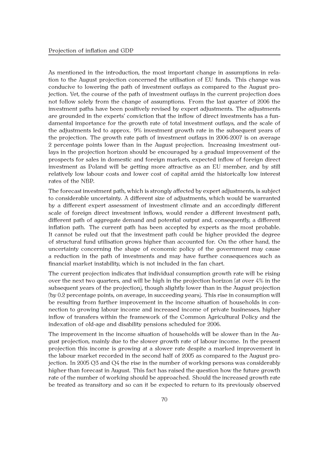As mentioned in the introduction, the most important change in assumptions in relation to the August projection concerned the utilisation of EU funds. This change was conducive to lowering the path of investment outlays as compared to the August projection. Yet, the course of the path of investment outlays in the current projection does not follow solely from the change of assumptions. From the last quarter of 2006 the investment paths have been positively revised by expert adjustments. The adjustments are grounded in the experts' conviction that the inflow of direct investments has a fundamental importance for the growth rate of total investment outlays, and the scale of the adjustments led to approx. 9% investment growth rate in the subsequent years of the projection. The growth rate path of investment outlays in 2006-2007 is on average 2 percentage points lower than in the August projection. Increasing investment outlays in the projection horizon should be encouraged by a gradual improvement of the prospects for sales in domestic and foreign markets, expected inflow of foreign direct investment as Poland will be getting more attractive as an EU member, and by still relatively low labour costs and lower cost of capital amid the historically low interest rates of the NBP.

The forecast investment path, which is strongly affected by expert adjustments, is subject to considerable uncertainty. A different size of adjustments, which would be warranted by a different expert assessment of investment climate and an accordingly different scale of foreign direct investment inflows, would render a different investment path, different path of aggregate demand and potential output and, consequently, a different inflation path. The current path has been accepted by experts as the most probable. It cannot be ruled out that the investment path could be higher provided the degree of structural fund utilisation grows higher than accounted for. On the other hand, the uncertainty concerning the shape of economic policy of the government may cause a reduction in the path of investments and may have further consequences such as financial market instability, which is not included in the fan chart.

The current projection indicates that individual consumption growth rate will be rising over the next two quarters, and will be high in the projection horizon (at over 4% in the subsequent years of the projection), though slightly lower than in the August projection (by 0.2 percentage points, on average, in succeeding years). This rise in consumption will be resulting from further improvement in the income situation of households in connection to growing labour income and increased income of private businesses, higher inflow of transfers within the framework of the Common Agricultural Policy and the indexation of old-age and disability pensions scheduled for 2006.

The improvement in the income situation of households will be slower than in the August projection, mainly due to the slower growth rate of labour income. In the present projection this income is growing at a slower rate despite a marked improvement in the labour market recorded in the second half of 2005 as compared to the August projection. In 2005 Q3 and Q4 the rise in the number of working persons was considerably higher than forecast in August. This fact has raised the question how the future growth rate of the number of working should be approached. Should the increased growth rate be treated as transitory and so can it be expected to return to its previously observed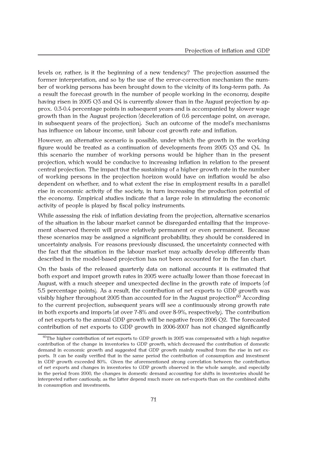levels or, rather, is it the beginning of a new tendency? The projection assumed the former interpretation, and so by the use of the error-correction mechanism the number of working persons has been brought down to the vicinity of its long-term path. As a result the forecast growth in the number of people working in the economy, despite having risen in 2005 Q3 and Q4 is currently slower than in the August projection by approx. 0.3-0.4 percentage points in subsequent years and is accompanied by slower wage growth than in the August projection (deceleration of 0.6 percentage point, on average, in subsequent years of the projection). Such an outcome of the model's mechanisms has influence on labour income, unit labour cost growth rate and inflation.

However, an alternative scenario is possible, under which the growth in the working figure would be treated as a continuation of developments from 2005 Q3 and Q4. In this scenario the number of working persons would be higher than in the present projection, which would be conducive to increasing inflation in relation to the present central projection. The impact that the sustaining of a higher growth rate in the number of working persons in the projection horizon would have on inflation would be also dependent on whether, and to what extent the rise in employment results in a parallel rise in economic activity of the society, in turn increasing the production potential of the economy. Empirical studies indicate that a large role in stimulating the economic activity of people is played by fiscal policy instruments.

While assessing the risk of inflation deviating from the projection, alternative scenarios of the situation in the labour market cannot be disregarded entailing that the improvement observed therein will prove relatively permanent or even permanent. Because these scenarios may be assigned a significant probability, they should be considered in uncertainty analysis. For reasons previously discussed, the uncertainty connected with the fact that the situation in the labour market may actually develop differently than described in the model-based projection has not been accounted for in the fan chart.

On the basis of the released quarterly data on national accounts it is estimated that both export and import growth rates in 2005 were actually lower than those forecast in August, with a much steeper and unexpected decline in the growth rate of imports (of 5.5 percentage points). As a result, the contribution of net exports to GDP growth was visibly higher throughout 2005 than accounted for in the August projection $60$  According to the current projection, subsequent years will see a continuously strong growth rate in both exports and imports (at over 7-8% and over 8-9%, respectively). The contribution of net exports to the annual GDP growth will be negative from 2006 Q2. The forecasted contribution of net exports to GDP growth in 2006-2007 has not changed significantly

 $60$ The higher contribution of net exports to GDP growth in 2005 was compensated with a high negative contribution of the change in inventories to GDP growth, which decreased the contribution of domestic demand in economic growth and suggested that GDP growth mainly resulted from the rise in net exports. It can be easily verified that in the same period the contribution of consumption and investment in GDP growth exceeded 80%. Given the aforementioned strong correlation between the contribution of net exports and changes in inventories to GDP growth observed in the whole sample, and especially in the period from 2000, the changes in domestic demand accounting for shifts in inventories should be interpreted rather cautiously, as the latter depend much more on net-exports than on the combined shifts in consumption and investments.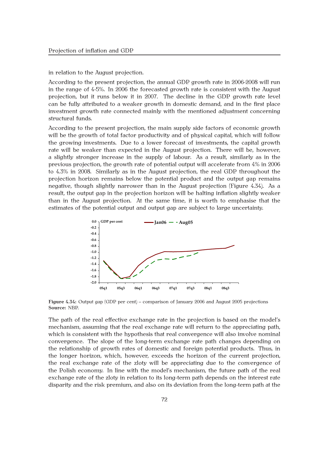in relation to the August projection.

According to the present projection, the annual GDP growth rate in 2006-2008 will run in the range of 4-5%. In 2006 the forecasted growth rate is consistent with the August projection, but it runs below it in 2007. The decline in the GDP growth rate level can be fully attributed to a weaker growth in domestic demand, and in the first place investment growth rate connected mainly with the mentioned adjustment concerning structural funds.

According to the present projection, the main supply side factors of economic growth will be the growth of total factor productivity and of physical capital, which will follow the growing investments. Due to a lower forecast of investments, the capital growth rate will be weaker than expected in the August projection. There will be, however, a slightly stronger increase in the supply of labour. As a result, similarly as in the previous projection, the growth rate of potential output will accelerate from 4% in 2006 to 4.3% in 2008. Similarly as in the August projection, the real GDP throughout the projection horizon remains below the potential product and the output gap remains negative, though slightly narrower than in the August projection (Figure 4.34). As a result, the output gap in the projection horizon will be halting inflation slightly weaker than in the August projection. At the same time, it is worth to emphasise that the estimates of the potential output and output gap are subject to large uncertainty.



**Figure 4.34:** Output gap (GDP per cent) – comparison of January 2006 and August 2005 projections **Source:** NBP.

The path of the real effective exchange rate in the projection is based on the model's mechanism, assuming that the real exchange rate will return to the appreciating path, which is consistent with the hypothesis that real convergence will also involve nominal convergence. The slope of the long-term exchange rate path changes depending on the relationship of growth rates of domestic and foreign potential products. Thus, in the longer horizon, which, however, exceeds the horizon of the current projection, the real exchange rate of the zloty will be appreciating due to the convergence of the Polish economy. In line with the model's mechanism, the future path of the real exchange rate of the zloty in relation to its long-term path depends on the interest rate disparity and the risk premium, and also on its deviation from the long-term path at the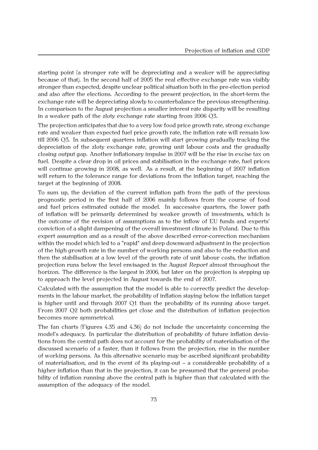starting point (a stronger rate will be depreciating and a weaker will be appreciating because of that). In the second half of 2005 the real effective exchange rate was visibly stronger than expected, despite unclear political situation both in the pre-election period and also after the elections. According to the present projection, in the short-term the exchange rate will be depreciating slowly to counterbalance the previous strengthening. In comparison to the August projection a smaller interest rate disparity will be resulting in a weaker path of the zloty exchange rate starting from 2006 Q3.

The projection anticipates that due to a very low food price growth rate, strong exchange rate and weaker than expected fuel price growth rate, the inflation rate will remain low till 2006 Q3. In subsequent quarters inflation will start growing gradually tracking the depreciation of the zloty exchange rate, growing unit labour costs and the gradually closing output gap. Another inflationary impulse in 2007 will be the rise in excise tax on fuel. Despite a clear drop in oil prices and stabilisation in the exchange rate, fuel prices will continue growing in 2008, as well. As a result, at the beginning of 2007 inflation will return to the tolerance range for deviations from the inflation target, reaching the target at the beginning of 2008.

To sum up, the deviation of the current inflation path from the path of the previous prognostic period in the first half of 2006 mainly follows from the course of food and fuel prices estimated outside the model. In successive quarters, the lower path of inflation will be primarily determined by weaker growth of investments, which is the outcome of the revision of assumptions as to the inflow of EU funds and experts' conviction of a slight dampening of the overall investment climate in Poland. Due to this expert assumption and as a result of the above described error-correction mechanism within the model which led to a "rapid" and deep downward adjustment in the projection of the high growth rate in the number of working persons and also to the reduction and then the stabilisation at a low level of the growth rate of unit labour costs, the inflation projection runs below the level envisaged in the August *Report* almost throughout the horizon. The difference is the largest in 2006, but later on the projection is stepping up to approach the level projected in August towards the end of 2007.

Calculated with the assumption that the model is able to correctly predict the developments in the labour market, the probability of inflation staying below the inflation target is higher until and through 2007 Q1 than the probability of its running above target. From 2007 Q2 both probabilities get close and the distribution of inflation projection becomes more symmetrical.

The fan charts (Figures 4.35 and 4.36) do not include the uncertainty concerning the model's adequacy. In particular the distribution of probability of future inflation deviations from the central path does not account for the probability of materialisation of the discussed scenario of a faster, than it follows from the projection, rise in the number of working persons. As this alternative scenario may be ascribed significant probability of materialisation, and in the event of its playing-out – a considerable probability of a higher inflation than that in the projection, it can be presumed that the general probability of inflation running above the central path is higher than that calculated with the assumption of the adequacy of the model.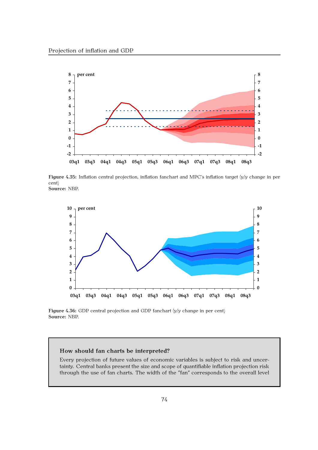

**Figure 4.35:** Inflation central projection, inflation fanchart and MPC's inflation target (y/y change in per cent) **Source:** NBP.



Figure 4.36: GDP central projection and GDP fanchart (y/y change in per cent) **Source:** NBP.

#### **How should fan charts be interpreted?**

Every projection of future values of economic variables is subject to risk and uncertainty. Central banks present the size and scope of quantifiable inflation projection risk through the use of fan charts. The width of the "fan" corresponds to the overall level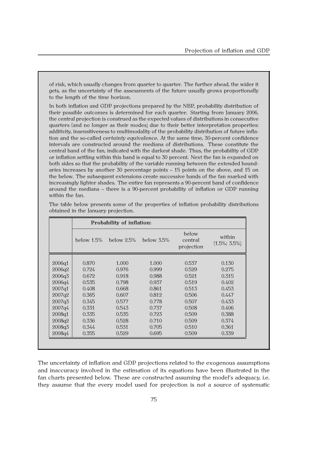of risk, which usually changes from quarter to quarter. The further ahead, the wider it gets, as the uncertainty of the assessments of the future usually grows proportionally to the length of the time horizon.

In both inflation and GDP projections prepared by the NBP, probability distribution of their possible outcomes is determined for each quarter. Starting from January 2006, the central projection is construed as the expected values of distributions in consecutive quarters (and no longer as their modes) due to their better interpretation properties: additivity, insensitiveness to multimodality of the probability distribution of future inflation and the so-called *certainty equivalence*. At the same time, 30-percent confidence intervals are constructed around the medians of distributions. These constitute the central band of the fan, indicated with the darkest shade. Thus, the probability of GDP or inflation settling within this band is equal to 30 percent. Next the fan is expanded on both sides so that the probability of the variable running between the extended boundaries increases by another 30 percentage points – 15 points on the above, and 15 on the below. The subsequent extensions create successive bands of the fan marked with increasingly lighter shades. The entire fan represents a 90-percent band of confidence around the medians – there is a 90-percent probability of inflation or GDP running within the fan.

|                    | <b>Probability of inflation:</b> |               |               |                                |                            |
|--------------------|----------------------------------|---------------|---------------|--------------------------------|----------------------------|
|                    | $below 1.5\%$                    | below $2.5\%$ | below $3.5\%$ | below<br>central<br>projection | within<br>$(1.5\%; 3.5\%)$ |
| 2006q1             | 0.870                            | 1.000         | 1.000         | 0.537                          | 0.130                      |
| 2006q2             | 0.724                            | 0.976         | 0.999         | 0.529                          | 0.275                      |
| 2006q3             | 0.672                            | 0.918         | 0.988         | 0.521                          | 0.315                      |
| 2006q <sub>4</sub> | 0.535                            | 0.798         | 0.937         | 0.519                          | 0.402                      |
| 2007q1             | 0.408                            | 0.668         | 0.861         | 0.513                          | 0.453                      |
| 2007q2             | 0.365                            | 0.607         | 0.812         | 0.506                          | 0.447                      |
| 2007q3             | 0.345                            | 0.577         | 0.778         | 0.507                          | 0.433                      |
| $2007q_{4}$        | 0.331                            | 0.543         | 0.737         | 0.508                          | 0.406                      |
| 2008q1             | 0.335                            | 0.535         | 0.723         | 0.509                          | 0.388                      |
| 2008q2             | 0.336                            | 0.528         | 0.710         | 0.509                          | 0.374                      |
| 2008q3             | 0.344                            | 0.531         | 0.705         | 0.510                          | 0.361                      |
| 2008q4             | 0.355                            | 0.529         | 0.695         | 0.509                          | 0.339                      |

The table below presents some of the properties of inflation probability distributions obtained in the January projection.

The uncertainty of inflation and GDP projections related to the exogenous assumptions and inaccuracy involved in the estimation of its equations have been illustrated in the fan charts presented below. These are constructed assuming the model's adequacy, i.e. they assume that the every model used for projection is not a source of systematic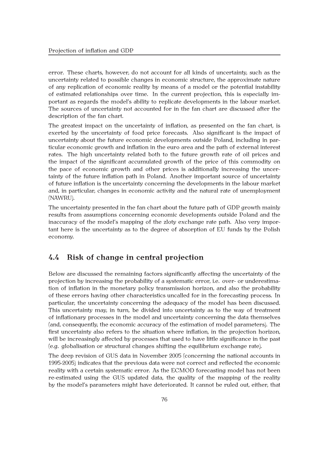error. These charts, however, do not account for all kinds of uncertainty, such as the uncertainty related to possible changes in economic structure, the approximate nature of any replication of economic reality by means of a model or the potential instability of estimated relationships over time. In the current projection, this is especially important as regards the model's ability to replicate developments in the labour market. The sources of uncertainty not accounted for in the fan chart are discussed after the description of the fan chart.

The greatest impact on the uncertainty of inflation, as presented on the fan chart, is exerted by the uncertainty of food price forecasts. Also significant is the impact of uncertainty about the future economic developments outside Poland, including in particular economic growth and inflation in the euro area and the path of external interest rates. The high uncertainty related both to the future growth rate of oil prices and the impact of the significant accumulated growth of the price of this commodity on the pace of economic growth and other prices is additionally increasing the uncertainty of the future inflation path in Poland. Another important source of uncertainty of future inflation is the uncertainty concerning the developments in the labour market and, in particular, changes in economic activity and the natural rate of unemployment (NAWRU).

The uncertainty presented in the fan chart about the future path of GDP growth mainly results from assumptions concerning economic developments outside Poland and the inaccuracy of the model's mapping of the zloty exchange rate path. Also very important here is the uncertainty as to the degree of absorption of EU funds by the Polish economy.

## **4.4 Risk of change in central projection**

Below are discussed the remaining factors significantly affecting the uncertainty of the projection by increasing the probability of a systematic error, i.e. over- or underestimation of inflation in the monetary policy transmission horizon, and also the probability of these errors having other characteristics uncalled for in the forecasting process. In particular, the uncertainty concerning the adequacy of the model has been discussed. This uncertainty may, in turn, be divided into uncertainty as to the way of treatment of inflationary processes in the model and uncertainty concerning the data themselves (and, consequently, the economic accuracy of the estimation of model parameters). The first uncertainty also refers to the situation where inflation, in the projection horizon, will be increasingly affected by processes that used to have little significance in the past (e.g. globalisation or structural changes shifting the equilibrium exchange rate).

The deep revision of GUS data in November 2005 (concerning the national accounts in 1995-2005) indicates that the previous data were not correct and reflected the economic reality with a certain systematic error. As the ECMOD forecasting model has not been re-estimated using the GUS updated data, the quality of the mapping of the reality by the model's parameters might have deteriorated. It cannot be ruled out, either, that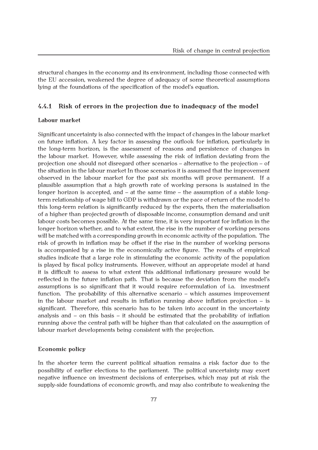structural changes in the economy and its environment, including those connected with the EU accession, weakened the degree of adequacy of some theoretical assumptions lying at the foundations of the specification of the model's equation.

#### **4.4.1 Risk of errors in the projection due to inadequacy of the model**

#### **Labour market**

Significant uncertainty is also connected with the impact of changes in the labour market on future inflation. A key factor in assessing the outlook for inflation, particularly in the long-term horizon, is the assessment of reasons and persistence of changes in the labour market. However, while assessing the risk of inflation deviating from the projection one should not disregard other scenarios – alternative to the projection – of the situation in the labour market In those scenarios it is assumed that the improvement observed in the labour market for the past six months will prove permanent. If a plausible assumption that a high growth rate of working persons is sustained in the longer horizon is accepted, and – at the same time – the assumption of a stable longterm relationship of wage bill to GDP is withdrawn or the pace of return of the model to this long-term relation is significantly reduced by the experts, then the materialisation of a higher than projected growth of disposable income, consumption demand and unit labour costs becomes possible. At the same time, it is very important for inflation in the longer horizon whether, and to what extent, the rise in the number of working persons will be matched with a corresponding growth in economic activity of the population. The risk of growth in inflation may be offset if the rise in the number of working persons is accompanied by a rise in the economically active figure. The results of empirical studies indicate that a large role in stimulating the economic activity of the population is played by fiscal policy instruments. However, without an appropriate model at hand it is difficult to assess to what extent this additional inflationary pressure would be reflected in the future inflation path. That is because the deviation from the model's assumptions is so significant that it would require reformulation of i.a. investment function. The probability of this alternative scenario – which assumes improvement in the labour market and results in inflation running above inflation projection – is significant. Therefore, this scenario has to be taken into account in the uncertainty analysis and – on this basis – it should be estimated that the probability of inflation running above the central path will be higher than that calculated on the assumption of labour market developments being consistent with the projection.

#### **Economic policy**

In the shorter term the current political situation remains a risk factor due to the possibility of earlier elections to the parliament. The political uncertainty may exert negative influence on investment decisions of enterprises, which may put at risk the supply-side foundations of economic growth, and may also contribute to weakening the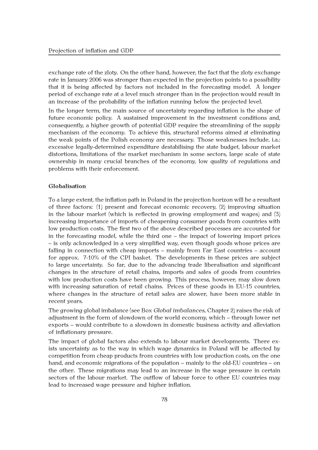exchange rate of the zloty. On the other hand, however, the fact that the zloty exchange rate in January 2006 was stronger than expected in the projection points to a possibility that it is being affected by factors not included in the forecasting model. A longer period of exchange rate at a level much stronger than in the projection would result in an increase of the probability of the inflation running below the projected level.

In the longer term, the main source of uncertainty regarding inflation is the shape of future economic policy. A sustained improvement in the investment conditions and, consequently, a higher growth of potential GDP require the streamlining of the supply mechanism of the economy. To achieve this, structural reforms aimed at eliminating the weak points of the Polish economy are necessary. Those weaknesses include, i.a.: excessive legally-determined expenditure destabilising the state budget, labour market distortions, limitations of the market mechanism in some sectors, large scale of state ownership in many crucial branches of the economy, low quality of regulations and problems with their enforcement.

#### **Globalisation**

To a large extent, the inflation path in Poland in the projection horizon will be a resultant of three factors: (1) present and forecast economic recovery, (2) improving situation in the labour market (which is reflected in growing employment and wages) and (3) increasing importance of imports of cheapening consumer goods from countries with low production costs. The first two of the above described processes are accounted for in the forecasting model, while the third one – the impact of lowering import prices – is only acknowledged in a very simplified way, even though goods whose prices are falling in connection with cheap imports – mainly from Far East countries – account for approx. 7-10% of the CPI basket. The developments in these prices are subject to large uncertainty. So far, due to the advancing trade liberalisation and significant changes in the structure of retail chains, imports and sales of goods from countries with low production costs have been growing. This process, however, may slow down with increasing saturation of retail chains. Prices of these goods in EU-15 countries, where changes in the structure of retail sales are slower, have been more stable in recent years.

The growing global imbalance (see Box *Global imbalances*, Chapter 2) raises the risk of adjustment in the form of slowdown of the world economy, which – through lower net exports – would contribute to a slowdown in domestic business activity and alleviation of inflationary pressure.

The impact of global factors also extends to labour market developments. There exists uncertainty as to the way in which wage dynamics in Poland will be affected by competition from cheap products from countries with low production costs, on the one hand, and economic migrations of the population – mainly to the old-EU countries – on the other. These migrations may lead to an increase in the wage pressure in certain sectors of the labour market. The outflow of labour force to other EU countries may lead to increased wage pressure and higher inflation.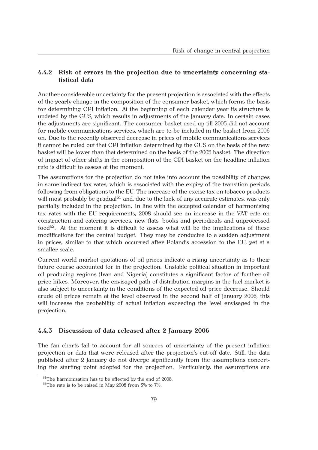## **4.4.2 Risk of errors in the projection due to uncertainty concerning statistical data**

Another considerable uncertainty for the present projection is associated with the effects of the yearly change in the composition of the consumer basket, which forms the basis for determining CPI inflation. At the beginning of each calendar year its structure is updated by the GUS, which results in adjustments of the January data. In certain cases the adjustments are significant. The consumer basket used up till 2005 did not account for mobile communications services, which are to be included in the basket from 2006 on. Due to the recently observed decrease in prices of mobile communications services it cannot be ruled out that CPI inflation determined by the GUS on the basis of the new basket will be lower than that determined on the basis of the 2005 basket. The direction of impact of other shifts in the composition of the CPI basket on the headline inflation rate is difficult to assess at the moment.

The assumptions for the projection do not take into account the possibility of changes in some indirect tax rates, which is associated with the expiry of the transition periods following from obligations to the EU. The increase of the excise tax on tobacco products will most probably be gradual<sup> $61$ </sup> and, due to the lack of any accurate estimates, was only partially included in the projection. In line with the accepted calendar of harmonising tax rates with the EU requirements, 2008 should see an increase in the VAT rate on construction and catering services, new flats, books and periodicals and unprocessed food $62$ . At the moment it is difficult to assess what will be the implications of these modifications for the central budget. They may be conducive to a sudden adjustment in prices, similar to that which occurred after Poland's accession to the EU, yet at a smaller scale.

Current world market quotations of oil prices indicate a rising uncertainty as to their future course accounted for in the projection. Unstable political situation in important oil producing regions (Iran and Nigeria) constitutes a significant factor of further oil price hikes. Moreover, the envisaged path of distribution margins in the fuel market is also subject to uncertainty in the conditions of the expected oil price decrease. Should crude oil prices remain at the level observed in the second half of January 2006, this will increase the probability of actual inflation exceeding the level envisaged in the projection.

#### **4.4.3 Discussion of data released after 2 January 2006**

The fan charts fail to account for all sources of uncertainty of the present inflation projection or data that were released after the projection's cut-off date. Still, the data published after 2 January do not diverge significantly from the assumptions concerting the starting point adopted for the projection. Particularly, the assumptions are

 $61$ The harmonisation has to be effected by the end of 2008.

 $62$ The rate is to be raised in May 2008 from 3% to 7%.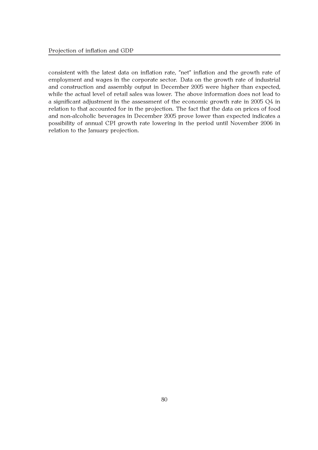consistent with the latest data on inflation rate, "net" inflation and the growth rate of employment and wages in the corporate sector. Data on the growth rate of industrial and construction and assembly output in December 2005 were higher than expected, while the actual level of retail sales was lower. The above information does not lead to a significant adjustment in the assessment of the economic growth rate in 2005 Q4 in relation to that accounted for in the projection. The fact that the data on prices of food and non-alcoholic beverages in December 2005 prove lower than expected indicates a possibility of annual CPI growth rate lowering in the period until November 2006 in relation to the January projection.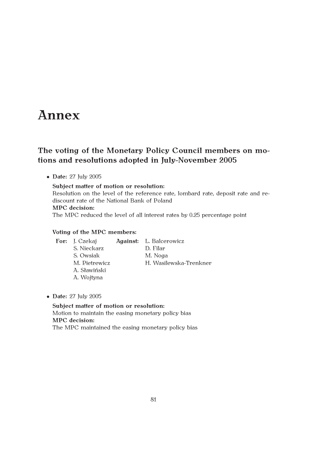# **Annex**

## **The voting of the Monetary Policy Council members on motions and resolutions adopted in July-November 2005**

• **Date:** 27 July 2005

**Subject matter of motion or resolution:** Resolution on the level of the reference rate, lombard rate, deposit rate and rediscount rate of the National Bank of Poland **MPC decision:** The MPC reduced the level of all interest rates by 0.25 percentage point

## **Voting of the MPC members:**

**For:** J. Czekaj **Against:** L. Balcerowicz S. Nieckarz D. Filar S. Owsiak M. Noga M. Pietrewicz H. Wasilewska-Trenkner A. Sławiński A. Wojtyna

• **Date:** 27 July 2005

**Subject matter of motion or resolution:** Motion to maintain the easing monetary policy bias **MPC decision:** The MPC maintained the easing monetary policy bias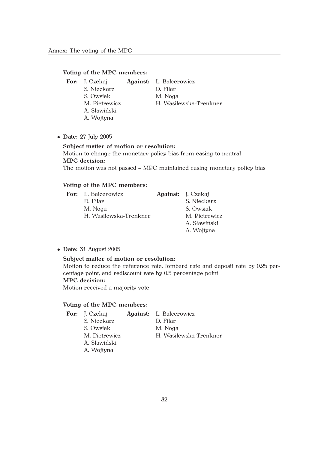#### **Voting of the MPC members:**

**For:** J. Czekaj **Against:** L. Balcerowicz S. Nieckarz D. Filar S. Owsiak M. Noga A. Sławiński A. Wojtyna

M. Pietrewicz H. Wasilewska-Trenkner

• **Date:** 27 July 2005

## **Subject matter of motion or resolution:**

Motion to change the monetary policy bias from easing to neutral **MPC decision:** The motion was not passed – MPC maintained easing monetary policy bias

#### **Voting of the MPC members:**

| <b>For:</b> L. Balcerowicz | Against: J. Czekaj |
|----------------------------|--------------------|
| D. Filar                   | S. Nieckarz        |
| M. Noga                    | S. Owsiak          |
| H. Wasilewska-Trenkner     | M. Pietrewicz      |
|                            | A. Sławiński       |
|                            | A. Wojtyna         |

• **Date:** 31 August 2005

#### **Subject matter of motion or resolution:**

Motion to reduce the reference rate, lombard rate and deposit rate by 0.25 percentage point, and rediscount rate by 0.5 percentage point **MPC decision:**

Motion received a majority vote

#### **Voting of the MPC members:**

| <b>For:</b> J. Czekaj | Against: L. Balcerowicz |
|-----------------------|-------------------------|
| S. Nieckarz           | D. Filar                |
| S. Owsiak             | M. Noga                 |
| M. Pietrewicz         | H. Wasilewska-Trenkner  |
| A. Sławiński          |                         |
| A. Wojtyna            |                         |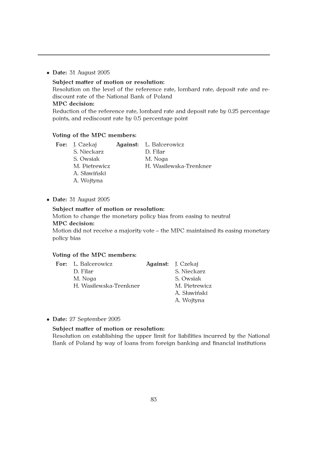• **Date:** 31 August 2005

#### **Subject matter of motion or resolution:**

Resolution on the level of the reference rate, lombard rate, deposit rate and rediscount rate of the National Bank of Poland

#### **MPC decision:**

Reduction of the reference rate, lombard rate and deposit rate by 0.25 percentage points, and rediscount rate by 0.5 percentage point

#### **Voting of the MPC members:**

| <b>For:</b> J. Czekaj | <b>Against:</b> L. Balcerowicz |
|-----------------------|--------------------------------|
| S. Nieckarz           | D. Filar                       |
| S. Owsiak             | M. Noga                        |
| M. Pietrewicz         | H. Wasilewska-Trenkner         |
| A. Sławiński          |                                |
| A. Wojtyna            |                                |
|                       |                                |

• **Date:** 31 August 2005

## **Subject matter of motion or resolution:** Motion to change the monetary policy bias from easing to neutral **MPC decision:** Motion did not receive a majority vote – the MPC maintained its easing monetary policy bias

## **Voting of the MPC members:**

| <b>For:</b> L. Balcerowicz | Against: J. Czekaj |
|----------------------------|--------------------|
| D. Filar                   | S. Nieckarz        |
| M. Noga                    | S. Owsiak          |
| H. Wasilewska-Trenkner     | M. Pietrewicz      |
|                            | A. Sławiński       |
|                            | A. Wojtyna         |

#### • **Date:** 27 September 2005

#### **Subject matter of motion or resolution:**

Resolution on establishing the upper limit for liabilities incurred by the National Bank of Poland by way of loans from foreign banking and financial institutions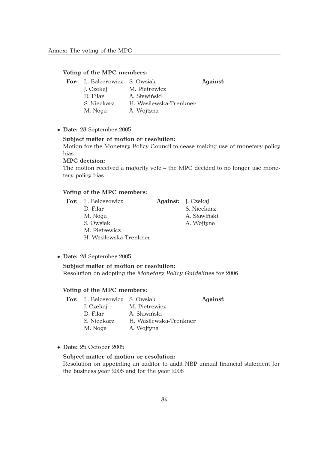#### **Voting of the MPC members:**

| <b>For:</b> L. Balcerowicz S. Owsiak |                        | Against: |
|--------------------------------------|------------------------|----------|
| J. Czekaj                            | M. Pietrewicz          |          |
| D. Filar                             | A. Sławiński           |          |
| S. Nieckarz                          | H. Wasilewska-Trenkner |          |
| M. Noga                              | A. Wojtyna             |          |
|                                      |                        |          |

• **Date:** 28 September 2005

#### **Subject matter of motion or resolution:**

Motion for the Monetary Policy Council to cease making use of monetary policy bias

#### **MPC decision:**

The motion received a majority vote – the MPC decided to no longer use monetary policy bias

#### **Voting of the MPC members:**

| <b>For:</b> L. Balcerowicz | Against: J. Czekaj |
|----------------------------|--------------------|
| D. Filar                   | S. Nieckarz        |
| M. Noga                    | A. Sławiński       |
| S. Owsiak                  | A. Wojtyna         |
| M. Pietrewicz              |                    |
| H. Wasilewska-Trenkner     |                    |

• **Date:** 28 September 2005

#### **Subject matter of motion or resolution:** Resolution on adopting the *Monetary Policy Guidelines* for 2006

#### **Voting of the MPC members:**

| Against: |
|----------|
|          |
|          |
|          |
|          |
|          |

• **Date:** 25 October 2005

#### **Subject matter of motion or resolution:**

Resolution on appointing an auditor to audit NBP annual financial statement for the business year 2005 and for the year 2006